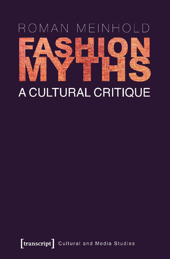# ROMAN MEINHOLD



# A CULTURAL CRITIQUE

[transcript] Cultural and Media Studies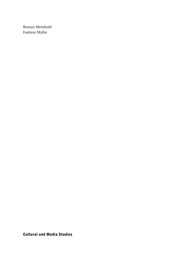Roman Meinhold Fashion Myths

Cultural and Media Studies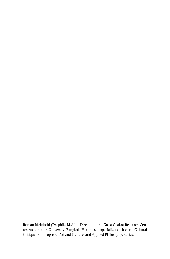**Roman Meinhold** (Dr. phil., M.A.) is Director of the Guna Chakra Research Center, Assumption University, Bangkok. His areas of specialization include Cultural Critique, Philosophy of Art and Culture, and Applied Philosophy/Ethics.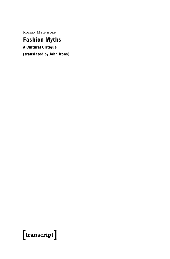Roman Meinhold

### Fashion Myths

A Cultural Critique (translated by John Irons)

## $[$ transcript $]$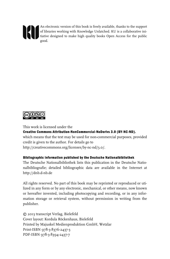

An electronic version of this book is freely available, thanks to the support of libraries working with Knowledge Unlatched. KU is a collaborative initiative designed to make high quality books Open Access for the public good.



This work is licensed under the Creative Commons Attribution-NonCommercial-NoDerivs 3.0 (BY-NC-ND). which means that the text may be used for non-commercial purposes, provided credit is given to the author. For details go to http://creativecommons.org/licenses/by-nc-nd/3.0/.

#### Bibliographic information published by the Deutsche Nationalbibliothek

The Deutsche Nationalbibliothek lists this publication in the Deutsche Nationalbibliografie; detailed bibliographic data are available in the Internet at http://dnb.d-nb.de

All rights reserved. No part of this book may be reprinted or reproduced or utilized in any form or by any electronic, mechanical, or other means, now known or hereafter invented, including photocopying and recording, or in any information storage or retrieval system, without permission in writing from the publisher.

© 2013 transcript Verlag, Bielefeld Cover layout: Kordula Röckenhaus, Bielefeld Printed by Majuskel Medienproduktion GmbH, Wetzlar Print-ISBN 978-3-8376-2437-3 PDF-ISBN 978-3-8394-2437-7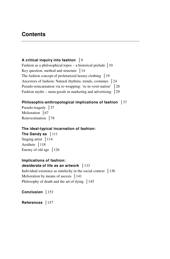### **Contents**

#### **A** critical inquiry into fashion  $|9$

Fashion as a philosophical topos  $-$  a historical prelude  $\vert$  10 Key question, method and structure **-**14 The fashion concept of proletarized luxury clothing **-**19 Ancestors of fashion: Natural rhythms, trends, costumes **-**24 Pseudo-reincarnation via re-wrapping: 're-in-vesti-nation' | 28 Fashion myths – meta-goods in marketing and advertising 29

#### **Philosophic-anthropological implications of fashion -**37

Pseudo-tragedy **-**37 Melioration | 67 Reinvestination | 78

#### **The ideal-typical incarnation of fashion:**

**The Dandy as** | 111 Staging artist | 114 Aesthete | 118 Enemy of old age | 126

#### **Implications of fashion:**  *desiderata* **of life as an artwork -**133

Individual existence as entelechy in the social context **-**136 Melioration by means of ascesis **-**141 Philosophy of death and the art of dying | 145

**Conclusion -**153

References | 157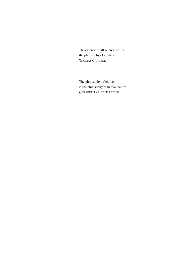The essence of all science lies in the philosophy of clothes. THOMAS CARLYLE

The philosophy of clothes is the philosophy of human nature. GERARDUS VAN DER LEEUW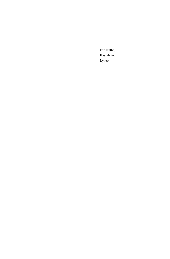For Jantha, Kaylah and Lyneo.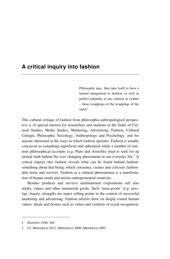#### **A critical inquiry into fashion**

Philosophy may, then take itself to have a natural antagonism to fashion, as well as perfect antipathy to any interest in clothes – those wrappings of the wrappings of the  $mind<sup>1</sup>$ 

This cultural critique of fashion from philosophic-anthropological perspective is of special interest for researchers and students in the fields of Cultural Studies, Media Studies, Marketing, Advertising, Fashion, Cultural Critique, Philosophy, Sociology, Anthropology and Psychology, and for anyone interested in the ways in which fashion operates. Fashion is usually conceived as something superficial and ephemeral while a number of eminent philosophical accounts (e.g. Plato and Aristotle) tried to seek for an eternal truth behind the ever changing phenomena in our everyday life.<sup>2</sup> A critical inquiry into fashion reveals what can be found behind fashion: something about that being, which consumes, creates and criticises fashionable items and services. Fashion as a cultural phenomenon is a manifestation of human needs and artistic-entrepreneurial creativity.

Besides products and services multinational corporations sell also myths, values and other immaterial goods. Such 'meta-goods' (e.g. prestige, beauty, strength) are major selling points in the context of successful marketing and advertising. Fashion adverts draw on deeply rooted human values, ideals and desires such as values and symbols of social recognition,

<sup>1</sup> HANSON 1990, 109

<sup>2</sup> Cf. MEINHOLD 2013; MEINHOLD 2009; MEINHOLD 2007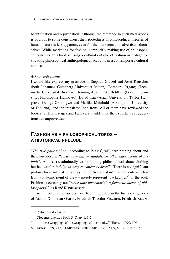beautification and rejuvenation. Although the reference to such meta-goods is obvious to some consumers, their rootedness in philosophical theories of human nature is less apparent, even for the marketers and advertisers themselves. While marketing for fashion is implicitly making use of philosophical concepts, this book is using a cultural critique of fashion as a stage for situating philosophical-anthropological accounts in a contemporary cultural context.

#### *Acknowledgements*

I would like express my gratitude to Stephan Grätzel and Josef Rauscher (both Johannes Gutenberg Universität Mainz), Bernhard Irrgang (Technische Universität Dresden), Henning Adam, Eike Bohlken (Forschungsinstitut Philosophie Hannover), David Tan (Asian University), Taylor Hargrave, George Okoroigwe and Mallika Meinhold (Assumption University of Thailand), and the translator John Irons. All of them have reviewed the book at different stages and I am very thankful for their substantive suggestions for improvement.

#### **FASHION AS A PHILOSOPHICAL TOPOS – A HISTORICAL PRELUDE**

"The true philosopher," according to PLATO<sup>3</sup>, will care nothing about and therefore despise "*costly raiment, or sandals, or other adornments of the body*". ARISTOTLE admittedly wrote nothing philosophical about clothing but he "*used to indulge in very conspicuous dress*" 4 . There is no significant philosophical interest in portraying the 'second skin', the raiments which – from a Platonic point of view – merely represent 'packagings'<sup>5</sup> of the soul. Fashion is certainly not "*since time immemorial, a favourite theme of philosophers*" 6 , as René KÖNIG asserts.

Admittedly, philosophers have been interested in the historical genesis of fashion (Christian GARVE, Friedrich Theodor VISCHER, Friedrich KLEIN-

<u>.</u>

<sup>3</sup> Plato: Phaedo, 64 d-e

<sup>4</sup> Diogenes Laertius Book 5, Chap. 1, 1-2

<sup>5 &</sup>quot;…those wrappings of the wrappings of the mind…" (Hanson 1990, 109)

<sup>6</sup> KÖNIG 1959, 717; Cf MEINHOLD 2013, MEINHOLD 2009, MEINHOLD 2007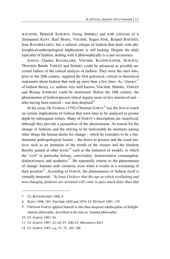WÄCHTER, Heinrich SCHURTZ, Georg SIMMEL) and with criticism of it (Immanuel KANT, Karl MARX, VISCHER, Eugen FINK, Roland BARTHES, Jean BAUDRILLARD), but a cultural critique of fashion that deals with philosophical-anthropological implications is still lacking. Despite the daily topicality of fashion, dealing with it philosophically is a rare occurrence.

GARVE, Charles BAUDELAIRE, VISCHER, KLEINWÄCHTER, SCHURTZ, Thorstein Bunde VEBLEN and SIMMEL could be advanced as possible ancestral fathers of the critical analysis of fashion. They were the ones who, prior to the 20th century, supplied the first polemical, critical or theoretical statements about fashion that took up more than a few lines. As 'classics'<sup>7</sup> of fashion theory, i.e. authors very well known, VISCHER, SIMMEL, VEBLEN and Werner SOMBART could be mentioned. Before the 18th century, the phenomenon of fashion passed critical inquiry more or less unnoticed and – after having been noticed – was then despised. $8$ 

In his essay *On Fashion* (1792) Christian GARVE<sup>9</sup> was the first to touch on certain implications of fashion that were later to be analysed in greater depth by subsequent writers. Many of GARVE's descriptions are superficial, although they provide a *panoptikon* of the phenomenon. As reason for the change of fashions and the striving to be fashionable he mentions among other things the human desire for change – which he considers to be a fundamental anthropological feature – the desire to possess and the usual motives such as an imitation of the trends of the masses and the freedom thereby gained at other levels $^{10}$  such as the imitation of models, to which the "*rich*" in particular belong, conviviality, demonstrative consumption, distinctiveness and aesthetics $11$ . He repeatedly returns to the phenomenon of change: humans seek variation, even when it results in a worsening of their position<sup>12</sup>. According to GARVE, the phenomenon of fashion itself is virtually immortal: *"At least I believe that the age in which everlasting and non-changing fashions are invented will come to pass much later than that* 

<sup>7</sup> Cf. BOVENSCHEN 1986, 8

<sup>8</sup> KANT 1998, 185; VISCHER 1859 and 1879; Cf. PITTROF 1987, 179

<sup>9</sup> Christian GARVE applied himself to this then despised subdiscipline of Enlightenment philosophy, described at the time as 'popular philosophy'.

<sup>10</sup> Cf. GARVE 1987, 94

<sup>11</sup> Cf. GARVE 1987, 22, 64, 97, 100; Cf. MEINHOLD 2011

<sup>12</sup> Cf. GARVE 1987, e.g. 57, 75, 105, 196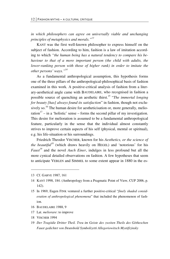*in which philosophers can agree on universally viable and unchanging principles of metaphysics and morals."13*

KANT was the first well-known philosopher to express himself on the subject of fashion. According to him, fashion is a law of imitation according to which *"the human being has a natural tendency to compare his behaviour to that of a more important person (the child with adults, the lower-ranking person with those of higher rank) in order to imitate the other persons' ways."14*

As a fundamental anthropological assumption, this hypothesis forms one of the three pillars of the anthropological-philosophical basis of fashion examined in this work. A positive-critical analysis of fashion from a literary-aesthetical angle came with BAUDELAIRE, who recognised in fashion a possible source of quenching an aesthetic thirst.15 "*The immortal longing for beauty [has] always found its satisfaction*" in fashion, though not exclusively so.<sup>16</sup> The human desire for aestheticisation or, more generally, melioration<sup>17</sup> – in a 'holistic' sense – forms the second pillar of my investigation. This desire for melioration is assumed to be a fundamental anthropological feature, particularly in the sense that the individual almost constantly strives to improve certain aspects of his self (physical, mental or spiritual), e.g. his life-situation or his surroundings.

Friedrich Theodor VISCHER, known for his *Aesthetics, or the science of the beautiful<sup>18</sup>* (which draws heavily on HEGEL) and 'notorious' for his *Faust19* and the novel *Auch Einer*, indulges in less profound but all the more cynical detailed observations on fashion. A few hypotheses that seem to anticipate VEBLEN and SIMMEL to some extent appear in 1880 in the es-

-

- 16 BAUDELAIRE 1988, 9
- 17 Lat. *meliorare*: to improve
- 18 VISCHER 1994
- 19 *Der Tragödie Dritter Theil. Treu im Geiste des zweiten Theils des Götheschen Faust gedichtet von Deutobold Symbolizetti Allegoriowitsch Mystifizinsky*

<sup>13</sup> Cf. GARVE 1987, 161

<sup>14</sup> KANT 1998, 184. (Anthropology from a Pragmatic Point of View, CUP 2006, p. 142).

<sup>15</sup> In 1969, Eugen FINK ventured a further positive-critical "*finely shaded consideration of anthropological phenomena*" that included the phenomenon of fashion.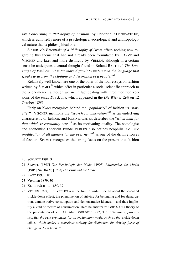say *Concerning a Philosophy of Fashion,* by Friedrich KLEINWÄCHTER, which is admittedly more of a psychological-sociological and anthropological nature than a philosophical one.

SCHURTZ's *Essentials of a Philosophy of Dress* offers nothing new regarding this theme that had not already been formulated by GARVE and VISCHER and later and more distinctly by VEBLEN; although in a certain sense he anticipates a central thought found in Roland BARTHES' *The Language of Fashion*: "*It is far more difficult to understand the language that speaks to us from the clothing and decoration of a people*."<sup>20</sup>

Relatively well known are one or the other of the four essays on fashion written by  $SIMMEL<sup>21</sup>$  which offer in particular a social scientific approach to the phenomenon, although we are in fact dealing with three modified versions of the essay *Die Mode*, which appeared in the *Die Wiener Zeit* on 12 October 1895.

Early on KANT recognises behind the "*popularity*" of fashion its "*novelty*" 22. VISCHER mentions the "*search for innovation*" 23 as an underlying characteristic of fashion, and KLEINWÄCHTER describes the "*witch hunt for that which is constantly new*" 24 as its motivating quality. The sociologist and economist Thorstein Bunde VEBLEN also defines neophilia, i.e. "*the predilection of all humans for the ever new*" 25 as one of the driving forces of fashion. SIMMEL recognises the strong focus on the present that fashion

- 22 KANT 1998, 185
- 23 VISCHER 1879, 30
- 24 KLEINWÄCHTER 1880, 39

<sup>20</sup> SCHURTZ 1891, 3

<sup>21</sup> SIMMEL [1895] *Zur Psychologie der Mode*; [1905] *Philosophie der Mode*; [1905] *Die Mode*; [1908] *Die Frau und die Mode*

<sup>25</sup> VEBLEN 1997, 173. VEBLEN was the first to write in detail about the so-called trickle-down effect, the phenomenon of striving for belonging and for demarcation, demonstrative consumption and demonstrative idleness – and thus implicitly a kind of theatre of consumption. Here he anticipates GOFFMAN's theory of the presentation of self. Cf. Also BOURDIEU 1987, 376: "*Fashion apparently supplies the best arguments for an explanatory model such as the* trickle-down effect, which makes a conscious striving for distinction the driving force of *change in dress habits.*"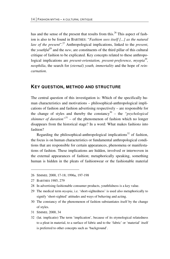has and the sense of the present that results from this.<sup>26</sup> This aspect of fashion is also to be found in BARTHES: "*Fashion sees itself [...] as the natural law of the present*".27 Anthropological implications, linked to the *present*, the *youthful*28 and the *new*, are constituents of the third pillar of this cultural critique of fashion to be explicated. Key concepts related to these anthropological implications are *present-orientation, present-preference, myopia*<sup>29</sup>, *neophilia*, the search for *(eternal) youth, immortality* and the hope of *reincarnation*.

#### **KEY QUESTION, METHOD AND STRUCTURE**

The central question of this investigation is: Which of the specifically human characteristics and motivations – philosophical-anthropological implications of fashion and fashion advertising respectively – are responsible for the change of styles and thereby the constancy<sup>30</sup> – the *"psychological*" *shimmer of duration*<sup>31</sup> – of the phenomenon of fashion which no longer disappears from the historical stage? In a word: What makes fashion*s* into fashion?

Regarding the philosophical-anthropological implications<sup>32</sup> of fashion, the focus is on human characteristics or fundamental anthropological conditions that are responsible for certain appearances, phenomena or manifestations of fashion. These implications are hidden, involved or interwoven in the external appearances of fashion; metaphorically speaking, something human is hidden in the pleats of fashionwear or the fashionable material

-

- 29 The medical term *myopia*, i.e. 'short-sightedness' is used also metaphorically to signify 'short-sighted' attitudes and ways of behaving and acting.
- 30 The constancy of the phenomenon of fashion substantiates itself by the change of styles.
- 31 SIMMEL 2000, 34
- 32 (lat. implicatio) The term 'implication', because of its etymological relatedness to a pleat in material, to a surface of fabric and to the 'fabric' or 'material' itself is preferred to other concepts such as 'background'.

<sup>26</sup> SIMMEL 2000, 17-18; 1996a, 197-198

<sup>27</sup> BARTHES 1985, 279

<sup>28</sup> In advertising fashionable consumer products, youthfulness is a key value.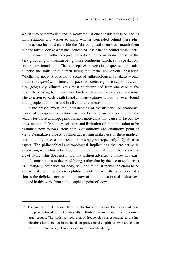which is to be unravelled and '*dis*-covered'. If one considers fashion and its manifestations and wishes to know what is concealed behind these phenomena, one has to draw aside the fabrics, spread them out, smooth them out and take a look at what has 'concealed' itself in and behind these pleats.

Fundamental anthropological conditions are conditions found in the very grounding of a human being, those conditions which, so to speak, constitute our foundation. The concept characteristics expresses this adequately: the traits of a human being that make up personal character. Whether or not it is possible to speak of anthropological constants – ones that are *independent* of time and space (concrete: e.g. history, politics, culture, geography, climate, etc.) must be determined from one case to the next. The striving to imitate is certainly such an anthropological constant. The aversion towards death found in many cultures is not, however, found in all people at all times and in all cultural contexts.

In the present work, the understanding of the historical or economichistorical emergence of fashion will not be the prime concern, rather the search for those anthropogenic fashion motivators that cause or favour the consumption of fashion. A selection and limitation of the implication to be examined now follows, from both a quantitative and qualitative point of view: Quantitative aspect: Fashion advertising makes use of these implications not only once, as an exception or singly but repeatedly.<sup>33</sup> Qualitative aspect: The philosophical-anthropological implications that are active in advertising were chosen because of their claim to make contributions to the art of living. This does not imply that fashion advertising makes any existential contributions to the art of living, rather that by the use of such terms as 'lifestyle', 'aesthetics for body, soul and mind' it makes the claim to be able to make contributions to a philosophy of life. A further selection criterion is the deficient treatment until now of the implications of fashion examined in this work from a philosophical point of view.

<sup>33</sup> The author sifted through these implications in various European and non-European national and internationally published fashion magazines for various target groups. The statistical recording of frequencies corresponding to the implications has to be left in the hands of professional empiricists who are able to measure the frequency of motifs used in fashion advertising.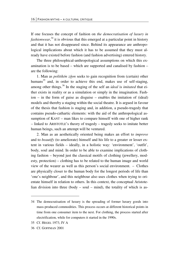If one focuses the concept of fashion on *the democratisation of luxury in*  fashionwear,<sup>34</sup> it is obvious that this emerged at a particular point in history and that it has not disappeared since. Behind its appearance are anthropological implications about which it has to be assumed that they must already have existed before fashion (and fashion advertising) entered history.

The three philosophical-anthropological assumptions on which this examination is to be based – which are supported and canalised by fashion – are the following:

1. Man as *politikón zôon* seeks to gain recognition from (certain) other humans<sup>35</sup> and, in order to achieve this end, makes use of self-staging, among other things.36 In the staging of the self an *ideal* is *imitated* that either exists in reality or as a simulation or simply in the imagination. Fashion – in the form of guise as disguise – enables the imitation of (ideal) models and thereby a staging within the social theatre. It is argued in favour of the thesis that fashion is staging and, in addition, a pseudo-tragedy that contains pseudo-cathartic elements: with the aid of the anthropological assumption of KANT – man likes to compare himself with one of higher rank – linked to ARISTOTLE's theory of tragedy – tragedy seeks to imitate better human beings, such an attempt will be ventured.

2. Man as an aesthetically oriented being makes an effort to *improve* and to *beautify* (to ameliorate) himself and his life to a greater or lesser extent in various fields – ideally, in a holistic way: 'environment', 'outfit', body, soul and mind. In order to be able to examine implications of clothing fashion – beyond just the classical motifs of clothing (jewellery, modesty, protection) – clothing has to be related to the human image and world view of the wearer as well as this person's social environment. - Clothes are physically closer to the human body for the longest periods of life than 'one's neighbour', and this neighbour also uses clothes when trying to orientate himself in relation to others. In this context, the conceptual Aristotelian division into three (body – soul – mind), the totality of which is as-

<u>.</u>

<sup>34</sup> The democratisation of luxury is the spreading of former luxury goods into mass-produced commodities. This process occurs at different historical points in time from one consumer item to the next. For clothing, the process started after electrification, while for computers it started in the 1990s.

<sup>35</sup> Cf. HEGEL 1973, IV A

<sup>36</sup> Cf. GOFFMAN 2001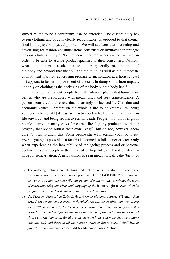sumed by me to be a continuum, can be extended. The discontinuity between clothing and body is clearly recognisable, as opposed to that thematised in the psycho-physical problem. We will see later that marketing and advertising for fashion consumer items constructs or simulates for strategic reasons a holistic unity of 'fashion consumer item – body – soul – mind' in order to be able to ascribe product qualities to their consumers. Fashionwear is an attempt at aestheticisation – more generally 'melioration' – of the body and beyond that the soul and the mind, as well as the immediate environment. Fashion advertising propagates melioration at a holistic level – it appears to be the improvement of the self. In doing so, fashion impacts not only on clothing as the packaging of the body but the body itself.

3. It can be said about people from all cultural spheres that humans are beings who are preoccupied with metaphysics and seek transcendence. A person from a cultural circle that is strongly influenced by Christian and economic values, $37$  prefers on the whole a life to no (more) life, being younger to being old (at least seen retrospectively, from a certain point in life onwards) and being reborn to eternal death. People – not only religious people – strive in many ways for eternal life (e.g. by producing works or progeny that are to outlast their own lives)<sup>38</sup>, but do not, however, seem able *de facto* to attain this. Some people strive for eternal youth or to *appear* as young as possible; so far this is doomed to fail sooner or later. Only when experiencing the inevitability of the ageing process and or personal decline do some people – their fearful or hopeful gaze fixed on death – hope for reincarnation. A new fashion is, seen metaphorically, the 'birth' of

<sup>37</sup> The ordering, valuing and thinking undertaken under Christian influence is at times so obvious that it is no longer perceived. Cf. ELIADE 1988, 229: *"Whether he wants to or not, the non-religious person of modern times continues the ways of behaviour, religious ideas and language of the* homo religiosus *even when he profanes them and divests them of their original meaning."*

<sup>38</sup> Cf. PLATON *Symposium* 206c-209b and OVID *Metamorphoses*, 871-end. "*And now, I have completed a great work, which not [...] consuming time can sweep away. Whenever it will, let the day come, which has dominion only over this mortal frame, and end for me the uncertain course of life. Yet in my better part I shall be borne immortal, far above the stars on high, and mine shall be a name*  indelible [...] and through all the coming years of future ages, I shall live in *fame."* http://www.theoi.com/Text/OvidMetamorphoses15.html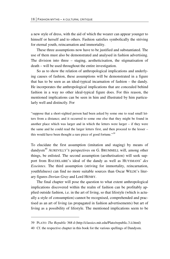a new style of dress, with the aid of which the wearer can appear younger to himself or herself and to others. Fashion satisfies symbolically the striving for eternal youth, reincarnation and immortality.

These three assumptions now have to be justified and substantiated. The use of them must also be demonstrated and analysed in fashion advertising. The division into three – staging, aestheticisation, the stigmatisation of death – will be used throughout the entire investigation.

So as to show the relation of anthropological implications and underlying causes of fashion, these assumptions will be demonstrated in a figure that has to be seen as an ideal-typical incarnation of fashion – the dandy. He incorporates the anthropological implications that are concealed behind fashion in a way no other ideal-typical figure does. For this reason, the mentioned implications can be seen in him and illustrated by him particularly well and distinctly. For

"suppose that a short-sighted person had been asked by some one to read small letters from a distance; and it occurred to some one else that they might be found in another place which was larger and in which the letters were larger – if they were the same and he could read the larger letters first, and then proceed to the lesser – this would have been thought a rare piece of good fortune."*<sup>39</sup>*

To elucidate the first assumption (imitation and staging) by means of dandysm<sup>40</sup> AUREVILLY'S perspectives on G. BRUMMELL will, among other things, be enlisted. The second assumption (aesthetisation) will seek support from BAUDELAIRE's ideal of the dandy as well as HUYSMANS' *des Esseintes*. The third assumption (striving for immortality, reincarnation, youthfulness) can find no more suitable sources than Oscar WILDE's literary figures *Dorian Gray* and Lord HENRY.

The final chapter will pose the question to what extent anthropological implications discovered within the realm of fashion can be profitably applied outside fashion, i.e. in the art of living, so that lifestyle (which is actually a style of consumption) cannot be recognised, comprehended and practised as an art of living (as propagated in fashion advertisements) but art of living as a possibility of lifestyle. The mentioned implications seem to be

-

<sup>39</sup> PLATO: *The Republic* 368 d (http://classics.mit.edu/Plato/republic.3.ii.html)

<sup>40</sup> Cf. the respective chapter in this book for the various spellings of Dandysm.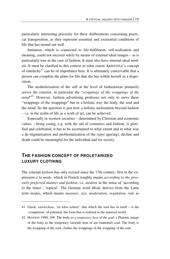particularly interesting precisely for these deliberations concerning practical transposition, as they represent essential and existential conditions of life that has turned out well.

Imitation, which is connected to life-fulfilment, self-realisation and meaning, could not succeed solely by means of external ideal images – as is particularly true in the case of fashion. It must also have internal ideal models. It must be clarified in this context to what extent ARISTOTLE's concept of entelechy<sup>41</sup> can be of importance here. It is ultimately conceivable that a person can complete the plans for life that she has within herself as a disposition.

The aestheticisation of the self at the level of fashionwear primarily serves the exterior, in particular the "*wrappings of the wrappings of the*  mind<sup>"42</sup>. However, fashion advertising professes not only to serve these "wrappings of the wrappings" but in a holistic way the body, the soul and the mind. So the question is just how a holistic melioration beyond fashion – i.e. in the realm of life as a work of art, can be achieved.

Especially in western societies – determined by Christian and economic values – being young, e.g. with the aid of cosmetics and fashion, is glorified and celebrated, it has to be ascertained to what extent and in what way a de-stigmatisation and problematisation of the *topoi* age(ing), decline and death could be meaningful for the individual and for society.

#### **THE FASHION CONCEPT OF PROLETARIZED LUXURY CLOTHING**

 $\overline{a}$ 

The concept *fashion* has only existed since the 17th century, first in the expression *à la mode*, which in French roughly means *according to the presently preferred manner and fashion*, i.e. *modern* in the sense of 'according to the times', 'topical'. The German word *Mode* derives from the Latin term *modus*, which means *measure, size, moderation, regulation, rule* as

<sup>41</sup> Greek: *entelecheia*: 'en telos echein': that which the soul has in itself – is the 'completion' of potential, the form that is realised in the material world.

<sup>42</sup> HANSON 1990, 109. The body as *a temporary host of the soul*: a Platonic image of the body as the temporary (mortal) host of a(n immortal) soul. The body is the wrapping of the soul, clothes the wrappings of the wrapping of the soul.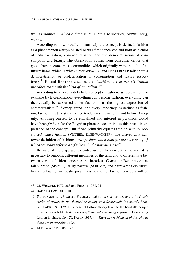well as *manner in which a thing is done*, but also *measure, rhythm, song, manner*.

According to how broadly or narrowly the concept is defined, fashion as a phenomenon always existed or was first conceived and born as a child of industrialisation, commercialisation and the democratisation of consumption and luxury. The observation comes from consumer critics that goods have become mass commodities which originally were thought of as luxury items, which is why Günter WISWEDE and Hans FREYER talk about a democratisation or proletarisation of consumption and luxury respectively.43 Roland BARTHES assumes that *"fashion [...] in our civilisation probably arose with the birth of capitalism."*<sup>44</sup>

According to a very widely held concept of fashion, as represented for example by BAUDRILLARD, everything can become fashion, everything can theoretically be subsumed under fashion – as the highest expression of commercialism.45 If every 'trend' and every 'tendency' is defined as fashion, fashion must exist ever since tendencies did – i.e. in and before Antiquity. Allowing oneself to be embalmed and interred in pyramids would have been *fashion* for the Egyptian pharaohs according to this broad interpretation of the concept. But if one primarily equates fashion with *democratised luxury fashion* (VISCHER; KLEINWÄCHTER), one arrives at a narrower definition of fashion: *"that positive witch-hunt for the ever-new [...]*  which we today refer to as 'fashion' in the narrow sense<sup>"46</sup>.

Because of the disparate, extended use of the concept of fashion, it is necessary to pinpoint different meanings of the term and to differentiate between various fashion concepts: the broadest (GARVE or BAUDRILLARD), fairly broad (SIMMEL), fairly narrow (SCHURTZ) and narrowest (VISCHER). In the following, an ideal-typical classification of fashion concepts will be

-

<sup>43</sup> Cf. WISWEDE 1972, 283 and FREYER 1958, 91

<sup>44</sup> BARTHES 1995, 309-310.

<sup>45</sup>*" But one has to ask oneself if science and culture in the 'originality' of their modes of action do not themselves belong to a fashionable* 'structure'. BAU-DRILLARD 1991, 139. This thesis of fashion theory taken to the baudrillardesque extreme, sounds like *fashion is everything and everything is fashion.* Concerning fashion in philosophy, Cf. PATON 1937, 4: *"There are fashions in philosophy as there are in everything else."* 

<sup>46</sup> KLEINWÄCHTER 1880, 39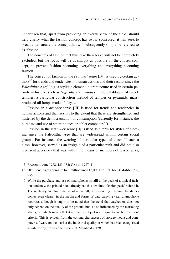undertaken that, apart from providing an overall view of the field, should help clarify what the fashion concept has so far sponsored; it will seek to broadly demarcate the concept that will subsequently simply be referred to as 'fashion'.

The concepts of fashion that thus take their leave will not be completely excluded, but the focus will be as sharply as possible on the chosen concept, so prevent fashion becoming everything and everything becoming fashion...

The concept of fashion in the *broadest* sense [IV] is used by certain authors $47$  for trends and tendencies in human actions and their results since the *Paleolithic* Age;<sup>48</sup> e.g. a stylistic element in architecture used in certain periods in history, such as *triglyphs* and *metopes* in the entablature of Greek temples, a particular construction method of temples or pyramids, massproduced oil lamps made of clay, etc.

Fashion in a *broader* sense [III] is used for trends and tendencies in human actions and their results to the extent that these are strengthened and hastened by the democratisation of consumption (currently for instance, the purchase and use of smart phones or tablet computers $49$ ).

Fashion in the *narrower* sense [II] is used as a term for styles of clothing since the Paleolithic Age that are widespread within certain social groups. For instance, the wearing of particular types of clasp. If such a clasp, however, served as an insignia of a particular rank and did not also represent accessory that was within the means of members of lesser ranks,

<sup>47</sup> BAUDRILLARD 1982, 133-152; GARVE 1987, 11

<sup>48</sup> Old Stone Age: approx. 2 to 3 million until 18,000 BC.; Cf. KNUSSMANN 1996, 255

<sup>49</sup> While the purchase and use of smartphones is still at the peak of a topical fashion tendency, the printed book already has this absolute 'fashion peak' behind it. The relativity and finite nature of apparently never-ending 'fashion' trends becomes even clearer in the media and forms of data carrying (e.g. gramophone records), although it ought to be noted that the trend that catches on does not only depend on the quality of the product but is also influenced by the marketing strategies, which means that it is mainly subject not to qualitative but 'fashion' criteria. This is evident from the commercial success of storage media and computer software on the market the industrial quality of which has been categorised as inferior by professional users (Cf. Meinhold 2009).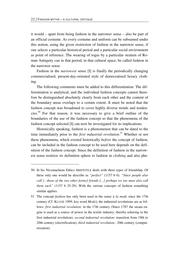**.** 

it would – apart from being fashion in the narrower sense – also be part of an official costume. As every costume and uniform can be subsumed under this notion, using the given restriction of fashion in the narrower sense, if one selects a particular historical period and a particular social environment as point of reference. The wearing of togas by a particular stratum of Roman Antiquity can in that period, in that cultural space, be called fashion in the narrower sense.

Fashion in the *narrowest* sense [I] is finally the periodically changing commercialised, present-day-oriented style of democratised luxury clothing.

The following comments must be added to this differentiation: The differentiation is analytical, and the individual fashion concepts cannot therefore be distinguished absolutely clearly from each other and the content of the boundary areas overlaps to a certain extent. It must be noted that the fashion concept was broadened to cover highly diverse trends and tendencies.50 For that reason, it was necessary to give a brief outline of the boundaries of the use of the fashion concept so that the phenomena of the fashion concept selected [I] can now be investigated for its implications.

Historically speaking, fashion is a phenomenon that can be dated to the time immediately prior to the *first industrial revolution*. 51 Whether or not these phenomena, which existed historically *before* the concept of fashion, can be included in the fashion concept to be used here depends on the definition of the fashion concept. Since the definition of fashion in the narrowest sense restricts its definition sphere to fashion in *clothing* and also phe-

<sup>50</sup> In his Nicomachean Ethics ARISTOTLE deals with three types of friendship. Of these only one would he describe as *"perfect"* (1157 b 6). *"Since people also call [...those of the two other forms] friends [...] perhaps we too must also call them such"* (1157 b 25-29). With the various concepts of fashion something similar applies.

<sup>51</sup> The concept *fashion* has only been used in the sense *à la mode* since the 17th century (Cf. KLUGE 1999, key word *Mode*); the industrial revolutions are as follows: *first industrial revolution*: in the 17th century (Since 1787 the steam engine is used as a source of power in the textile industry, thereby ushering in the first industrial revolution), *second industrial revolution*: transition from 19th to 20th century (electrification), *third industrial revolution.*: 20th century (computerisation).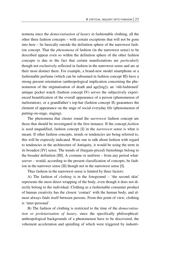nomena since the *democratisation of luxury* in fashionable clothing, all the other three fashion concepts – with certain exceptions that will not be gone into here – lie basically outside the definition sphere of the narrowest fashion concept. That the *phenomena* of fashion (in the narrowest sense) to be described appear even so within the definition sphere of the other fashion concepts is due to the fact that certain manifestations are *particularly* though not exclusively reflected in fashion in the narrowest sense and are at their most distinct there. For example, a brand-new model smartphone or a fashionable perfume (which can be subsumed in fashion concept III) have a strong present orientation (anthropological implication concerning the phenomenon of the stigmatisation of death and age[ing]); an 'old-fashioned' antique pocket watch (fashion concept IV) serves the subjectively experienced beautification of the overall appearance of a person (phenomenon of melioration), or a grandfather's top-hat (fashion concept II) guarantees the element of appearance on the stage of social everyday life (phenomenon of putting-on-stage, staging).

The phenomena that cluster round the *narrowest* fashion concept are those that should be investigated in the first instance. If the concept *fashion* is used unqualified, fashion concept [I] in the *narrowest* sense is what is meant. If other fashion concepts, trends or tendencies are being referred to, this will be expressly indicated. Were one to talk about fashion with regard to tendencies in the architecture of Antiquity, it would be using the term in its broadest [IV] sense. The trends of (bargain-priced) furnishings belong to the broader definition [III]. A costume or uniform – from any period whatsoever – would, according to the present classification of concepts, be fashion in the narrower sense [II] though not in the narrowest sense [I].

Thus fashion in the narrowest sense is limited by three factors:

A) The fashion of *clothing* is in the foreground – 'the second skin' represents the most direct wrapping of the body, even though it does not directly belong to the individual. Clothing as a fashionable consumer product of human creativity has the closest 'contact' with the human body, and almost always finds itself between persons. From this point of view, clothing is 'inter-personal'.

B) The fashion of clothing is restricted to the time of the *democratisation or proletarisation of luxury*, since the specifically philosophicalanthropological backgrounds of a phenomenon have to be discovered, the vehement acceleration and spiralling of which were triggered by industri-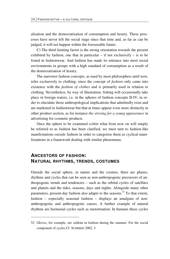alisation and the democratisation of consumption and luxury. These processes have never left the social stage since that time and, as far as can be judged, it will not happen within the foreseeable future.

C) The third limiting factor is the strong orientation towards the present exhibited by fashion, one that in particular  $-$  if not exclusively  $-$  is to be found in fashionwear. And fashion has made its entrance into most social environments in groups with a high standard of consumption as a result of the democratisation of luxury.

The narrower fashion concepts, as used by most philosophers until now, refer exclusively to clothing, since the concept of *fashion* only came into existence with the *fashion of clothes* and is primarily used in relation to clothing. Nevertheless, by way of illustration, fishing will occasionally take place in foreign waters, i.e. in the spheres of fashion concepts II-IV, in order to elucidate those anthropological implications that admittedly exist and are marketed in fashionwear but that at times appear even more distinctly in other product section, as for instance *the striving for a young appearance* in advertising for cosmetic products.

Once the sphere to be examined *within* what from now on will simply be referred to as fashion has been clarified, we must turn to fashion-like manifestations *outside* fashion in order to categorise them as cyclical manifestations in a framework dealing with similar phenomena.

#### **ANCESTORS OF FASHION: NATURAL RHYTHMS, TRENDS, COSTUMES**

-

Outside the social sphere, in nature and the cosmos, there are phases, rhythms and cycles that can be seen as non-anthropogenic precursors of anthropogenic trends and tendencies – such as the orbital cycles of satellites and planets and the tides, seasons, days and nights. Alongside many other parameters, present-day fashion also adapts to the seasons.<sup>52</sup> To that extent, fashion – especially seasonal fashion – displays an amalgam of nonanthropogenic and anthropogenic causes. A further example of natural rhythms are hormonal cycles such as menstruation. In humans these cycles

<sup>52</sup> Gloves, for example, are seldom in fashion during the summer. For the social component of cycles Cf. SCHMIED 2002, 5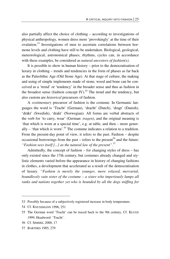also partially affect the choice of clothing – according to investigations of physical anthropology, women dress more 'provokingly' at the time of their ovulation.53 Investigations of men to ascertain correlations between hormone levels and clothing have still to be undertaken. Biological, geological, meteorological, astronomical phases, rhythms, cycles can, in accordance with these examples, be considered as *natural ancestors of fashion(s)*.

It is possible to show in human history – prior to the democratisation of luxury in clothing – trends and tendencies in the form of phases as far back as the Paleolithic Age (Old Stone Age). At that stage of culture, the making and using of simple implements made of stone, wood and bone can be conceived as a 'trend' or 'tendency' in the broader sense and thus as fashion in the broadest sense (fashion concept IV).<sup>54</sup> The trend and the tendency, but also custom are *historical* precursors of fashion.

A *vestimentary* precursor of fashion is the costume. In Germanic languages the word is 'Tracht' (German), 'dracht' (Dutch), 'dragt' (Danish), 'dräkt' (Swedish), 'drakt' (Norwegian). All forms are verbal abstracts of the verb for 'to carry, wear' (German: *tragen*), and the original meaning is 'that which is worn at a special time', e.g. at table, and then – more generally – 'that which is worn'*.* 55 The costume indicates a relation to a tradition. From the present-day point of view, it refers to the past. Fashion – despite occasional borrowings from the past – refers to the present<sup>56</sup> and the future: *"Fashion sees itself [...] as the natural law of the present"*. 57

Admittedly, the concept of fashion – for changing styles of dress – has only existed since the 17th century, but costumes already changed and stylistic elements varied before the appearance in history of changing fashions in clothes, a development that accelerated as a result of the democratisation of luxury. *"Fashion is merely the younger, more relaxed, mercurial, boundlessly vain sister of the costume – a sister who imperiously lumps all ranks and nations together yet who is hounded by all the dogs sniffing for* 

<sup>53</sup> Possibly because of a subjectively registered increase in body temperature.

<sup>54</sup> Cf. KNUSSMANN 1996, 251

<sup>55</sup> The German word 'Tracht' can be traced back to the 9th century, Cf. KLUGE 1999, Headword: 'Tracht'.

<sup>56</sup> Cf. SIMMEL 2000, 17

<sup>57</sup> BARTHES 1985, 279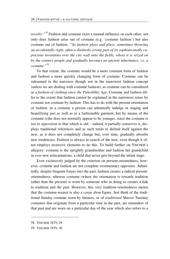*novelty."58* Fashion and costume exert a mutual influence on each other: not only does fashion arise out of costume (e.g. 'costume fashion') but also costume out of fashion: *"So fashion plays and plays, sometimes throwing an accidentally right, often a distinctly wrong part of its sophisticatedly capricious inventions over the city wall onto the fields, where it is seized on by the country people and gradually becomes an ancient inheritance, i.e. a costume."59*

To that extent, the costume would be a more constant form of fashion and fashion a more quickly changing form of costume. Costume can be subsumed in the narrower though not in the narrowest fashion concept (unless we are dealing with costume fashion), as costume can be considered as a *fashion of clothing since the Paleolithic Age*. Costume and fashion differ to the extent that fashion cannot be explained in the narrowest sense by costume nor costume by fashion. This has to do with the present-orientation of fashion: in a costume a person can admittedly indulge in staging and beautifying just as well as in a fashionable garment, but by means of the costume (s)he does not normally appear to be younger, since the costume is *not in opposition* to that which is old – indeed, it partially conserves it, displays traditional references and as such tends to defend itself against the new, as it does not completely change but, over time, gradually absorbs new tendencies. Fashion is always in search of the new, even though it often employs recursive elements to do this. To build further on VISCHER's allegory: costume is the sprightly grandmother and fashion her grandchild in ever new reincarnations, a child that never gets beyond the infant stage.

Even exclusively judged by the criterion on present-orientedness, however, costume and fashion are not complete vestimentary opposites. Admittedly, despite frequent forays into the past, fashion creates a radical presentorientedness, whereas costume (where the orientation is towards tradition rather than the present) is worn by someone who in doing so creates a link to tradition and the past. However, this very tradition-orientedness means that the costume-wearer is also a *carpe diem* figure. Just think of the traditional Sunday costume worn by farmers, or of *traditional* Shrove Tuesday costumes that originate from a particular time in the past, are reminders of that past and are worn on a particular day of the year which also refers to a

-

<sup>58</sup> VISCHER 1879, 29

<sup>59</sup> VISCHER 1879, 30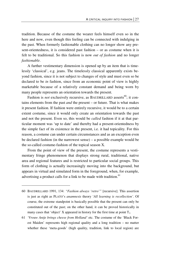tradition. Because of the costume the wearer feels himself even so in the here and now, even though this feeling can be connected with indulging in the past. When formerly fashionable clothing can no longer show any present-orientedness, it is considered past fashion – or as costume when it is felt to be traditional. So this fashion is now *out of fashion* and no longer *fashionable*.

A further vestimentary dimension is opened up by an item that is timelessly 'classical', e.g. jeans. The timelessly classical apparently exists beyond fashion, since it is not subject to changes of style and must even so be declared to be *in* fashion, since from an economic point of view is highly marketable because of a relatively constant demand and being worn by many people represents an orientation towards the present.

Fashion is *not* exclusively recursive, as BAUDRILLARD asserts<sup>60</sup>; it contains elements from the past *and* the present – or future. That is what makes it present fashion. If fashion were entirely recursive, it would be to a certain extent costume, since it would only create an orientation towards the past and not the present. Even so, this would be *called* fashion if it at that particular moment was 'up to date' and thereby had a present-orientedness by the simple fact of its existence in the present, i.e. it had topicality. For this reason, a costume can under certain circumstances and as an exception even be declared fashion (in the narrowest sense) – a possible example would be the so-called costume-fashion of the topical season X.

From the point of view of the present, the costume represents a vestimentary fringe phenomenon that displays strong rural, traditional, native area and regional features and is restricted to particular social groups. This form of clothing is actually increasingly moving into the background, but appears in virtual and simulated form in the foreground, when, for example, advertising a product calls for a link to be made with tradition.<sup>61</sup>

<sup>60</sup> BAUDRILLARD 1991, 134: *"Fashion always 'retro'"* [recursive]. This assertion is just as right as PLATO's *anamnesis* theory '*All learning is recollection'*. Of course, the extreme standpoint is basically possible that the present can only be constituted out of the past; on the other hand, it can be proved historically in many cases that 'object'  $X$  appeared in history for the first time at point  $T_1$ .

<sup>61</sup> *'Vrouw Antje brings cheese from Holland'* etc. The costume of the 'Black Forest Maiden' represents high regional quality and a long tradition – no matter whether these 'meta-goods' (high quality, tradition, link to local region) are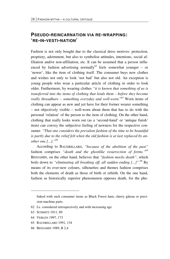#### **PSEUDO-REINCARNATION VIA RE-WRAPPING: 'RE-IN-VESTI-NATION'**

Fashion is not only bought due to the classical dress motives: protection, propriety, adornment, but also to symbolise attitudes, intentions, social affiliation and/or non-affiliation, etc. It can be assumed that a person influenced by fashion advertising normally<sup>62</sup> feels somewhat younger – or 'newer', like the item of clothing itself. The consumer buys new clothes and wishes not only to look 'not bad' but also not old. An exception is young people who wear a particular article of clothing in order to look older. Furthermore, by wearing clothes *"it is known that something of us is transferred into the items of clothing that lends them – before they become really threadbare – something everyday and well-worn.*" 63 Worn items of clothing can appear as new and yet have for their former wearer something – not objectively visible – well-worn about them that has to do with the personal 'relation' of the person to the item of clothing. On the other hand, clothing that really looks worn out (as a 'second-hand' or 'antique finish' item) can convey the subjective feeling of newness for the respective consumer. *"That one considers the prevalent fashion of the time to be beautiful is partly due to the relief felt when the old fashion is at last replaced by another one [...]."64* 

According to BAUDRILLARD, *"because of the abolition of the past"* fashion comprises *"death and the ghostlike resurrection of forms."*<sup>65</sup> BENJAMIN, on the other hand, believes that *"fashion mocks death"*, which boils down to *"eliminating all breaking off, all sudden ending [...]"*. *<sup>66</sup>* By means of its ever-new colours, silhouettes and themes fashion comprises both the elements of death as those of birth or rebirth. On the one hand, fashion as historically superior phenomenon opposes death, for the phe-

<u>.</u>

linked with such consumer items as Black Forest ham, cherry gâteau or precision machine parts.

<sup>62</sup> I.e. considered retrospectively and with increasing age.

<sup>63</sup> SCHMITZ 1911, 89

<sup>64</sup> VEBLEN 1997, 173

<sup>65</sup> BAUDRILLARD 1991, 134

<sup>66</sup> BENJAMIN 1989, B 2,4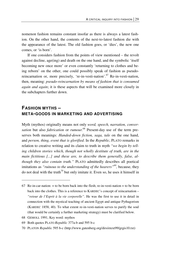nomenon fashion remains constant insofar as there is always a latest fashion. On the other hand, the contents of the next-to-latest fashion die with the appearance of the latest. The old fashion goes, or 'dies', the new one comes, or 'is born'.

If one considers fashion from the points of view mentioned – the revolt against decline, age(ing) and death on the one hand, and the symbolic 'itself becoming new once more' or even constantly 'returning to clothes and being reborn' on the other, one could possibly speak of fashion as pseudoreincarnation or, more precisely, 're-in-vesti-nation'.<sup>67</sup> Re-in-vesti-nation, then, meaning: *pseudo-reincarnation by means of fashion that is consumed again and again*; it is these aspects that will be examined more closely in the subchapters further down.

#### **FASHION MYTHS – META-GOODS IN MARKETING AND ADVERTISING**

Myth (mythos) originally means not only *word, speech, narration, conversation* but also *fabrication* or *rumour.*68 Present-day use of the term preserves both meanings: *Handed-down fiction, saga, tale* on the one hand, and *person, thing, event that is glorified*. In the *Republic*, PLATO remarks in relation to creative writing and its claim to truth in myth *"we begin by telling children stories which, though not wholly destitute of truth, are in the main fictitious [...] and these are, to describe them generally, false, although they also contain truth."* PLATO admittedly describes all poetical imitations as *"ruinous to the understanding of the hearers"*, because, they do not deal with the truth*<sup>70</sup>* but only imitate it. Even so, he uses it himself in

68 GEMOLL 1991, Key word: mythos

 $\overline{\phantom{0}}$ 

<sup>67</sup> Re-in-car-nation:  $\equiv$  to be born back into the flesh; re-in-vesti-nation  $\equiv$  to be born back into the clothes. This is a reference to KARDEC's concept of reincarnation – *"retour de l'Esprit à la vie corporelle"*. He was the first to use it in detail in connection with the mystical teaching of ancient Egypt and antique Pythagorism (KARDEC 1858, 40). To what extent re-in-vesti-nation serves to purify the soul (that would be certainly a further marketing strategy) must be clarified below.

<sup>69</sup> Both quotes PLATO *Republic* 377a-b and 595 b-c

<sup>70</sup> PLATON *Republic* 595 b-c (http://www.gutenberg.org/dirs/etext99/grgis10.txt)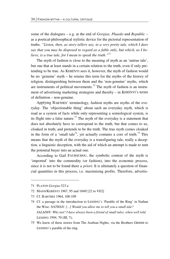some of the dialogues – e.g. at the end of *Gorgias, Phaedo* und *Republic* – as a poetical-philosophical stylistic device for the pictorial representation of truths. *"Listen, then, as story-tellers say, to a very pretty tale, which I dare say that you may be disposed to regard as a fable only, but which, as I believe, is a true tale, for I mean to speak the truth*.*"*<sup>71</sup>

The myth of fashion is close to the meaning of myth as an 'untrue tale', but one that at least stands in a certain relation to the truth, even if only pretending to be true. As KERÉNYI sees it, however, the myth of fashion would be no 'genuine' myth – he retains this term for the myths of the history of religion, distinguishing between them and the 'non-genuine' myths, which are instruments of political movements.<sup>72</sup> The myth of fashion is an instrument of advertising marketing strategists and thereby – in KERÉNYI's terms of definition – non-genuine.

Applying BARTHES' terminology, fashion myths are myths of the everyday. The 'objectionable thing' about such an everyday myth, which is read as a system of facts while only representing a semiological system, is its flight into a false nature.<sup>73</sup> The myth of the everyday is a statement that does not absolutely have to correspond to the truth, but that comes to us, cloaked in truth, and pretends to be the truth. The true myth comes cloaked in the form of a 'small tale<sup>74</sup>, yet actually contains a core of truth.<sup>75</sup> This means that the myth of the everyday is a transfiguring tale, really a deception, a linguistic deception, with the aid of which an attempt is made to turn the potential buyer into an actual one.

According to Gail FAURSCHOU, the symbolic content of the myth is 'imported' into the commodity (or fashion), into the economic process, since it is not to be found there *a priori*. It is ultimately a question of financial quantities in this process, i.e. maximising profits. Therefore, advertis-

**.** 

<sup>71</sup> PLATON *Gorgias* 523 a

<sup>72</sup> MANN/KERÉNYI 1967, 95 and 104ff [22 to VI/2]

<sup>73</sup> Cf. BARTHES 1964, 108-109

<sup>74</sup> Cf. a passage in the introduction to LESSING's 'Parable of the Ring' in Nathan the Wise: *NATHAN: [...] Would you allow me to tell you a small tale? SALADIN: Why not? I have always been a friend of small tales, when well told.*  LESSING 1994, 70 (III, 7);

<sup>75</sup> We know of these stories from The Arabian Nights, via the Brothers GRIMM to LESSING's parable of the ring.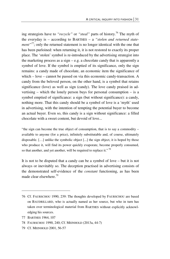ing strategists have to "*recycle*" or "*steal*" parts of history.<sup>76</sup> The myth of the everyday is – according to BARTHES – a *"stolen and returned statement*<sup>"77</sup>; only the returned statement is no longer identical with the one that has been purloined: when returning it, it is not restored to exactly its proper place. The 'stolen' symbol is re-introduced by the advertising strategist into the marketing process as a sign – e.g. a chocolate candy that is apparently a symbol of love. If the symbol is emptied of its significance, only the sign remains: a candy made of chocolate, an economic item the significance of which – love – cannot be passed on via this economic candy-transaction. A candy from the beloved person, on the other hand, is a symbol that retains significance (love) as well as sign (candy). The love candy praised in advertising – which the lonely person buys for personal consumption – is a symbol emptied of significance: a sign (but without significance): a candy, nothing more. That this candy should be a symbol of love is a 'myth' used in advertising, with the intention of tempting the potential buyer to become an actual buyer. Even so, this candy is a sign without significance: a filled chocolate with a sweet content, but devoid of love...

"the sign can become the true object of consumption, that is to say a commodity – available to anyone (for a price), infinitely substitutable and, of course, ultimately disposable. […] unlike the symbolic object [...] the sign object, it is hoped by those who produce it, will find its power quickly evaporate, become properly consumed, so that another, and yet another, will be required to replace it."<sup>78</sup>

It is not to be disputed that a candy can be a symbol of love – but it is not always or inevitably so. The deception practised in advertising consists of the demonstrated self-evidence of the *constant* functioning, as has been made clear elsewhere.<sup>79</sup>

<sup>76</sup> Cf. FAURSCHOU 1990, 239: The thoughts developed by FAURSCHOU are based on BAUDRILLARD, who is actually named as her source, but who in turn has taken over terminological material from BARTHES without explicitly acknowledging his sources.

<sup>77</sup> BARTHES 1964, 107

<sup>78</sup> FAURSCHOU 1990, 240; Cf. MEINHOLD (2013a, 44-7)

<sup>79</sup> Cf. MEINHOLD 2001, 56-57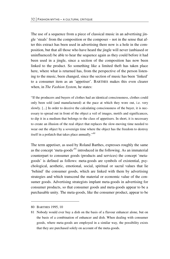The use of a sequence from a piece of classical music in an advertising jingle 'steals' from the composition or the composer – not in the sense that after this extract has been used in advertising there now is a hole in the composition, but that all those who have heard the jingle will never (unbiased or uninfluenced) be able to hear the sequence again as they could before it had been used in a jingle, since a section of the composition has now been linked to the product. So something like a limited theft has taken place here, where what is returned has, from the perspective of the person listening to the music, been changed, since the section of music has been 'linked' to a consumer item as an 'appetiser'. BARTHES makes this even clearer when, in *The Fashion System*, he states:

"If the producers and buyers of clothes had an identical consciousness, clothes could only been sold (and manufactured) at the pace at which they wore out, i.e. very slowly. [...] In order to deceive the calculating consciousness of the buyer, it is necessary to spread out in front of the object a veil of images, motifs and significances, to dip it in a medium that belongs to the class of appetisers. In short, it is necessary to create an illusion of the real object that replaces the slow-moving time needed to wear out the object by a sovereign time where the object has the freedom to destroy itself in a potlatch that takes place annually."*<sup>80</sup>*

The term appetiser, as used by Roland Barthes, expresses roughly the same as the concept 'meta-goods'<sup>81</sup> introduced in the following. As an immaterial counterpart to consumer goods (products and services) the concept 'metagoods' is defined as follows: meta-goods are symbols of existential, psychological, aesthetic, emotional, social, spiritual or sacral values that lie 'behind' the consumer goods, which are linked with them by advertising strategies and which transcend the material or economic value of the consumer goods. Advertising strategists implant meta-goods in advertising for consumer products, so that consumer goods and meta-goods appear to be a purchasable unity. The meta-goods, like the consumer product, appear to be

**.** 

<sup>80</sup> BARTHES 1995, 10

<sup>81</sup> Nobody would ever buy a dish on the basis of a flavour enhancer alone, but on the basis of a combination of enhancer and dish. When dealing with consumer goods, where meta-goods are employed in a similar way, the possibility exists that they are purchased solely on account of the meta-goods.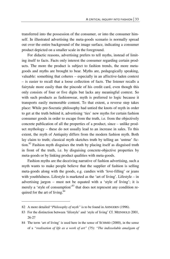transferred into the possession of the consumer, or into the consumer himself. In illustrated advertising the meta-goods scenario is normally spread out over the entire background of the image surface, indicating a consumer product depicted on a smaller scale in the foreground.

For didactic reasons, advertising prefers to tell myths, instead of limiting itself to facts. Facts only interest the consumer regarding certain products. The more the product is subject to fashion trends, the more metagoods and myths are brought to bear. Myths are, pedagogically speaking, valuable: something that coheres – especially in an affective-laden context – is easier to recall that a loose collection of facts. The listener recalls a fairytale more easily than the pincode of his credit card, even though this only consists of four or five digits but lacks any meaningful context. So with such products as fashionwear, myth is preferred to logic because it transports easily memorable content. To that extent, a reverse step takes place: While pre-Socratic philosophy had untied the knots of myth in order to get at the truth behind it, advertising 'ties' new myths for certain fashion consumer goods in order to escape from the truth, i.e. from the objectively concrete publication of all the properties of a product, since – unlike product mythology – these do not usually lead to an increase in sales. To this extent, the myth of Antiquity differs from the modern fashion myth. Both lay claim to truth; classical myth sketches truth by telling an 'untrue' fiction.<sup>82</sup> Fashion myth disguises the truth by placing itself as disguised truth in front of the truth, i.e. by disguising concrete-objective properties by meta-goods or by linking product qualities with meta-goods.

Fashion myths are the deceiving narrative of fashion advertising, such a myth wants to make people believe that the supplier of fashion is selling meta-goods along with the goods, e.g. candies with 'love-filling' or jeans with youthfulness. Lifestyle is marketed as the 'art of living'. Lifestyle – in advertising jargon – must not be equated with a 'style of living'; it is merely a 'style of consumption'<sup>83</sup> that does not represent any condition required for the art of living.<sup>84</sup>

<sup>82</sup> A more detailed "*Philosophy of myth"* is to be found in AHNGERN (1996).

<sup>83</sup> For the distinction between 'lifestyle' and 'style of living' Cf. MEINHOLD 2001, 26-27

<sup>84</sup> The term 'art of living' is used here in the sense of SCHMID (2000), in the sense of a *"realisation of life as a work of art"* (75): *"The indissoluble amalgam of*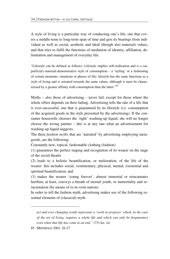A style of living is a particular way of conducting one's life, one that covers a middle-term to long-term span of time and gets its bearings from individual as well as social, aesthetic and ideal (though also material) values, and that tries to fulfil the functions of mediation of identity, affiliation, delimitation and management of everyday life.

"Lifestyle can be defined as follows: Lifestyle implies self-realisation and is a (superficial) material-demonstrative style of consumption – a 'styling' or a fashioning of certain moments, situations or phases of life; lifestyle has the same functions as a style of living and is oriented towards the same values, although it must be characterised by a greater affinity with consumption than the latter."<sup>85</sup>

Myths – also those of advertising – never fail, except for those where the whole effect depends on their failing. Advertising tells the tale of a life that is ever-successful, one that is guaranteed by its lifestyle (i.e. consumption of the acquired goods in the style presented by the advertising). If the consumer housewife chooses the 'right' washing-up liquid, she will no longer choose the wrong partner – this is at any rate what an advertisement for washing-up liquid suggests.

The three *fashion myths* that are 'narrated' by advertising employing metagoods, are the following:

Constantly new, topical, fashionable clothing (fashion)

(1) guarantees the perfect staging and recognition of its wearer on the stage of the social theatre

(2) leads to a holistic beautification, or melioration, of the life of the wearer: this includes social, vestimentary, physical, mental, existential and spiritual beautification, and

(3) makes the wearer 'young forever', almost immortal or reincarnates her/him; at least, conveys a breath of eternal youth, or immortality and reincarnation (by means of re-in-vesti-nation).

In order to tell the fashion myth, advertising makes use of the following essential elements of (classical) myth:

<u>.</u>

*act and ever-changing result represents a 'work in progress' which, in the case of the art of living, requires a whole life and which can only be fragmentary even when that life has come to an end."* (73) loc. cit.

<sup>85</sup> MEINHOLD 2001, 26-27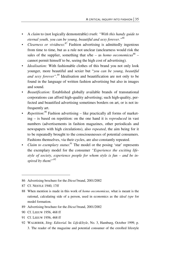- A *claim* to (not logically demonstrable) *truth*: *"With this handy guide to eternal youth, you can be young, beautiful and sexy forever."86*
- *Clearness or vividness*: 87 Fashion advertising is admittedly ingenious from time to time, but as a rule not unclear (unclearness would risk the sales of the supplier, something that  $s/he - as *homo oeconomicus*<sup>88</sup>$ cannot permit himself to be, seeing the high cost of advertising).
- *Idealisation:* With fashionable clothes of this brand you not only look younger, more beautiful and sexier but "*you can be young, beautiful and sexy forever".89* Idealisation and beautification are not only to be found in the language of written fashion advertising but also in images and sound.
- *Beautification:* Established globally available brands of transnational corporations can afford high-quality advertising; such high-quality, perfected and beautified advertising sometimes borders on art, or is not infrequently art.
- *Repetition*:<sup>90</sup> Fashion advertising like practically all forms of marketing – is based on repetition: on the one hand it is *reproduced* in vast numbers (advertisements in fashion magazines, other periodicals and newspapers with high circulations), also *repeated*, the aim being for it to be repeatedly brought to the consciousnesses of potential consumers. Fashions themselves, via their cycles, are also constantly repeated.
- *Claim to exemplary status*:<sup>91</sup> The model or the posing 'star' represents the exemplary model for the consumer *"Experience the exciting lifestyle of society, experience people for whom style is fun – and be inspired by them!"*<sup>92</sup>

- 89 Advertising brochure for the *Diesel* brand, 2001/2002
- 90 Cf. LEEUW 1956, 468 ff
- 91 Cf. LEEUW 1956, 468 ff
- 92 WALBERER, Jörg: *Editorial*. In: *Life&Style*, No. 3, Hamburg, October 1999, p. 3. The reader of the magazine and potential consumer of the extolled lifestyle

<sup>86</sup> Advertising brochure for the *Diesel* brand, 2001/2002

<sup>87</sup> Cf. NESTLE 1940, 17ff

<sup>88</sup> When mention is made in this work of *homo oeconomicus*, what is meant is the rational, calculating side of a person, used in economics as the *ideal type* for model formation.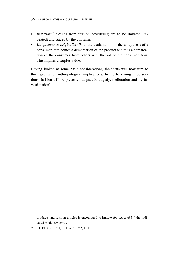- *Imitation*: 93 Scenes from fashion advertising are to be imitated (repeated) and staged by the consumer.
- *Uniqueness* or *originality:* With the exclamation of the uniqueness of a consumer item comes a demarcation of the product and thus a demarcation of the consumer from others with the aid of the consumer item. This implies a surplus value.

Having looked at some basic considerations, the focus will now turn to three groups of anthropological implications. In the following three sections, fashion will be presented as pseudo-tragedy, melioration and 're-investi-nation'.

1

products and fashion articles is encouraged to imitate (*be inspired by*) the indicated model (*society*).

<sup>93</sup> Cf. ELIADE 1961, 19 ff and 1957, 40 ff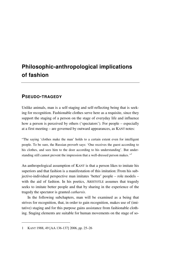# **Philosophic-anthropological implications of fashion**

## **PSEUDO-TRAGEDY**

Unlike animals, man is a self-staging and self-reflecting being that is seeking for recognition. Fashionable clothes serve here as a requisite, since they support the staging of a person on the stage of everyday life and influence how a person is perceived by others ('spectators'). For people – especially at a first meeting – are governed by outward appearances, as KANT notes:

"The saying 'clothes make the man' holds to a certain extent even for intelligent people. To be sure, the Russian proverb says: 'One receives the guest according to his clothes, and sees him to the door according to his understanding'. But understanding still cannot prevent the impression that a well-dressed person makes.*"1*

An anthropological assumption of KANT is that a person likes to imitate his superiors and that fashion is a manifestation of this imitation: From his subjective-individual perspective man imitates 'better' people – role models – with the aid of fashion. In his poetics, ARISTOTLE assumes that tragedy seeks to imitate better people and that by sharing in the experience of the tragedy the spectator is granted *catharsis*.

In the following subchapters, man will be examined as a being that strives for recognition, that, in order to gain recognition, makes use of (imitative) staging and for this purpose gains assistance from fashionable clothing. Staging elements are suitable for human movements on the stage of so-

<sup>1</sup> KANT 1988, 49 [AA 136-137] 2006, pp. 25–26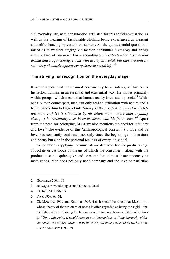cial everyday life, with consumption activated for this self-dramatisation as well as the wearing of fashionable clothing being experienced as pleasant and self-enhancing by certain consumers. So the quintessential question is raised as to whether staging via fashion constitutes a *tragedy* and brings about a kind of *catharsis*. For – according to GOFFMAN – the *"issues that drama and stage technique deal with are often trivial, but they are universal – they obviously appear everywhere in social life."*<sup>2</sup>

### **The striving for recognition on the everyday stage**

It would appear that man cannot permanently be a 'solivagus'<sup>3</sup> but needs his fellow humans in an essential and existential way. He moves primarily within groups, which means that human reality is constantly social.<sup>4</sup> Without a human counterpart, man can only feel an affiliation with nature and a belief. According to Eugen Fink *"Man [is] the greatest stimulus for his fellow-man. [...] He is stimulated by his fellow-man – more than anything else. [...] he essentially lives in co-existence with his fellow-men."5* Apart from the need for belonging, MASLOW also mentions the need for intimacy and love.<sup>6</sup> The evidence of this 'anthropological constant' (to love and be loved) is constantly confirmed not only since the beginnings of literature and poetry but also in the personal feelings of every individual.

Corporations supplying consumer items also advertise for products (e.g. chocolate or cat food) by means of which the consumer – along with the products – can acquire, give and consume love almost instantaneously as meta-goods. Man does not only need company and the love of particular

<u>.</u>

<sup>2</sup> GOFFMAN 2001, 18

<sup>3</sup> solivagus = wandering around alone, isolated

<sup>4</sup> Cf. KOJÈVE 1996, 23

<sup>5</sup> FINK 1969, 63-64,

<sup>6</sup> Cf. MASLOW 1999 and KLEBER 1996, 4-6. It should be noted that MASLOW – whose theory of the structure of needs is often regarded as being too rigid – immediately after explaining the hierarchy of human needs immediately relativises it: *"Up to this point, it would seem in our descriptions as if the hierarchy of basic needs was a fixed order – it is, however, not nearly as rigid as we have implied.*" MASLOW 1997, 79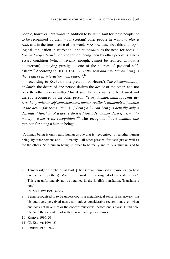people, however,<sup>7</sup> but wants in addition to be *important* for these people, or to be recognised by them – for (certain) other people he wants to *play a role*, and in the truest sense of the word. MASLOW describes this anthropological implication in *motivation* and *personality* as the need for *recogni*tion and self-esteem.<sup>8</sup> For recognition, being seen by other people is a necessary condition (which, trivially enough, cannot be realised without a counterpart); enjoying prestige is one of the sources of personal selfesteem.<sup>9</sup> According to HEGEL (KOJÈVE), "the real and true human being is *the result of its interaction with others"*. 10

According to KOJÉVE's interpretation of HEGEL's *The Phenomenology of Spirit*, the desire of one person desires the *desire* of the other, and not only the other person *without* his desire. He also wants to be desired and thereby recognised by the other person; *"every human, anthropogenic desire that produces self-consciousness, human reality is ultimately a function of the desire for recognition. [...] Being a human being is actually only a dependent function of a desire directed towards another desire, i.e. – ultimately – a desire for recognition."11* This recognition*<sup>12</sup>* is a *conditio sine qua no*n for being a human being:

"A human being is only really human as one that is 'recognised' by another human being, by other persons and – ultimately – all other persons: for itself just as well as for the others. So a human being, in order to be really and truly a 'human' and to

- 8 Cf. MASLOW 1999, 62-87
- 9 Being recognised is to be understood in a metaphorical sense. BEETHOVEN, via his auditively perceived music still enjoys considerable recognition, even when one does not have him or the concert musicians 'before one's eyes'. Blind people 'see' their counterpart with their remaining four senses.
- 10 KOJÈVE 1996, 33

- 11 Cf. KOJÈVE 1996, 23
- 12 KOJÈVE 1996, 24-25

<sup>7</sup> Temporarily or in phases, at least. [The German term used is 'Ansehen' (= how one is seen by others). Much use is made in the original of the verb 'to see'. This can unfortunately not be retained in the English translation. Translator's note]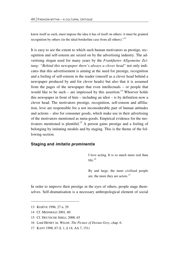know itself as such, must impose the idea it has of itself on others: it must be granted recognition by others (in the ideal borderline case from all others)."*<sup>13</sup>*

It is easy to see the extent to which such human motivators as prestige, recognition and self-esteem are seized on by the advertising industry. The advertising slogan used for many years by the *Frankfurter Allgemeine Zeitung: "Behind this newspaper there's always a clever head"* not only indicates that this advertisement is aiming at the need for prestige, recognition and a feeling of self-esteem in the reader (oneself as a clever head behind a newspaper produced by and for clever heads) but also that it is assumed from the pages of the newspaper that even intellectuals – or people that would like to be such – are impressed by this assertion.<sup>14</sup> Whoever holds this newspaper in front of him – including an idiot – is by definition now a clever head. The motivators prestige, recognition, self-esteem and affiliation, love are responsible for a not inconsiderable part of human attitudes and actions – also for consumer goods, which make use in their advertising of the motivators mentioned as meta-goods. Empirical evidence for the motivators mentioned is plentiful.<sup>15</sup> A person gains prestige and a feeling of belonging by imitating models and by staging. This is the theme of the following section.

#### **Staging and** *imitatio prominentis*

I love acting. It is so much more real than life*. 16*

By and large, the more civilised people are, the more they are actors.*<sup>17</sup>*

In order to improve their prestige in the eyes of others, people stage themselves. Self-dramatisation is a necessary anthropological element of social

**.** 

<sup>13</sup> KOJÈVE 1996, 27 u. 29

<sup>14</sup> Cf. MEINHOLD 2001, 60

<sup>15</sup> Cf. DEUTSCHE SHELL 2000, 65

<sup>16</sup> Lord HENRY in: WILDE: *The Picture of Dorian Grey*, chap. 6.

<sup>17</sup> KANT 1998, 67 (I, 1, § 14; AA 7, 151)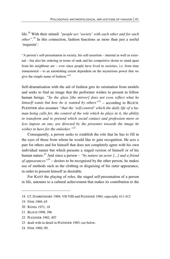life.18 With their stimuli *"people act 'society' with each other and for each other*".<sup>19</sup> In this connection, fashion functions as more than just a useful 'requisite':

"A person's self-presentation in society, his self-assertion – internal as well as external – but also his ordering in terms of rank and his competitive desire to stand apart from his neighbour are – ever since people have lived in societies, i.e. from time immemorial – to an astonishing extent dependent on the mysterious power that we give the simple name of fashion."*<sup>20</sup>*

Self-dramatisation with the aid of fashion gets its orientation from models and seeks to find an image that the performer wishes to present to fellow human beings. *"So the glass [the mirror] does not even reflect what he himself wants but how he is wanted by others* $v^{21}$  – according to BLOCH. PLESSNER also assumes *"that the 'self-control' which the daily life of a human being calls for, the control of the role which he plays in it, the ability to transform and to pretend which social contact and profession more or less impose on one, are directed by the presenter towards the image he wishes to have for the onlooker."<sup>22</sup>*

Consequently, a person seeks to establish the role that he has to fill in the eyes of those from whom he would like to gain recognition. He acts a part for others and for himself that does not completely agree with his own individual nature but which presents a staged version of himself or of his human nature.<sup>23</sup> And since a person – "*by nature an actor [...] and a friend of appearances"*24 – desires to be recognised by the other person, he makes use of methods such as the clothing or disguising of his outer appearance, in order to present himself as desirable.

For KANT the playing of roles, the staged self-presentation of a person in life, amounts to a cultural achievement that makes its contribution to the

<sup>18</sup> Cf. DAHRENDORF 1969, VII-VIII und PLESSNER 1984, especially 411-412

<sup>19</sup> FINK 1969, 65

<sup>20</sup> KÖNIG 1971, 18

<sup>21</sup> BLOCH 1998, 396

<sup>22</sup> PLESSNER 1982, 407

<sup>23</sup> dealt with in detail in PLESSNER 1985; see below.

<sup>24</sup> FINK 1969, 99;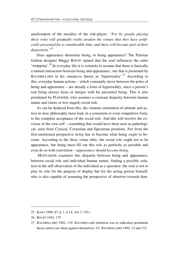amelioration of the morality of the role-player: *"For by people playing these roles will gradually really awaken the virtues that they have artificially presented for a considerable time, and these will become part of their disposition."25*

Does appearance determine being, or being appearance? The Parisian fashion designer Maggy ROUFF opined that the soul influences the outer 'wrapping'.<sup>26</sup> In everyday life it is certainly to assume that there is basically a mutual interaction between being and appearance, one that is presented by BAUDRILLARD in his *simulacra* theory as 'hyperreality'.<sup>27</sup> According to this, everyday human actions – which constantly move between the poles of being and appearance – are already a form of hyperreality, since a person's real being always fuses or merges with his presented being. This is also postulated by PLESSNER, who assumes a constant disparity between human nature and (more or less staged) social role.

As can be deduced from this, the virtuous orientation of attitude and action in stoic philosophy must lead, in a consistent or even compulsive form, to the complete acceptance of the social role. And this will involve the excision of the own self – something that would have been seen as pathological, seen from Cynical, Cyraenian and Epicurean positions. For from the first-mentioned perspective *being* has to become what being *ought* to become. According to the Stoic virtue ethic, the social role ought not to be appearance, but being must fill out this role as perfectly as possible and even do so with conviction – *appearance should become being*.

 MONTAIGNE examines this disparity between being and appearance, between social role and individual human nature, finding a possible solution in the self-observation of the individual as a spectator: the soul is not to play its role for the purpose of display but for the acting person himself, who is also capable of assuming the perspective of observer towards him-

<u>.</u>

<sup>25</sup> KANT 1998, 67 (I, 1, § 14; AA 7, 151)

<sup>26</sup> ROUFF 1942, 175

<sup>27</sup> BAUDRILLARD 1982, 119. BAUDRILLARD intention was to radicalise prominent theses and to use them against themselves. Cf. BAUDRILLARD 1984, 12 and 315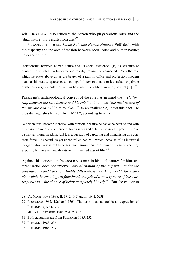self.<sup>28</sup> ROUSSEAU also criticises the person who plays various roles and the 'dual nature' that results from this<sup>29</sup>

PLESSNER in his essay *Social Role and Human Nature* (1960) deals with the disparity and the area of tension between social roles and human nature; he describes the

"relationship between human nature and its social existence" [is] "a structure of doubles, in which the role-bearer and role-figure are interconnected". "Via the role which he plays above all as the bearer of a rank in office and profession, modern man has his status, represents something. [...] next to a more or less nebulous private existence, everyone cuts – as well as he is able – a public figure [or] several  $[...]$ .<sup>30</sup>

PLESSNER's anthropological concept of the role has in mind the *"relationship between the role-bearer and his role"* and it notes *"the dual nature of the private and public individual"*<sup>31</sup> as an inalienable, inevitable fact. He thus distinguishes himself from MARX, according to whom

"a person must become identical with himself, because he has once been so and with this basic figure of coincidence between inner and outer possesses the prerequisite of a spiritual-moral freedom. [...] It is a question of capturing and humanising this concrete force – a second, as yet uncontrolled nature – which, because of its industrial reorganisation, alienates the person from himself and robs him of his self-esteem by exposing him to ever new threats to his inherited way of life."*<sup>32</sup>*

Against this conception PLESSNER sets man in his dual nature: for him, externalisation does not involve *"any alienation of the self but – under the present-day conditions of a highly differentiated working world, for example, which the sociological functional analysis of a society more of less corresponds to – the chance of being completely himself."33* But the chance to

- 30 all quotes PLESSNER 1985, 231, 234, 235
- 31 Both quotations are from PLESSNER 1985, 232
- 32 PLESSNER 1985, 236

 $\overline{a}$ 

33 PLESSNER 1985, 237

<sup>28</sup> Cf. MONTAIGNE 1988, II, 17, 2, 647 and II, 16, 2, 623f

<sup>29</sup> ROUSSEAU 1962, 186f and 1761. The term 'dual nature' is an expression of PLESSNER's, see below.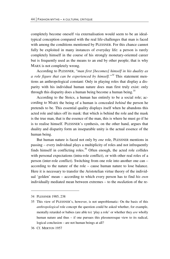completely become oneself via externalisation would seem to be an idealtypical conception compared with the real life-challenges that man is faced with among the conditions mentioned by PLESSNER. For this chance cannot fully be exploited in many instances of everyday life: a person is rarely completely himself in the course of his strongly monetary-oriented career but is frequently used as the means to an end by other people; that is why MARX is not completely wrong.

According to PLESSNER, "*man first [becomes] himself in his duality as a role figure that can be experienced by himself."<sup>34</sup>* This statement mentions an anthropological constant: Only in playing roles that display a disparity with his individual human nature does man first truly exist: only through this disparity does a human being become a human being.<sup>35</sup>

According to the Stoics, a human has entirely to be a social role; according to MARX the being of a human is concealed *behind* the person he pretends to be. This essential quality displays itself when he abandons this acted role and takes off its mask: that which is behind the role and the mask is the true man, that is the essence of the man, this is where he must go if he is to realise himself. PLESSNER's synthesis, on the other hand, argues that duality and disparity form an inseparable unity is the actual essence of the human being.

But human nature is faced not only by *one* role, PLESSNER mentions in passing – every individual plays a multiplicity of roles and not infrequently finds himself in conflicting roles.<sup>36</sup> Often enough, the acted role collides with personal expectations (intra-role conflict), or with other real roles of a person (inter-role conflict). Switching from one role into another one can – according to the nature of the role – cause human nature to lose balance. Here it is necessary to transfer the Aristotelian virtue theory of the individual 'golden' mean – according to which every person has to find *his own* individually mediated mean between extremes – to the *media*tion of the re-

-

<sup>34</sup> PLESSNER 1985, 238

<sup>35</sup> This view of PLESSNER's, however, is not unproblematic: On the basis of this *anthropological* role concept the question could be asked whether, for example, mentally retarded or babies (are able to) 'play a role' or whether they *are* wholly human nature and thus – if one pursues this plessneresque view to its radical, logical conclusion – are not human beings at all?

<sup>36</sup> Cf. MERTON 1957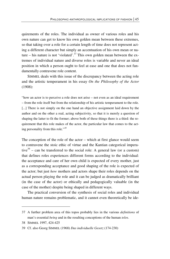quirements of the roles. The individual as owner of various roles and his own nature can get to know his own golden mean between these extremes, so that taking over a role for a certain length of time does not represent acting a different character but simply an accentuation of his own mean or nature – his nature is not 'violated'.<sup>37</sup> This own golden mean between the extremes of individual nature and diverse roles is variable and never an ideal position in which a person ought to feel at ease and one that does not fundamentally contravene role content.

SIMMEL deals with this issue of the discrepancy between the acting role and the artistic temperament in his essay *On the Philosophy of the Actor* (1908):

"how an actor is to perceive a role does not arise – not even as an ideal requirement – from the role itself but from the relationship of his artistic temperament to the role. [...] There is not simply on the one hand an objective assignment laid down by the author and on the other a real, acting subjectivity, so that it is merely a question of shaping the latter to fit the former; above both of these things there is a third: the requirement that this role makes of the actor, the particular law that comes to the acting personality from this role."*<sup>38</sup>*

The conception of the role of the actor – which at first glance would seem to contravene the stoic ethic of virtue and the Kantian categorical imperative $39$  – can be transferred to the social role: A general law (or a custom) that defines roles experiences different forms according to the individual: the acceptance and care of her own child is expected of every mother, just as a corresponding acceptance and good shaping of the role is expected of the actor; but just *how* mothers and actors shape their roles depends on the actual person playing the role and it can be judged as dramatically brilliant (in the case of the actor) or ethically and pedagogically valuable (in the case of the mother) despite being shaped in different ways.

The practical conversion of the synthesis of social roles and individual human nature remains problematic, and it cannot even theoretically be ide-

<sup>37</sup> A further problem area of this topos probably lies in the various *definitions* of man's essential *being* and in the resulting conceptions of the human *telos*.

<sup>38</sup> SIMMEL 1997, 424-425

<sup>39</sup> Cf. also Georg SIMMEL (1968) *Das individuelle Gesetz* (174-230)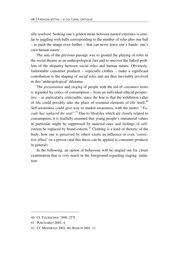ally resolved. Seeking one's golden mean between named extremes is similar to juggling with balls corresponding to the number of roles plus one ball – to push the image even further – that can never leave one's hands: one's own human nature.

The aim of the previous passage was to ground the playing of roles in the social theatre as an anthropological fact and to uncover the linked problem of the disparity between social roles and human nature. Obviously, fashionable consumer products – especially clothes – make a significant contribution to the shaping of social roles and are thus inevitably involved in this 'anthropological' dilemma.

The *presentation* and *staging* of people with the aid of *consumer items* is regarded by critics of consumption – from an individual-ethical perspective – as particularly criticisable, since the fear is that the exhibition value of life could possibly take the place of essential elements of life itself.<sup>40</sup> Self-awareness could give way to market-awareness, with the motto: *"Facade has replaced the soul"*. *<sup>41</sup>* Due to lifestyles which are closely related to consumption, it is fearfully assumed that young people's immaterial values in particular might be suppressed by material ones and feelings of selfesteem be replaced by brand-esteem.<sup>42</sup> Clothing is a kind of rhetoric of the body; how one is perceived by others exerts an influence or even 'corrective effect' on a person (and this thesis can be applied to consumer products in general).

In the following, an option of behaviour will be singled out for closer examination that is very much in the foreground regarding staging: imitation.

<u>.</u>

<sup>40</sup> Cf. FAURSCHOU 1990, 257f

<sup>41</sup> POSCHARDT 2001, 4

<sup>42</sup> Cf. MEINHOLD 2001, 60; REISCH 2001, 11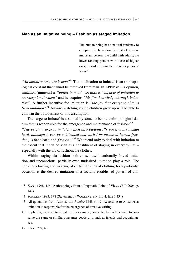#### **Man as an imitative being – Fashion as staged imitation**

The human being has a natural tendency to compare his behaviour to that of a more important person (the child with adults, the lower-ranking person with those of higher rank) in order to imitate the other persons' ways.*<sup>43</sup>*

*"An imitative creature is man"*<sup>44</sup> The 'inclination to imitate' is an anthropological constant that cannot be removed from man. In ARISTOTLE's opinion, imitation (mimesis) is *"innate in man"*, for man is *"capable of imitation to an exceptional extent"* and he acquires *"his first knowledge through imitation"*. A further incentive for imitation is *"the joy that everyone obtains from imitation".*45 Anyone watching young children grow up will be able to confirm the obviousness of this assumption.

The 'urge to imitate' is assumed by some to be the anthropological datum that is responsible for the emergence and maintenance of fashion: <sup>46</sup>

*"The original urge to imitate, which also biologically governs the human herd, although it can be sublimated and varied by means of human freedom, is the element of 'fashion'."47* We intend only to deal with imitation to the extent that it can be seen as a constituent of staging in everyday life – especially with the aid of fashionable clothes.

Within staging via fashion both conscious, intentionally forced imitation and unconscious, partially even undesired imitation play a role. The conscious buying and wearing of certain articles of clothing for a particular occasion is the desired imitation of a socially established pattern of atti-

<sup>43</sup> KANT 1998, 184 (Anthropology from a Pragmatic Point of View, CUP 2006, p. 142).

<sup>44</sup> SCHILLER 1983, 178 (Statement by WALLENSTEIN, III, 4, line 1,434)

<sup>45</sup> All quotations from ARISTOTLE: *Poetics* 1448 b 4-9; According to ARISTOTLE imitation is responsible for the emergence of creative writing.

<sup>46</sup> Implicitly, the need to imitate is, for example, concealed behind the wish to consume the same or similar consumer goods or brands as friends and acquaintances.

<sup>47</sup> FINK 1969, 46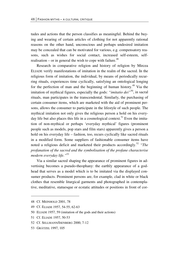tudes and actions that the person classifies as meaningful. Behind the buying and wearing of certain articles of clothing for not apparently rational reasons on the other hand, unconscious and perhaps undesired imitation may be concealed that can be motivated for various, e.g. compensatory reasons, such as wishes for social contact, increased self-esteem, selfrealisation – or in general the wish to cope with failure.<sup>48</sup>

Research in comparative religion and history of religion by Mircea ELIADE verify manifestations of imitation in the realm of the sacred. In the religious form of imitation, the individual, by means of periodically recurring rituals, experiences time cyclically, satisfying an ontological longing for the perfection of man and the beginning of human history.<sup>49</sup> Via the imitation of mythical figures, especially the gods: *"imitatio dei"*50, in sacral rituals, man participates in the transcendental. Similarly, the purchasing of certain consumer items, which are marketed with the aid of prominent persons, allows the consumer to participate in the lifestyle of such people. The mythical imitation not only gives the religious person a hold on his everyday life but also places this life in a cosmological context.<sup>51</sup> Even the imitation of non-mythical or perhaps 'everyday mythical' figures (prominent people such as models, pop stars and film stars) apparently gives a person a hold on his everyday life – fashion, too, recurs cyclically like sacred rituals in a modified form. Some suppliers of fashionable consumer items have noted a religious deficit and marketed their products accordingly.<sup>52</sup> *"The profanation of the sacred and the symbolisation of the profane characterise modern everyday life."*<sup>53</sup>

Via a similar sacred shaping the appearance of prominent figures in advertising becomes a pseudo-theophany: the earthly appearance of a godhead that serves as a model which is to be imitated via the displayed consumer products. Prominent persons are, for example, clad in white or black clothes that resemble liturgical garments and photographed in contemplative, meditative, statuesque or ecstatic attitudes or positions in front of cor-

-

<sup>48</sup> Cf. MEINHOLD 2001, 78

<sup>49</sup> Cf. ELIADE 1957, 54-55; 62-63

<sup>50</sup> ELIADE 1957, 59 (imitation of the gods and their actions)

<sup>51</sup> Cf. ELIADE 1957, 50-53

<sup>52</sup> Cf. SELLMANN/ISENBERG 2000, 7-12

<sup>53</sup> GRÄTZEL 1997, 105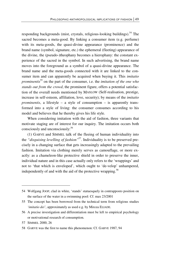responding backgrounds (mist, crystals, religious-looking buildings).<sup>54</sup> The sacred becomes a meta-good. By linking a consumer item (e.g. perfume) with its meta-goods, the quasi-divine appearance (prominence) and the brand name (symbol, signature, etc.) the ephemeral (fleeting) appearance of the divine, the (pseudo-)theophany becomes a hierophany: the constant experience of the sacred in the symbol. In such advertising, the brand name moves into the foreground as a symbol of a quasi-divine appearance. The brand name and the meta-goods connected with it are linked to the consumer item and can apparently be acquired when buying it. This *imitatio prominentis*55 on the part of the consumer, i.e. the *imitation of the one who stands out from the crowd*, the prominent figure, offers a potential satisfaction of the overall needs mentioned by MASLOW (Self-realisation, prestige, increase in self-esteem, affiliation, love, security); by means of the *imitatio prominentis*, a lifestyle – a style of consumption – is apparently transformed into a style of living: the consumer consumes according to his model and believes that he thereby gives his life style.

When considering imitation with the aid of fashion, three variants that motivate staging are of interest for our inquiry. The imitation occurs both consciously and unconsciously:<sup>56</sup>

(1) GARVE and SIMMEL talk of the fleeing of human individuality into the *"disguising levelling of fashion"*57. Individuality is to be preserved precisely in a changing surface that gets increasingly adapted to the prevailing fashion. Imitation via clothing merely serves as camouflage, or more exactly: as a chameleon-like protective shield in order to preserve the inner, individual nature and in this case actually only refers to the 'wrappings' and not to 'that which is enveloped', which ought to 'de-velop' unhampered, independently of and with the aid of the protective wrapping.<sup>58</sup>

<sup>54</sup> Wolfgang JOOP, clad in white, 'stands' statuesquely in contrapposto position on the surface of the water in a swimming pool: Cf. max 23/2001

<sup>55</sup> The concept has been borrowed from the technical term from religious studies *'imitatio dei'*, approximately as used e.g. by Mircea ELIADE.

<sup>56</sup> A precise investigation and differentiation must be left to empirical psychology or motivational research of consumption.

<sup>57</sup> SIMMEL 2000, 26

<sup>58</sup> GARVE was the first to name this phenomenon: Cf. GARVE 1987, 94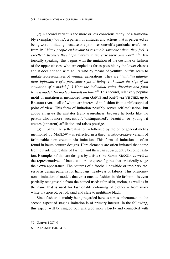(2) A second variant is the more or less conscious 'copy' of a fashionably exemplary 'outfit', a pattern of attitudes and actions that is perceived as being worth imitating, because one promises oneself a particular usefulness from it: *"Many people endeavour to resemble someone whom they feel is excellent, because they hope thereby to increase their own worth."*59 Historically speaking, this begins with the imitation of the costume or fashion of the upper classes, who are copied as far as possible by the lower classes and it does not end with adults who by means of youthful outfits seem to imitate representatives of younger generations. They are *"imitative adaptations informative of a particular style of living, [...] under the sign of an emulation of a model [...] Here the individual gains direction and form from a model. He models himself on him."60* This second, relatively popular motif of imitation is mentioned from GARVE and KANT via VISCHER up to BAUDRILLARD – all of whom are interested in fashion from a philosophical point of view. This form of imitation possibly serves self-realisation, but above all gives the imitator (self-)assuredness, because he looks like the person who is more 'successful', 'distinguished', 'beautiful' or 'young'; it creates (apparent) affiliation and raises prestige.

(3) In particular, self-realisation – followed by the other general motifs mentioned by MASLOW – is reflected in a third, artistic-creative variant of fashionable new creation via imitation. This form of imitation is often found in haute couture designs. Here elements are often imitated that come from outside the realms of fashion and then can subsequently become fashion. Examples of this are designs by artists (like Bazon BROCK), as well as the representatives of haute couture or queer figures that artistically stage their own appearance. The patterns of a football, cowhide or tree-bark etc. serve as design patterns for handbags, headwear or fabrics. This phenomenon – imitation of models that exist outside fashion inside fashion – is even partially recognisable from the named used: tulip skirt, melon, as well as in the name that is used for fashionable colouring of clothes – from ivory white via apricot, petrol, sand and slate to nighttime black.

Since fashion is mainly being regarded here as a mass phenomenon, the second aspect of staging imitation is of primary interest. In the following, this aspect will be singled out, analysed more closely and connected with

1

<sup>59</sup> GARVE 1987, 9

<sup>60</sup> PLESSNER 1982, 416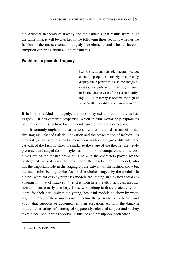the Aristotelian theory of tragedy and the catharsis that results from it. At the same time, it will be checked in the following three sections whether the fashion of the masses contains tragedy-like elements and whether its consumption can bring about a kind of catharsis.

#### **Fashion as pseudo-tragedy**

[...] via fashion, this play-acting without content, people alternately reciprocally display their power to cause the insignificant to be significant; in this way it seems to be the classic case of the act of signifying [...]. In that way it became the sign of what 'really' constitutes a human being.<sup>61</sup>

If fashion is a kind of tragedy, the possibility exists that – like classical tragedy – it has cathartic properties, which in turn would help explain its popularity. In this section, fashion is interpreted as a pseudo-tragedy.

 It certainly ought to be easier to show that the third variant of imitative staging – that of artistic innovation and the presentation of fashion – is a tragedy, since parallels can be drawn here without any great difficulty: the catwalk of the fashion show is similar to the stage of the theatre; the newly presented and staged fashion styles can not only be compared with the costumes out of the theatre props but also with the characters played by the protagonists – for it is not the presenter of the new fashion (the model) who has the important role in the staging on the catwalk of the fashion show but the main roles belong to the fashionable clothes staged by the models. In clothes worn for display purposes models are staging an elevated social environment – that of *haute couture*. It is from here the ultra-rich gain inspiration and occasionally also buy. Those who belong to this elevated environment, for their part, imitate the young, beautiful models on show by wearing the clothes of these models and enacting the presentation of beauty and youth that supports or accompanies their elevation. As with the dandy a mutual, alternating influencing of (apparently) elevated subject and society takes place; both parties observe, influence and presuppose each other.

<sup>61</sup> BARTHES 1995, 294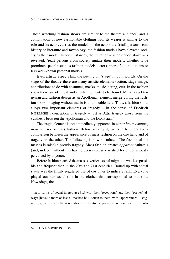Those watching fashion shows are similar to the theatre audience, and a combination of new fashionable clothing with its wearer is similar to the role and its actor. Just as the models of the actors are (real) persons from history or literature and mythology, the fashion models have elevated society as their model. In both instances, the imitation – as described above – is reversed: (real) persons from society imitate their models, whether it be prominent people such as fashion models, actors, sports folk, politicians or less well-known personal models.

 Even artistic aspects link the putting on 'stage' in both worlds. On the stage of the theatre there are many artistic elements (action, stage image, contributions to do with costumes, masks, music, acting, etc). In the fashion show there are identical and similar elements to be found. Music as a Dionysian and fashion design as an Apollonian element merge during the fashion show – staging without music is unthinkable here. Thus, a fashion show alloys two important elements of tragedy – in the sense of Friedrich NIETZSCHE's conception of tragedy – just as Attic tragedy arose from the synthesis between the Apollonian and the Dionysian.<sup>62</sup>

The tragic element is not immediately apparent, in either *haute couture*, *prêt-à-porter* or mass fashion. Before seeking it, we need to undertake a comparison between the appearance of mass fashion on the one hand and of tragedy on the other. The following is now postulated: The fashion of the masses is (also) a pseudo-tragedy. Mass fashion creates *apparent* catharsis (and, indeed, without this having been expressly wished for or consciously perceived by anyone).

Before fashion reached the masses, vertical social migration was less possible and frequent than in the 20th and 21st centuries. Bound up with social status was the firmly regulated use of costumes to indicate rank. Everyone played out her social role in the clothes that corresponded to that role. Nowadays, the

"major forms of social intercourse [...] with their 'receptions' and their 'parties' always [have] a more or less a 'masked ball' touch to them, with 'appearances', 'stagings', great poses, self-presentations, a 'theatre of passions and vanities' [...]. Fash-

62 Cf. NIETZSCHE 1976, 383

<u>.</u>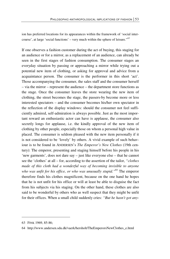ion has preferred locations for its appearances within the framework of 'social intercourse', at large 'social functions' – very much within the sphere of leisure."*<sup>63</sup>*

If one observes a fashion customer during the act of buying, this staging for an audience or for a mirror, as a replacement of an audience, can already be seen in the first stages of fashion consumption. The consumer stages an everyday situation by passing or approaching a mirror while trying out a potential new item of clothing, or asking for approval and advice from a acquaintance person. The consumer is the performer in this short 'act'. Those accompanying the consumer, the sales staff and the consumer herself – via the mirror – represent the audience – the department store functions as the stage. Once the consumer leaves the store wearing the new item of clothing, the street becomes the stage, the passers-by become more or less interested spectators – and the consumer becomes his/her own spectator in the reflection of the display windows: should the consumer not feel sufficiently admired, self-admiration is always possible. Just as the most important reward an enthusiastic actor can have is applause, the consumer also secretly longs for applause, i.e. the kindly approval of the new item of clothing by other people, especially those on whom a personal high value in placed. The consumer is seldom pleased with the new item personally if it is not considered to be 'lovely' by others. A vivid example of such behaviour is to be found in ANDERSEN's *The Emperor's New Clothes* (19th century): The emperor, presenting and staging himself before his people in his 'new garments', does not dare say – just like everyone else – that he cannot see the 'clothes' at all – for, according to the assertion of the tailor, *"clothes made of this cloth had a wonderful way of becoming invisible to anyone who was unfit for his office, or who was unusually stupid."*64 The emperor therefore finds his clothes magnificent, because on the one hand he hopes that he is not unfit for his office or will at least be able to disguise the fact from his subjects via his staging. On the other hand, these clothes are also said to be wonderful by others who as well suspect that they might be unfit for their offices. When a small child suddenly cries: *"But he hasn't got any-*

<sup>63</sup> FINK 1969, 85-86;

<sup>64</sup> http://www.andersen.sdu.dk/vaerk/hersholt/TheEmperorsNewClothes\_e.html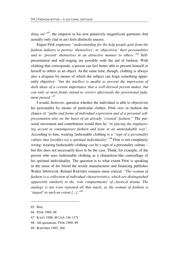*thing on!*"<sup>65</sup>, the emperor in his new putatively magnificent garments (but actually only clad in air) feels distinctly uneasy.

Eugen FINK expresses *"understanding for the help people gain from the fashion industry to portray 'themselves', to 'objectivise' their personalities and to 'present' themselves in an attractive manner to others."66* Selfpresentation and self-staging are possible with the aid of fashion. With clothing that corresponds, a person can feel better able to present himself or herself to others as an object. At the same time, though, clothing is always also a *dis*guise by means of which the subject can feign something apparently objective: *"but the intellect is unable to prevent the impression of dark ideas of a certain importance that a well-dressed person makes, but can only at most firmly intend to correct afterwards the provisional judgment passed."67*

I would, however, question whether the individual is able to objectivise his personality by means of particular clothes. FINK sees in fashion the chance of *"paths and forms of individual expression and of a personal selfpresentation also on the basis of an already 'created' fashion."* The personal movement and contribution would then lie *"in placing the emphasising accent in contemporary fashion and taste in an unmistakable way"*. According to him, wearing fashionable clothing is a *"sign of a personality culture that [testifies to] a spiritual individuality"*. 68 FINK is not completely wrong: wearing fashionable clothing *can* be a sign of a personality culture – but this does not necessarily have to be the case. Think, for example, of the person who uses fashionable clothing as a chameleon-like camouflage of his spiritual individuality. The question is to what extent FINK is speaking in the sense of his friend the textile manufacturer and financing publisher Walter SPENGLER. Roland BARTHES remains more critical: *"The woman of fashion is a collection of individual characteristics, which are distinguished apparently similarly to the 'role compartments' of classical drama. The analogy is not even repeated all that much, as the woman of fashion is 'staged' to such an extent [...]."69*

1

- 67 KANT 1998, 49 [AA 136-137]
- 68 All quotations: FINK 1969, 89
- 69 BARTHES 1995, 260

<sup>65</sup> Ibid.

<sup>66</sup> FINK 1969, 88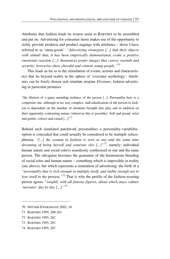Attributes that fashion lends its wearer seem to BARTHES to be assembled and put on. Advertising for consumer items makes use of the opportunity to richly provide products and product stagings with attributes – those I have referred to as 'meta-goods': *"Advertising strategists [...] link their objects with stimuli that, it has been empirically demonstrated, evoke a positive emotional reaction [...]. Insurances prefer images that convey warmth and security; breweries show cheerful and content young people."70*

This leads as far as to the stimulation of events, actions and characteristics that lie beyond reality in the sphere of 'everyday mythology'. Attributes can be freely chosen and simulate utopian *Elysiums*; fashion advertising in particular promises

"the illusion of a quasi unending richness of the person [...]. Personality here is a composite one, although in no way complex; individualisation of the person in fashion is dependent on the number of elements brought into play and in addition on their apparently contrasting nature (wherever this is possible). Soft and proud, strict and gentle, correct and casual [...]"<sup>71</sup>

Behind such simulated patchwork personalities a personality-variabilityoption is concealed that could actually be considered to be multiple schizophrenia. *"[...] the woman in fashion is seen at one and the same time dreaming of being herself and someone else [...]"72*, namely: individual human nature *and* social role(s) seamlessly synthesised in one and the same person. The (dis)guise becomes the guarantee of the harmonious blending of social roles and human nature – something which is impossible in reality (see above), but which represents a simulation of advertising: the birth of a *"personality that is rich enough to multiply itself, and stable enough not to lose itself in the process.*<sup>73</sup> That is why the profile of the fashion-wearing person agrees *"roughly with all famous figures, about which mass culture 'narrates' day by day [...]."*<sup>74</sup>

72 BARTHES 1995, 262

- 73 BARTHES 1995, 263
- 74 BARTHES 1995, 267

<sup>70</sup> SPITZER-EWERSMANN 2002, 34

<sup>71</sup> BARTHES 1995, 260-261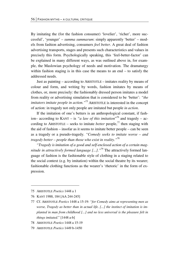By imitating the (for the fashion consumer) 'lovelier', 'richer', more successful', 'younger' – *summa summarum*: simply apparently 'better' – models from fashion advertising, consumers *feel better*. A great deal of fashion advertising transports, stages and presents such characteristics and values in precisely this form. Psychologically speaking, this 'feel-better-factor' can be explained in many different ways, as was outlined above in, for example, the Maslowian psychology of needs and motivation. The dramaturgy within fashion staging is in this case the means to an end – to satisfy the addressed needs.

Just as painting – according to ARISTOTLE – imitates reality by means of colour and form, and writing by words, fashion imitates by means of clothes, or, more precisely: the fashionably dressed person imitates a model from reality or advertising simulation that is considered to be 'better': *"the imitators imitate people in action."*<sup>75</sup> ARISTOTLE is interested in the concept of action: in tragedy not only people are imitated but people *in action*.

If the imitation of one's betters is an anthropological constant, if fashion– according to KANT – is *"a law of this imitation*" 76 and tragedy – according to ARISTOTLE – seeks to imitate *better* people,<sup>77</sup> then staging with the aid of fashion – insofar as it seems to imitate better people – can be seen as a tragedy or a pseudo-tragedy. *"Comedy seeks to imitate worse – and tragedy better – people than those who exist in reality."*<sup>78</sup>

*"Tragedy is imitation of a good and self-enclosed action of a certain magnitude in attractively formed language [...]."*79 The attractively formed language of fashion is the fashionable style of clothing in a staging related to the social context (e.g. by imitation) within the social theatre by its wearer; fashionable clothing functions as the wearer's 'rhetoric' in the form of expression.

**.** 

76 KANT 1988, 184 [AA 244-245]

- 78 ARISTOTLE *Poetics* 1448 a 15-19
- 79 ARISTOTLE *Poetics* 1449 b-1450

<sup>75</sup> ARISTOTLE *Poetics* 1448 a 1

<sup>77</sup> Cf. ARISTOTLE *Poetics* 1448 a 15-19: *"for Comedy aims at representing men as worse, Tragedy as better than in actual life. [...] the instinct of imitation is implanted in man from childhood [...] and no less universal is the pleasure felt in things imitated*." [1448 a-b]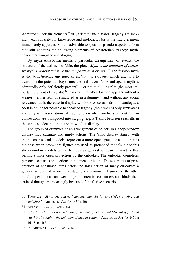Admittedly, certain elements<sup>80</sup> of (Aristotelian-)classical tragedy are lacking – e.g. capacity for knowledge and melodics. Nor is the tragic element immediately apparent. So it is advisable to speak of pseudo-tragedy, a form that still contains the following elements of Aristotelian tragedy: myth, characters, language and staging.

By myth ARISTOTLE means a particular arrangement of events, the structure of the action, the fable, the plot. *"Myth is the imitation of action. By myth I understand here the composition of events*". <sup>81</sup> The fashion-myth is the *transfiguring narrative of fashion advertising*, which attempts to transform the potential buyer into the real buyer. Now and again, myth is admittedly only deficiently present<sup>82</sup> – or not at all – as plot (the most important element of tragedy)  $83$ , for example when fashion appears without a wearer – either real, or simulated as in a dummy – and without any social relevance, as is the case in display windows or certain fashion catalogues. So it is no longer possible to speak of tragedy (the *action* is only simulated) and only with reservations of staging, even when products without human connections are transposed into staging, e.g. a T-shirt between seashells in the sand as a decoration in a shop-window display.

The group of dummies or an arrangement of objects in a shop-window display thus *simulate* and imply actions. The 'shop-display stages' with their scenarios and 'models' represent a more open space for action than is the case when prominent figures are used as pretended models, since this show-window models are to be seen as general wildcard characters that permit a more open projection by the onlooker. The onlooker completes persons, scenarios and actions in his mental picture. These variants of presentation of consumer items offers the imagination of many onlookers a greater freedom of action. The staging via prominent figures, on the other hand, appeals to a narrower range of potential consumers and binds their train of thought more strongly because of the fictive scenarios.

<sup>80</sup> These are: "*Myth, characters, language, capacity for knowledge, staging and melodics."* (ARISTOTLE *Poetics* 1450 a 10)

<sup>81</sup> ARISTOTLE *Poetics* 1450 a 3-4

<sup>82</sup> *"For tragedy is not the imitation of men but of actions and life-reality [...] and via this also mainly the imitation of men in action."* ARISTOTLE *Poetics* 1450 a 16-18 and b 3-4

<sup>83</sup> Cf. ARISTOTLE *Poetics* 1450 a 16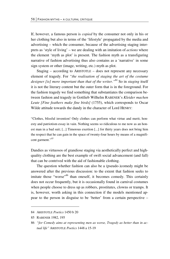If, however, a famous person is *copied* by the consumer not only in his or her clothing but also in terms of the 'lifestyle' propagated by the media and advertising – which the consumer, because of the advertising staging interprets as 'style of living' – we are dealing with an imitation of *actions* where the element 'myth as plot' is present. The fashion myth as a transfiguring narrative of fashion advertising thus also contains as a 'narrative' in some sign system or other (image, writing, etc.) myth as plot.

Staging  $-$  according to ARISTOTLE  $-$  does not represent any necessary element of tragedy. For *"the realisation of staging the art of the costume designer [is] more important than that of the writer."*84 So in *staging* itself it is not the literary content but the outer form that is in the foreground. For the fashion tragedy we find something that substantiates the comparison between fashion and tragedy in Gottlieb Wilhelm RABENER's *Kleider machen Leute [Fine feathers make fine birds]* (1755), which corresponds to Oscar Wilde attitude towards the dandy in the character of Lord HENRY:

"Clothes, blissful invention! Only clothes can perform what virtue and merit, honesty and patriotism essay in vain. Nothing seems so ridiculous to me now as an honest man in a bad suit; [...] Timorous exertion [...] for thirty years does not bring him the respect that he can gain in the space of twenty-four hours by means of a magnificent garment."*<sup>85</sup>*

Dandies as virtuosos of grandiose staging via aesthetically perfect and highquality clothing are the best example of swift social advancement (and fall) that can be contrived with the aid of fashionable clothing.

The question whether fashion can also be a (pseudo-)comedy might be answered after the previous discussion: to the extent that fashion seeks to imitate those "worse"<sup>86</sup> than oneself, it becomes comedy. This certainly does not occur frequently, but it is occasionally found in carnival costumes when people choose to dress up as robbers, prostitutes, clowns or tramps. It is, however, worth asking in this connection if the models mentioned appear to the person in disguise to be 'better' from a certain perspective –

-

<sup>84</sup> ARISTOTLE *Poetics* 1450 b 20

<sup>85</sup> RABENER 1982, 195

<sup>86</sup> *"for Comedy aims at representing men as worse, Tragedy as better than in actual life"* ARISTOTLE *Poetics* 1448 a 15-19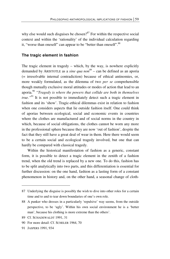why else would such disguises be chosen?<sup>87</sup> For within the respective social context and within the 'rationality' of the individual calculation regarding it, "worse than oneself" can appear to be "better than oneself".<sup>88</sup>

#### **The tragic element in fashion**

The tragic element in tragedy – which, by the way, is nowhere explicitly demanded by ARISTOTLE as a *sine qua non*<sup>89</sup> – can be defined as an aporia (= irresolvable internal contradiction) because of ethical antinomies, or, more weakly formulated, as the dilemma of two *per se* comprehensible though mutually exclusive moral attitudes or modes of action that lead to an aporia.90 *"Tragedy is where the powers that collide are both in themselves true.*"<sup>91</sup> It is not possible to immediately detect such a tragic element in fashion and its 'show'. Tragic-ethical dilemmas exist in relation to fashion when one considers aspects that lie outside fashion itself. One could think of aporias between ecological, social and economic events in countries where the clothes are manufactured and of social norms in the country in which, because of social obligations, the clothes cannot be worn any more in the professional sphere because they are now 'out of fashion', despite the fact that they still have a great deal of wear in them. Here there would seem to be a certain social and ecological tragedy involved, but one that can hardly be compared with classical tragedy.

Within the historical manifestation of fashion as a generic, constant form, it is possible to detect a tragic element in the zenith of a fashion trend, when the old trend is replaced by a new one. To do this, fashion has to be split analytically into two parts, and this differentiation is essential for further discussion: on the one hand, fashion as a lasting form of a constant phenomenon in history and, on the other hand, a seasonal change of cloth-

 $\overline{\phantom{0}}$ 

<sup>87</sup> Underlying the disguise is possibly the wish to dive into other roles for a certain time and to and to tear down boundaries of one's own role.

<sup>88</sup> A punker who dresses in a particularly 'repulsive' way seems, from the outside perspective, to be 'ugly'. Within his own social environment he is a 'better man', because his clothing is more extreme than the others'.

<sup>89</sup> Cf. SCHADEWALDT 1991, 31

<sup>90</sup> For more detail: Cf. SCHELER 1964, 70

<sup>91</sup> JASPERS 1991, 934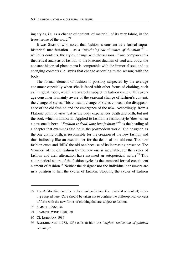ing styles, i.e. as a change of content, of material, of its very fabric, in the truest sense of the word. $92$ 

It was SIMMEL who noted that fashion is constant as a formal suprahistorical manifestation – as a *"psychological shimmer of duration"*93 – while its contents, the styles, change with the seasons. If one compares this theoretical analysis of fashion to the Platonic dualism of soul and body, the constant historical phenomena is comparable with the immortal soul and its changing contents (i.e. styles that change according to the season) with the body.

The formal element of fashion is possibly suspected by the average consumer especially when s/he is faced with other forms of clothing, such as liturgical robes, which are scarcely subject to fashion cycles. This average consumer is mainly aware of the seasonal change of fashion's content, the change of styles. This constant change of styles conceals the disappearance of the old fashion and the emergence of the new. Accordingly, from a Platonic point of view just as the body experiences death and birth, but not the soul, which is immortal. Applied to fashion, a fashion style 'dies' when a new one is born. *"Fashion is dead, long live fashion?"*<sup>94</sup> is the heading of a chapter that examines fashion in the postmodern world. The designer, as the one giving birth, is responsible for the creation of the new fashion and thus indirectly like an executioner for the death of the old one. The new fashion ousts and 'kills' the old one because of its increasing presence. The 'murder' of the old fashion by the new one is inevitable, for the cycles of fashion and their alternation have assumed an autopoietical nature.<sup>95</sup> This autopoietical nature of the fashion cycles is the immortal formal constituent element of fashion.<sup>96</sup> Neither the designer nor the individual consumers are in a position to halt the cycles of fashion. Stopping the cycles of fashion

**.** 

<sup>92</sup> The Aristotelian doctrine of form and substance (i.e. material or content) is being essayed here. Care should be taken not to confuse the philosophical concept of form with the new forms of clothing that are subject to fashion.

<sup>93</sup> SIMMEL 1996b, 34

<sup>94</sup> SOMMER, WIND 1988, 191

<sup>95</sup> Cf. LUHMANN 1984

<sup>96</sup> BAUDRILLARD (1982, 133) calls fashion the *"highest realisation of political economy"*.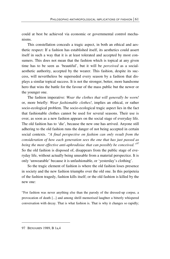could at best be achieved via economic or governmental control mechanisms.

This constellation conceals a tragic aspect, in both an ethical and aesthetic respect: If a fashion has established itself, its aesthetics could assert itself in such a way that it is at least tolerated and accepted by most consumers. This does not mean that the fashion which is topical at any given time has to be seen as 'beautiful', but it will be *perceived* as a socialaesthetic authority, accepted by the wearer. This fashion, despite its success, will nevertheless be superseded every season by a fashion that displays a similar topical success. It is not the stronger, better, more handsome hero that wins the battle for the favour of the mass public but the newer or the younger one.

The fashion imperative: *Wear the clothes that will generally be worn!* or, more briefly: *Wear fashionable clothes!*, implies an ethical, or rather socio-ecological problem. The socio-ecological tragic aspect lies in the fact that fashionable clothes cannot be used for several seasons. Their use is over, as soon as a new fashion appears on the social stage of everyday life. The old fashion has to 'die', because the new one has arrived. Anyone still adhering to the old fashion runs the danger of not being accepted in certain social contexts. *"A final perspective on fashion can only result from the consideration of how each generation sees the one that has just passed as being the most effective anti-aphrodisiac that can possibly be conceived."97* So the old fashion is disposed of, disappears from the public stage of everyday life, without actually being unusable from a material perspectice. It is only 'unwearable' because it is unfashionable, or 'yesterday's clothing'.

So the tragic element of fashion is where the old fashion loses presence in society and the new fashion triumphs over the old one. In this peripeteia of the fashion tragedy, fashion kills itself; or the old fashion is killed by the new one:

"For fashion was never anything else than the parody of the dressed-up corpse, a provocation of death [...] and among shrill memorised laughter a bitterly whispered conversation with decay. That is what fashion is. That is why it changes so rapidly;

<sup>97</sup> BENJAMIN 1989, B 1a,4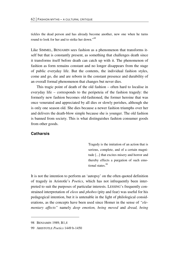tickles the dead person and has already become another, new one when he turns round to look for her and to strike her down."*<sup>98</sup>*

Like SIMMEL, BENJAMIN sees fashion as a phenomenon that transforms itself but that is constantly present, as something that challenges death since it transforms itself before death can catch up with it. The phenomenon of fashion as form remains constant and no longer disappears from the stage of public everyday life. But the contents, the individual fashion styles, come and go, die and are reborn in the constant presence and durability of an overall formal phenomenon that changes but never dies.

This tragic point of death of the old fashion – often hard to localise in everyday life – corresponds to the peripeteia of the fashion tragedy: the formerly new fashion becomes old-fashioned, the former heroine that was once venerated and appreciated by all dies or slowly perishes, although she is only one season old. She dies because a newer fashion triumphs over her and delivers the death-blow simple because she is younger. The old fashion is banned from society. This is what distinguishes fashion consumer goods from other goods.

## **Catharsis**

Tragedy is the imitation of an action that is serious, complete, and of a certain magnitude [...] that excites misery and horror and thereby effects a purgation of such emotional states.<sup>99</sup>

It is not the intention to perform an 'autopsy' on the often quoted definition of tragedy in Aristotle's *Poetics*, which has not infrequently been interpreted to suit the purposes of particular interests. LESSING's frequently constrained interpretation of *eleos* and *phobos* (pity and fear) was useful for his pedagogical intention, but it is untenable in the light of philological considerations, as the concepts have been used since Homer in the sense of *"elementary affects"* namely *deep emotion, being moved* and *dread, being* 

1

<sup>98</sup> BENJAMIN 1989, B1,4

<sup>99</sup> ARISTOTLE *Poetics* 1449 b-1450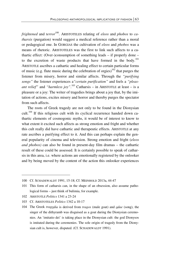*frightened* and *terror*<sup>100</sup>. ARISTOTELES relating of *eleos* and *phobos* to *catharsis* (purgation) would suggest a medical reference rather than a moral or pedagogical one. In GORGIAS the cultivation of *eleos* and *phobos* was a means of rhetoric. ARISTOTELES was the first to link such affects to a cathartic effect: (Over-)consumption of something leads – if properly done – to the excretion of waste products that have formed in the body.<sup>101</sup> ARISTOTLE ascribes a cathartic and healing effect to certain particular forms of music (e.g. flute music during the celebration of orgies)<sup>102</sup> that purges the listener from misery, horror and similar affects. Through the *"purifying songs"* the listener experiences a*"certain purification"* and feels a *"pleasant relief"* and *"harmless joy"*. 103 Catharsis – in ARISTOTLE at least – is a pleasure or a joy: The writer of tragedies brings about a joy that, by the imitation of actions, excites misery and horror and thereby purges the spectator from such affects.

The roots of Greek tragedy are not only to be found in the Dionysian cult.<sup>104</sup> If this religious cult with its cyclical recurrence handed down cathartic elements of cosmogonic myths, it would be of interest to know to what extent it excited such affects as strong emotion and fright and whether this cult really did have cathartic and therapeutic effects. ARISTOTLE at any rate ascribes a purifying effect to it. And this can perhaps explain the general popularity of cinema and television. Strong emotion and fright (*eleos and phobos)* can also be found in present-day film dramas – the cathartic result of these could be assessed. It is certainly possible to speak of catharsis in this area, i.e. where actions are emotionally registered by the onlooker and by being moved by the content of the action this onlooker experiences

102 ARISTOTLE *Politics* 1341 a 23-24

<sup>100</sup> Cf. SCHADEWALDT 1991, 15-18; Cf. MEINHOLD 2013a, 44-47

<sup>101</sup> This form of catharsis can, in the shape of an obsession, also assume pathological forms – just think of bulimia, for example.

<sup>103</sup> Cf. ARISTOTELES *Politics* 1342 a 10-17

<sup>104</sup> The Greek *tragodia* is derived from *tragos* (male goat) and *odae* (song), the singer of the dithyramb was disguised as a goat during the Dionysian ceremonies. An 'imitatio dei' is taking place in the Dionysian cult: the god Dionysos is imitated during the ceremonies. The sole origin of tragedy from the Dionysian cult is, however, disputed. (Cf. SCHADEWALDT 1991).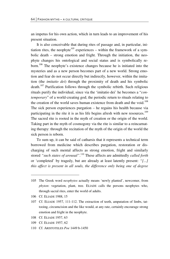an impetus for his own action, which in turn leads to an improvement of his present situation.

It is also conceivable that during rites of passage and, in particular, initiation rites, the neophyte<sup>105</sup> experiences – within the framework of a symbolic death – strong emotion and fright. Through the initiation, the neophyte changes his ontological and social status and is symbolically reborn.106 The neophyte's existence changes because he is initiated into the mysteries and as a new person becomes part of a new world. Strong emotion and fear do not occur directly but indirectly, however, within the imitation (the *imitatio dei*) through the proximity of death and his symbolic  $death<sup>107</sup>$  Purification follows through the symbolic rebirth. Such religious rituals purify the individual, since via the 'imitatio dei' he becomes a "*contemporary*" of a world-creating god; the periodic return to rituals relating to the creation of the world saves human existence from death and the void.<sup>108</sup> The sick person experiences purgation – he regains his health because via participating in the rite it is as his life begins afresh with new resources.<sup>109</sup> The sacred rite is rooted in the myth of creation or the origin of the world. Taking part in the myth of cosmogony via the rite is similar to a reincarnating therapy: through the recitation of the myth of the origin of the world the sick person is reborn.

To sum up, it can be said of catharsis that it represents a technical term borrowed from medicine which describes purgation, restoration or discharging of such mental affects as strong emotion, fright and similarly stored *"such states of arousal"*. 110 These affects are admittedly *called forth* or 'completed' by tragedy, but are already at least latently present: *"[...] this affect is present in all souls, the difference only being one of degree* 

<u>.</u>

- 108 Cf. ELIADE 1957, 63
- 109 Cf. ELIADE 1957, 62
- 110 Cf. ARISTOTELES *Poe* 1449 b-1450

<sup>105</sup> The Greek word *neophytos* actually means 'newly planted', newcomer, from *phyton*: vegetation, plant, tree. ELIADE calls the persons neophytes who, through sacral rites, enter the world of adults.

<sup>106</sup> Cf. ELIADE 1988, 15

<sup>107</sup> Cf. ELIADE 1957, 111-112. The extraction of teeth, amputation of limbs, tattooing, circumcision and the like would, at any rate, certainly encourage strong emotion and fright in the neophyte.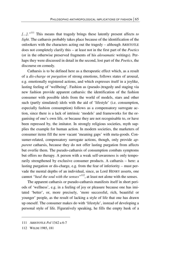*[...]."*111 This means that tragedy brings these latently present affects *to light*. The catharsis probably takes place because of the identification of the onlookers with the characters acting out the tragedy – although ARISTOTLE does not completely clarify this – at least not in the first part of the *Poetics* (or in the otherwise preserved fragments of his *akroamatic* writings). Perhaps they were discussed in detail in the second, lost part of the *Poetics*, the discourse on comedy.

Catharsis is to be defined here as a therapeutic effect which, as a result of a *dis-charge* or *purgation* of strong emotions, follows states of arousal, e.g. emotionally registered actions, and which expresses itself in a joylike, lasting feeling of 'wellbeing'. Fashion as (pseudo-)tragedy and staging via new fashion provide apparent catharsis: the identification of the fashion consumer with possible idols from the world of models, stars and other such (partly simulated) idols with the aid of 'lifestyle' (i.e. consumption, especially fashion consumption) follows as a compensatory surrogate action, since there is a lack of intrinsic 'models' and frameworks for the organising of one's own life, or because they are not recognisable to, or have been repressed by, the imitator. In strongly religious societies, myth supplies the example for human action. In modern societies, the marketers of consumer items fill the now vacant 'meaning gaps' with meta-goods. Consumer-related, compensatory surrogate actions, though, only provide *apparent* catharsis, because they do not offer lasting purgation from affects but overlie them. The pseudo-catharsis of consumption combats symptoms but offers no therapy. A person with a weak self-awareness is only temporarily strengthened by exclusive consumer products. A catharsis – here: a lasting purgation or dis-charge, e.g. from the fear of inferiority – must pervade the mental depths of an individual, since, as Lord HENRY asserts, one cannot *"heal the soul with the senses*"<sup>112</sup>, at least not alone with the senses.

The apparent catharsis or pseudo-catharsis manifests itself in short periods of 'wellness', e.g. in a feeling of joy or pleasure because one has imitated 'better', or, more precisely, 'more successful, rich, beautiful or younger' people, as the result of lacking a style of life that one has drawn up oneself. The consumer makes do with 'lifestyle', instead of developing a personal style of life. Figuratively speaking, he fills the empty husk of a

<sup>111</sup> ARISTOTLE *Pol* 1342 a 6-7

<sup>112</sup> WILDE 1985, 181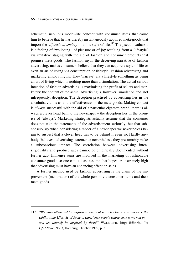schematic, nebulous model-life concept with consumer items that cause him to believe that he has thereby instantaneously acquired meta-goods that import the *'lifestyle of society'* into his style of life.<sup>113</sup> The pseudo-catharsis is a feeling of 'wellbeing', of pleasure or of joy resulting from a 'lifestyle' via imitative staging with the aid of fashion and consumer products that promise meta-goods. The fashion myth, the deceiving narrative of fashion advertising, makes consumers believe that they can acquire a style of life or even an art of living via consumption or lifestyle. Fashion advertising and marketing employ myths. They 'narrate' via a lifestyle something as being an art of living which is nothing more than a simulation. The actual serious intention of fashion advertising is maximising the profit of sellers and marketers; the content of the actual advertising is, however, simulation and, not infrequently, deception. The deception practised by advertising lies in the absolutist claims as to the effectiveness of the meta-goods. Making contact is *always* successful with the aid of a particular cigarette brand, there is always a clever head behind the newspaper – the deception lies in the promise of 'always'. Marketing strategists actually assume that the consumer does not take the statements of the advertisement seriously, but that subconsciously when considering a reader of a newspaper we nevertheless begin to suspect that a clever head has to be behind it even so. Hardly anybody 'believes' advertising statements; nevertheless, they presumably make a subconscious impact. The correlation between advertising intensity/quality and product sales cannot be empirically documented without further ado. Immense sums are involved in the marketing of fashionable consumer goods; so one can at least assume that hopes are extremely high that advertising must have an enhancing effect on sales.

A further method used by fashion advertising is the claim of the improvement (melioration) of the whole person via consumer items and their meta-goods.

<u>.</u>

<sup>113</sup> *"We have attempted to perform a couple of miracles for you. Experience the exhilarating Lifestyle of Society, experience people whose style turns you on – and let yourself be inspired by them!"* WALBERER, Jörg: *Editorial*. In: *Life&Style*, No. 3, Hamburg, October 1999, p. 3.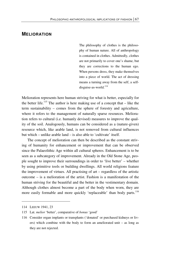## **MELIORATION**

The philosophy of clothes is the philosophy of human nature. All of anthropology is contained in clothes. Admittedly, clothes are not primarily to cover one's shame, but they are corrections to the human ego. When persons dress, they make themselves into a piece of world. The act of dressing means a turning away from the self, a selfdisguise-as-world.*<sup>114</sup>*

Melioration represents here human striving for what is better, especially for the better life.<sup>115</sup> The author is here making use of a concept that  $-$  like the term sustainability – comes from the sphere of forestry and agriculture, where it refers to the management of naturally sparse resources. Melioration refers to cultural (i.e. humanly devised) measures to improve the quality of the soil. Analogously, humans can be considered as a (nature-given) resource which, like arable land, is not removed from cultural influences but which – unlike arable land – is also able to 'cultivate' itself.

The concept of melioration can then be described as the constant striving of humanity for enhancement or improvement that can be observed since the Palaeolithic Age within all cultural spheres. Enhancement is to be seen as a subcategory of improvement. Already in the Old Stone Age, people sought to improve their surroundings in order to 'live better' – whether by using primitive tools or building dwellings. All world religions feature the improvement of virtues. All practising of art – regardless of the artistic outcome – is a melioration of the artist. Fashion is a manifestation of the human striving for the beautiful and the better in the vestimentary domain. Although clothes almost become a part of the body when worn, they are more easily formable and more quickly 'replaceable' than body parts.<sup>116</sup>

-

<sup>114</sup> LEEUW 1941, 23

<sup>115</sup> Lat. *melior* 'better', comparative of *bonus* 'good'

<sup>116</sup> Consider organ implants or transplants ('donated' or purchased kidneys or livers) which combine with the body to form an ameliorated unit – as long as they are not rejected.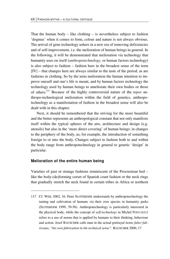That the human body  $-$  like clothing  $-$  is nevertheless subject to fashion 'dogmas' when it comes to form, colour and nature is not always obvious. The arrival of gene technology ushers in a new era of removing deficiencies and of self-improvement, i.e. the melioration of human beings in general. In the following, it will be demonstrated that melioration via technology that humanity uses on itself (*anthropotechnology*, or human factors technology) is also subject to fashion – fashion here in the broadest sense of the term [IV] – that changes here are always similar to the taste of the period, as are fashions in clothing. So by the term melioration the human intention to improve oneself and one's life is meant, and by human factors technology the technology used by human beings to ameliorate their own bodies or those of others.117 Because of the highly controversial nature of the *topos* anthropo-technological melioration within the field of genetics, anthropotechnology as a manifestation of fashion in the broadest sense will also be dealt with in this chapter.

Next, it should be remembered that the striving for the more beautiful and the better represents an anthropological constant that not only manifests itself within the typical spheres of the arts, architecture and design (e.g. utensils) but also in the 'more direct covering' of human beings: in changes to the periphery of the body, as, for example, the introduction of something foreign to or into the body. Changes subject to fashion both to and within the body range from anthropotechnology in general to genetic 'design' in particular.

#### **Melioration of the entire human being**

<u>.</u>

Varieties of past or strange fashions reminiscent of the Procrustean bed – like the body-(de)forming corset of Spanish court fashion or the neck rings that gradually stretch the neck found in certain tribes in Africa or northern

<sup>117</sup> Cf. WEIL 2002, 16. Peter SLOTERDIJK understands by anthropotechnology the taming and cultivation of humans via their own species in humanity parks (SLOTERDIJK 1999, 39-56). Anthropotechnology is particularly interested in the physical body, while the concept of *self-technology* in Michel FOUCAULT refers to a use of norms that is applied by humans to their thinking, behaviour and action. Josef RAUSCHER calls man in the actual portrayal *homo faber fabricatus*, *"his own fabrication in the technical sense".* RAUSCHER 2000, 17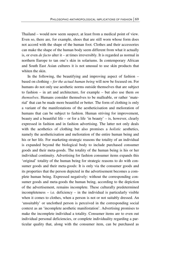Thailand – would now seem suspect, at least from a medical point of view. Even so, there are, for example, shoes that are still worn whose form does not accord with the shape of the human foot. Clothes and their accessories can make the shape of the human body seem different from what it actually is, or even *de facto* alter it – at times irreversibly. It is regarded as normal in northern Europe to tan one's skin in solariums. In contemporary African and South East Asian cultures it is not unusual to use skin products that whiten the skin.

In the following, the beautifying and improving aspect of fashion  $$ based on clothing – *for the actual human being* will now be focused on. For humans do not only use aesthetic norms outside themselves that are subject to fashion – in art and architecture, for example – but also use them *on themselves*. Humans consider themselves to be malleable, or rather 'material' that can be made more beautiful or better. The form of clothing is only a variant of the manifestations of the aestheticisation and melioration of humans that can be subject to fashion. Human striving for improvement, beauty and a beautiful life – or for a life 'in beauty' – is, however, clearly expressed in fashion and in fashion advertising. The latter not only deals with the aesthetics of clothing but also promises a *holistic* aesthetics, namely the aestheticisation and melioration of the entire human being and his or her life. For marketing-strategic reasons the totality of an individual is expanded beyond the biological body to include purchased consumer goods and their meta-goods. The totality of the human being is his or her individual continuity. Advertising for fashion consumer items expands this 'original' totality of the human being for strategic reasons to do with consumer goods and their meta-goods: It is only via the consumer goods and its properties that the person depicted in the advertisement becomes a complete human being. Expressed negatively: without the corresponding consumer goods and meta-goods the human being, according to the depiction of the advertisement, remains incomplete. These culturally predetermined  $incompleteness - i.e.$  deficiency – in the individual is particularly visible when it comes to clothes, when a person is not or not suitably dressed. An 'unsuitably' or unclothed person is perceived in the corresponding social context as an 'incomplete aesthetic manifestation'. Advertising promises to make the incomplete individual a totality. Consumer items are to even out individual personal deficiencies, or complete individuality regarding a particular quality that, along with the consumer item, can be purchased as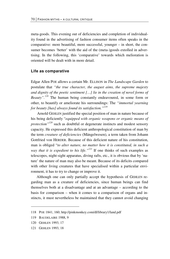meta-goods. This evening out of deficiencies and completion of individuality found in the advertising of fashion consumer items often speaks in the comparative: more beautiful, more successful, younger – in short, the consumer becomes 'better' with the aid of the (meta-)goods extolled in advertising. In the following, this 'comparative' towards which melioration is oriented will be dealt with in more detail.

#### **Life as comparative**

Edgar Allen POE allows a certain Mr. ELLISON in *The Landscape Garden* to postulate that *"the true character, the august aims, the supreme majesty and dignity of the poetic sentiment […] lie in the creation of novel forms of Beauty".<sup>118</sup>* The human being constantly endeavoured, in some form or other, to beautify or ameliorate his surroundings: The *"immortal yearning for beauty [has] always found its satisfaction."119*

Arnold GEHLEN justified the special position of man in nature because of his being deficiently "*equipped with organic weapons or organic means of protection"120* such as doubtful or degenerate instincts and modest sensory capacity. He expressed this deficient anthropological constitution of man by the term *creature of deficiencies* (Mängelwesen), a term taken from Johann Gottfried von HERDER. Because of this deficient nature of his constitution, man is obliged "*to alter nature, no matter how it is constituted, in such a way that it is expedient to his life."121* If one thinks of such examples as telescopes, night-sight apparatus, diving rafts, etc., it is obvious that by 'nature' the nature of man may also be meant. Because of its deficits compared with other living creatures that have specialised within a particular environment, it has to try to change or improve it.

Although one can only partially accept the hypothesis of GEHLEN regarding man as a creature of deficiencies, since human beings can find themselves both at a disadvantage and at an advantage – according to the basis for comparison – when it comes to a comparison of organs and instincts, it must nevertheless be maintained that they cannot avoid changing

<u>.</u>

<sup>118</sup> POE 1841, 160; http://pinkmonkey.com/dl/library1/land.pdf

<sup>119</sup> BAUDELAIRE 1988, 9

<sup>120</sup> GEHLEN 1993, 17

<sup>121</sup> GEHLEN 1993, 18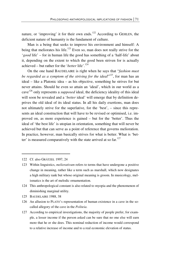nature, or 'improving' it for their own ends.<sup>122</sup> According to GEHLEN, the deficient nature of humanity is the fundament of culture.

Man is a being that seeks to improve his environment and himself: A being that meliorates his life.<sup>123</sup> Even so, man does not really strive for the '*good* life' – for in human life the good has something of a 'half-life' about it, depending on the extent to which the good been striven for is actually achieved – but rather for the '*better* life'.<sup>124</sup>

On the one hand BAUDELAIRE is right when he says that "*fashion must*  be regarded as a symptom of the striving for the ideal<sup>",125</sup>, for man has an ideal – like a Platonic idea – as his objective, something he strives for but never attains. Should he even so attain an 'ideal', which in our world as a cave126 only represents a *supposed* ideal, the deficiency ideality of this ideal will soon be revealed and a '*better* ideal' will emerge that by definition deprives the old ideal of its ideal status. In all his daily exertions, man does not ultimately strive for the superlative, for the 'best', – since this represents an ideal construction that will have to be revised or optimised, i.e. improved on, as more experience is gained – but for the 'better'. Thus the ideal of 'the best life' is utopian in orientation, something that will never be achieved but that can serve as a point of reference that governs melioration. In practice, however, man basically strives for what is better. What is 'better' is measured comparatively with the state arrived at so  $far$ <sup>127</sup>

 $\overline{a}$ 

125 BAUDELAIRE 1988, 38

<sup>122</sup> Cf. also GRÄTZEL 1997, 24

<sup>123</sup> Within linguistics, *meliorativum* refers to terms that have undergone a positive change in meaning, rather like a term such as marshall, which now designates a high military rank but whose original meaning is groom. In musicology, melismatics is the art of melodic ornamentation.

<sup>124</sup> This anthropological constant is also related to myopia and the phenomenon of diminishing marginal utility.

<sup>126</sup> An allusion to PLATO's representation of human existence in a cave in the socalled allegory of the cave in the *Politeia*.

<sup>127</sup> According to empirical investigations, the majority of people prefer, for example, a lesser income if the person asked can be sure that no one else will earn more that he or she does. This nominal reduction of income would correspond to a relative increase of income and to a real economic elevation of status.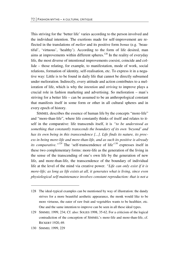This striving for the 'better life' varies according to the person involved and the individual intention. The exertions made for self-improvement are reflected in the translations of *melior* and its positive form *bonus* (e.g. 'beautiful', 'virtuous', 'healthy'). According to the form of life desired, man aims at improvements within different spheres.<sup>128</sup> In the reality of everyday life, the most diverse of intentional improvements coexist, coincide and collide – those relating, for example, to manifestation, mode of work, social relations, formation of identity, self-realisation, etc. To express it in a negative way: Little is to be found in daily life that cannot be directly subsumed under melioration. Indirectly, every attitude and action contributes to a melioration of life, which is why the *intention* and *striving* to improve plays a crucial role in fashion marketing and advertising. So melioration – man's striving for a better life – can be assumed to be an anthropological constant that manifests itself in some form or other in all cultural spheres and in every epoch of history.

SIMMEL describes the essence of human life by the concepts "more-life" and "more-than-life", where life constantly thinks of itself and relates to itself in the comparative: life transcends itself, it is *"to be understood as something that constantly transcends the boundary of its own 'beyond' and has its own being in this transcendence [...]. Life finds its nature, its process in being more-life and more-than-life, and as such its positive is already its comparative.*"<sup>129</sup> The 'self-transcendence of life'<sup>130</sup> expresses itself in these two complementary forms: more-life as the generation of the living in the sense of the transcending of one's own life by the generation of new life, and more-than-life, the transcendence of the boundary of individual life at the level of the mind via creative power. *"Life can only exist if it is more-life; as long as life exists at all, it generates what is living, since even physiological self-maintenance involves constant reproduction: that is not a* 

-

<sup>128</sup> The ideal-typical examples can be mentioned by way of illustration: the dandy strives for a more beautiful aesthetic appearance, the monk would like to be more virtuous, the eater of raw fruit and vegetables wants to be healthier, etc. One and the same intention to improve can be seen in all these ideal types.

<sup>129</sup> SIMMEL 1999, 234; Cf. also: SOLIES 1998, 35-62. For a criticism of the logical contradiction of the conception of SIMMEL's more-life and more-than-life, cf. RICKERT 1920, 69.

<sup>130</sup> SIMMEL 1999, 229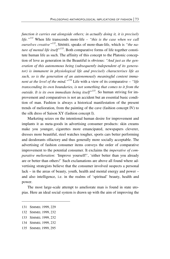*function it carries out alongside others; in actually doing it, it is precisely life."131* When life transcends more-life *– "this is the case when we call ourselves creative"132*, SIMMEL speaks of more-than-life, which is *"the nature of mental life itself"133*. Both comparative forms of life together constitute human life as such. The affinity of this concept to the Platonic conception of love as generation in the Beautiful is obvious: *"And just as the generation of this autonomous being (subsequently independent of its generator) is immanent in physiological life and precisely characterises life as such, so is the generation of an autonomously meaningful content immanent at the level of the mind."134* Life with a view of its comparative – *"life transcending its own boundaries, is not something that comes to it from the outside. It is its own immediate being itself"135*. So human striving for improvement and comparatives is not an accident but an essential basic condition of man. Fashion is always a historical manifestation of the present trends of melioration, from the painting of the cave (fashion concept IV) to the silk dress of Saison XY (fashion concept I).

Marketing seizes on the intentional human desire for improvement and implants it as meta-goods in advertising consumer products: skin creams make you younger, cigarettes more emancipated, newspapers cleverer, dresses more beautiful, steel watches tougher, sports cars better performing and deodorants olfactory and thus generally more socially acceptable. The advertising of fashion consumer items conveys the order of comparative improvement to the potential consumer. It exclaims the *imperative of comparative melioration*: 'Improve yourself!', 'either better than you already are or better than others!' Such exclamations are above all found where advertising strategists believe that the consumer involved suspects a personal lack – in the areas of beauty, youth, health and mental energy and power – and also intelligence, i.e. in the realms of 'spiritual' beauty, health and power.

The most large-scale attempt to ameliorate man is found in state utopias. Here an ideal social system is drawn up with the aim of improving the

<sup>131</sup> SIMMEL 1999, 229

<sup>132</sup> SIMMEL 1999, 232

<sup>133</sup> SIMMEL 1999, 232

<sup>134</sup> SIMMEL 1999, 232

<sup>135</sup> SIMMEL 1999, 295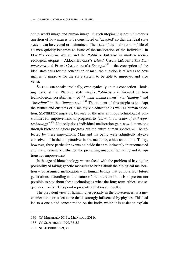entire world image and human image. In such utopias it is not ultimately a question of how man is to be constituted or 'adapted' so that the ideal state system can be created or maintained. The issue of the melioration of life of all men quickly becomes an issue of the melioration of the individual. In PLATO's *Politeia*, *Nomoi* and the *Politikos*, but also in modern socialecological utopias – Aldous HUXLEY's *Island*, Ursula LEGUIN's *The Dispossessed* and Ernest CALLENBACH's *Ecotopia136* – the conception of the ideal state calls for the conception of man: the question is raised as to how man is to improve for the state system to be able to improve, and vice versa.

SLOTERDIJK speaks ironically, even cynically, in this connection – looking back at the Platonic state utopia *Politikos* and forward to biotechnological possibilities – of *"human enhancement"* via *"taming"* and *"breeding"* in the *"human zoo".*<sup>137</sup> The content of this utopia is to adapt the virtues and customs of a society via education as well as human selection. SLOTERDIJK urges us, because of the new anthropotechnological possibilities for improvement, or progress, to *"formulate a codex of anthropotechnology".*138 Not only does individual melioration gain new dimensions through biotechnological progress but the entire human species will be affected by these innovations. Man and his being were admittedly always conceived of in the comparative: in art, medicine, ethics and utopia. Today, however, three particular events coincide that are intimately interconnected and that profoundly influence the prevailing image of humanity and its options for improvement:

In the age of biotechnology we are faced with the problem of having the possibility of taking genetic measures to bring about the biological melioration – or assumed melioration – of human beings that could affect future generations, according to the nature of the intervention. It is at present not possible to say about these technologies what the long-term ethical consequences may be. This point represents a historical novelty.

The prevalent view of humanity, especially in the bio-sciences, is a mechanical one, or at least one that is strongly influenced by physics. This had led to a one-sided concentration on the body, which it is easier to explain

1

<sup>136</sup> Cf. MEINHOLD 2013c; MEINHOLD 2011C

<sup>137</sup> Cf. SLOTERDIJK 1999, 35-55

<sup>138</sup> SLOTERDIJK 1999, 45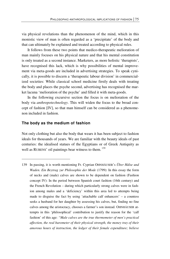via physical revelations than the phenomenon of the mind, which in this monistic view of man is often regarded as a 'precipitate' of the body and that can ultimately be explained and treated according to physical rules.

It follows from these two points that medico-therapeutic melioration of man mainly focuses on his physical nature and that his mental constitution is only treated as a second instance. Marketers, as more holistic 'therapists', have recognised this lack, which is why possibilities of mental improvement via meta-goods are included in advertising strategies. To speak cynically, it is possible to discern a 'therapeutic labour division' in commercialized societies: While classical school medicine firstly deals with treating the body and places the psyche second, advertising has recognised the market lacuna 'melioration of the psyche' and filled it with meta-goods.

In the following excursive section the focus is on melioration of the body via *anthropotechnology*. This will widen the focus to the broad concept of fashion [IV], so that man himself can be considered as a phenomenon included in fashion.

#### **The body as the medium of fashion**

 $\overline{a}$ 

Not only clothing but also the body that wears it has been subject to fashion ideals for thousands of years. We are familiar with the beauty ideals of past centuries: the idealised statues of the Egyptians or of Greek Antiquity as well as RUBENS' oil paintings bear witness to them.<sup>139</sup>

139 In passing, it is worth mentioning Fr. Cyprian OHNHÄUSER's *Über Hälse und Waden. Ein Beytrag zur Philosophie der Mode* (1799): In this essay the form of necks and (male) calves are shown to be dependent on fashion (Fashion concept IV): In the period between Spanish court fashion (16th century) and the French Revolution – during which particularly strong calves were in fashion among males and a 'deficiency' within this area led to attempts being made to disguise the fact by using 'attachable calf enhancers' – a countess seeks a husband for her daughter by assessing his calves, but, finding no fine calves among the aristocracy, chooses a farmer's son instead. OHNHÄUSER attempts in this 'philosophical' contribution to justify the reason for the 'calf fashion' of this age: *"Male calves are the true thermometer of men's practical affection, the real barometer of their physical strength, the money tray of their amorous hours of instruction, the ledger of their female expenditure; believe*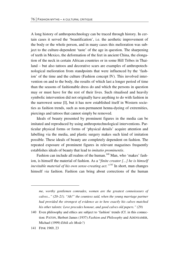A long history of anthropotechnology can be traced through history. In certain cases it served the 'beautification', i.e. the aesthetic improvement of the body or the whole person, and in many cases this melioration was subject to the culture-dependent 'taste' of the age in question. The sharpening of teeth in Mexico, the deformation of the feet in ancient China, the elongation of the neck in certain African countries or in some Hill Tribes in Thailand – but also tattoos and decorative scars are examples of anthropotechnological melioration from standpoints that were influenced by the 'fashion' of the time and the culture (Fashion concept IV). This involved intervention on and to the body, the results of which last a longer period of time than the seasons of fashionable dress do and which the persons in question may or must have for the rest of their lives. Such ritualised and heavily symbolic intervention did not originally have anything to do with fashion in the narrowest sense [I], but it has now established itself in Western societies as fashion trends, such as non-permanent henna-dyeing of extremities, piercings and tattoos that cannot simply be removed.

Ideals of beauty presented by prominent figures in the media can be imitated and reproduced by using anthropotechnological interventions. Particular physical forms or forms of 'physical details' acquire attention and labelling via the media, and plastic surgery makes such kind of imitation possible. These ideals of beauty are completely dependent on fashion. The repeated exposure of prominent figures in relevant magazines frequently establishes ideals of beauty that lead to *imitatio prominentis*.

Fashion can include all realms of the human.<sup>140</sup> Man, who 'makes' fashion, is himself the material of fashion. As a "*finite creator [...] he is himself inevitable material of his own sense-creating act."141* In short, man changes himself *via* fashion. Fashion can bring about corrections of the human

**.** 

*me, worthy gentlemen comrades, women are the greatest connoisseurs of calves..." (20–21). "Ah!" the countess said, when the young marriage partner had provided the strongest of evidence as to how exactly his calves matched his other talents: Love precedes honour, and good calves old papers." (29)*

<sup>140</sup> Even philosophy and ethics are subject to 'fashion' trends (Cf. in this connection: PATON, Herbert James (1937) *Fashion and Philosophy* and ADENSAMER, Michael (1999) *Ethik als Mode?)*

<sup>141</sup> FINK 1969, 23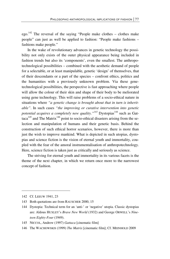ego.<sup>142</sup> The reversal of the saying "People make clothes – clothes make people" can just as well be applied to fashion: "People make fashions – fashions make people."

In the wake of revolutionary advances in genetic technology the possibility not only exists of the outer physical appearance being included in fashion trends but also its 'components', even the smallest. The anthropotechnological possibilities – combined with the aesthetic demand of people for a selectable, or at least manipulable, genetic 'design' of themselves, that of their descendants or a part of the species – confront ethics, politics and the humanities with a previously unknown problem. Via these genetechnological possibilities, the perspective is fast approaching where people will allow the colour of their skin and shape of their body to be meliorated using gene technology. This will raise problems of a socio-ethical nature in situations where *"a genetic change is brought about that in turn is inheritable"*. In such cases *"the improving or curative intervention into genetic potential acquires a completely new quality.*"<sup>143</sup> Dystopias<sup>144</sup> such as Gat- $\frac{145}{145}$  and The Matrix<sup>146</sup> point to socio-ethical disasters arising from the selection and manipulation of humans and their genetic basis. Behind the construction of such ethical horror scenarios, however, there is more than just the wish to improve mankind. What is depicted in such utopias, dystopias and science fiction is the vision of eternal youth and immortality, coupled with the fear of the amoral instrumentalisation of anthropotechnology. Here, science fiction is taken just as critically and seriously as science.

The striving for eternal youth and immortality in its various facets is the theme of the next chapter, in which we return once more to the narrowest concept of fashion.

<sup>142</sup> Cf. LEEUW 1941, 23

<sup>143</sup> Both quotations are from RAUSCHER 2000, 15

<sup>144</sup> Dystopia: Technical term for an 'anti-' or 'negative' utopia. Classic dystopias are: Aldous HUXLEY's *Brave New World* (1932) and George ORWELL's *Nineteen Eighty-Four* (1949).

<sup>145</sup> NICCOL, Andrew (1997) *Gattaca* [cinematic film]

<sup>146</sup> The WACHOWSKIS (1999) *The Matrix* [cinematic film]; Cf. MEINHOLD 2009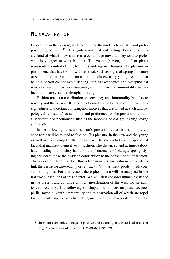## **REINVESTINATION**

**.** 

People live in the present, seek to orientate themselves towards it and prefer positive goods in it.<sup>147</sup> Alongside traditional and lasting phenomena, they are fond of what is new and from a certain age onwards they tend to prefer what is younger to what is older. The young (person, animal or plant) represents a symbol of life, freshness and vigour. Humans take pleasure in phenomena that have to do with renewal, such as signs of spring in nature or small children. But a person cannot remain eternally young. As a human being a person cannot avoid dealing with transcendence and metaphysical issues because of this very humanity, and *topoi* such as immortality and reincarnation are essential thoughts in religion.

Fashion makes a contribution to constancy and immortality but also to novelty and the present. It is extremely marketable because of human shortsightedness and certain consumption motives that are aimed at such anthropological 'constants' as neophilia and preference for the present, or culturally determined phenomena such as the tabooing of old age, ageing, dying and death.

In the following subsections man's present-orientation and his preference for it will be related to fashion. His pleasure in the new and the young as well as his striving for the constant will be shown to be anthropological facts that manifest themselves in fashion. The distanced and at times tabooladen dealings our society has with the phenomena of old age, ageing, dying and death make their hidden contribution to the consumption of fashion. This is evident from the fact that advertisements for fashionable products link the desire for *immortality* or *reincarnation* – as meta-goods – with consumption goods. For that reason, these phenomena will be analysed in the last two subsections of this chapter. We will first consider human existence in the present and continue with an investigation of the wish for an existence in eternity. The following subchapters will focus on presence, neophilia, myopia, youth, immortality and reincarnation all of which are topoi fashion marketing exploits by linking such topoi as meta-goods to products.

<sup>147</sup> In micro-economics, alongside positive and neutral goods there is also talk of *negative* goods, or of a 'bad' (Cf. VARIAN, 1995, 39).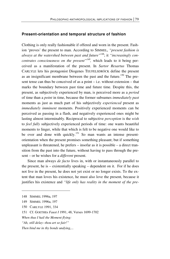#### **Present-orientation and temporal structure of fashion**

Clothing is only really fashionable if offered and worn in the present. Fashion 'proves' the present to man. According to SIMMEL, *"present fashion is always at the watershed between past and future"*148; it *"increasingly concentrates consciousness on the present"149,* which leads to it being perceived as a manifestation of the present. In *Sartor Resartus* Thomas CARLYLE lets his protagonist Diogenes TEUFELSDRÖCK define the present as an insignificant membrane between the past and the future.<sup>150</sup> The present tense can thus be conceived of as a point – i.e. without extension – that marks the boundary between past time and future time. Despite this, the present, as subjectively experienced by man, is perceived more as a *period* of time than a *point* in time, because the former subsumes *immediately past* moments as just as much part of his subjectively *experienced* present as *immediately imminent* moments. Positively experienced moments can be perceived as passing in a flash, and negatively experienced ones might be lasting almost interminably. Reciprocal to subjective *perception* is the *wish* to *feel fully* subjectively experienced periods of time: one wants beautiful moments to linger, while that which is felt to be negative one would like to be over and done with quickly.<sup>151</sup> So man wants an intense presentorientation when the present promises something pleasant; but if something unpleasant is threatened, he prefers – insofar as it is possible – a direct transition from the past into the future, without having to pass through the present – or he wishes for a *different* present.

Since man always *de facto* lives in, with or instantaneously parallel to the present, he is – existentially speaking – dependent on it. For if he does not live in the present, he does not yet exist or no longer exists. To the extent that man loves his existence, he must also love the present, because it justifies his existence and *"life only has reality in the moment of the pre-*

 $\overline{a}$ 

150 CARLYLE 1991, 334

*When thus I hail the Moment flying:* 

<sup>148</sup> SIMMEL 1996a, 197

<sup>149</sup> SIMMEL 1996a, 197

<sup>151</sup> Cf. GOETHEs *Faust I* 1991, 48, Verses 1699-1702

*<sup>&</sup>quot;Ah, still delay--thou art so fair!"* 

*Then bind me in thy bonds undying,...*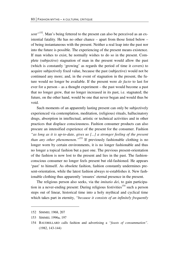sent<sup>"152</sup>. Man's being fettered to the present can also be perceived as an existential fatality. He has no other chance – apart from those listed below – of being instantaneous with the present. Neither a real leap into the past nor into the future is possible. The experiencing of the present means existence. If man wishes to exist, he normally wishes to do so in the present. Complete (subjective) stagnation of man in the present would allow the past (which is constantly 'growing' as regards the period of time it covers) to acquire subjectively fixed value, because the past (subjective) would not be continued any more; and, in the event of stagnation in the present, the future would no longer be available. If the present were *de facto* to last for ever for a person – as a thought experiment – the past would become a past that no longer grew, that no longer increased in its past, i.e. stagnated; the future, on the other hand, would be one that never began and would thus be void.

Such moments of an apparently lasting present can only be subjectively experienced via contemplation, meditation, (religious) rituals, hallucinatory drugs, absorption in intellectual, artistic or technical activities and in other practices that displace consciousness. Fashion consumer products can also procure an intensified experience of the present for the consumer. Fashion *"as long as it is up-to-date, gives us [...] a stronger feeling of the present than any other phenomenon.*"<sup>153</sup> If previously fashionable clothing is no longer worn by certain environments, it is no longer fashionable and thus no longer a topical fashion but a past one. The previous present-orientation of the fashion is now lost to the present and lies in the past. The fashionconscious consumer no longer feels present but old-fashioned. He appears 'past' to himself. As obsolete fashion, fashion constantly undermines present-orientation, while the latest fashion always re-establishes it. New fashionable clothing thus apparently 'ensures' eternal presence in the present.

The religious person also seeks, via the *imitatio dei*, to gain participation in a never-ending present: During religious festivities<sup>154</sup> such a person steps out of linear, historical time into a holy mythical and cyclical time which takes part in eternity, *"because it consists of an infinitely frequently* 

<u>.</u>

<sup>152</sup> SIMMEL 1968, 207

<sup>153</sup> SIMMEL 1996a, 197

<sup>154</sup> BAUDRILLARD calls fashion and advertising a *"feasts of consummation"*. (1982, 143-144)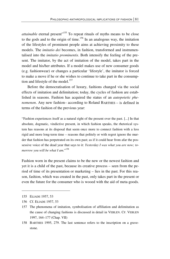*attainable* eternal present<sup>"155</sup> To repeat rituals of myths means to be close to the gods and to the origin of time.<sup>156</sup> In an analogous way, the imitation of the lifestyles of prominent people aims at achieving proximity to these models. The *imitatio dei* becomes, in fashion, transformed and instrumentalised into the *imitatio prominentis*. Both intensify the feeling of the present. The imitator, by the act of imitation of the model, takes part in the model and his/her attributes. If a model makes use of new consumer goods (e.g. fashionwear) or changes a particular 'lifestyle', the imitator is forced to make a move if he or she wishes to continue to take part in the consumption and lifestyle of the model.<sup>157</sup>

Before the democratisation of luxury, fashions changed via the social effects of imitation and delimitation; today, the cycles of fashion are established in seasons. Fashion has acquired the status of an *autopoietic phenomenon*. Any new fashion– according to Roland BARTHES – is defined in terms of the fashion of the previous year:

"Fashion experiences itself as a natural right of the present over the past. [...] In that absolute, dogmatic, vindictive present, in which fashion speaks, the rhetorical system has reasons at its disposal that seem once more to connect fashion with a less rigid and more long-term time – reasons that politely or with regret ignore the murder that fashion has perpetrated on its own past; as if it could hear from afar the possessive voice of the dead year that says to it: *Yesterday I was what you are now; tomorrow you will be what I am.*" 158

Fashion worn in the present claims to be the new or the newest fashion and yet it is a child of the past, because its creative process – seen from the period of time of its presentation or marketing – lies in the past. For this reason, fashion, which was created in the past, only takes part in the present or even the future for the consumer who is wooed with the aid of meta-goods.

<sup>155</sup> ELIADE 1957, 53

<sup>156</sup> Cf. ELIADE 1957, 53

<sup>157</sup> The phenomena of imitation, symbolisation of affiliation and delimitation as the cause of changing fashions is discussed in detail in VEBLEN. CF. VEBLEN 1997, 164–177 (Chap. VII)

<sup>158</sup> BARTHES 1995, 279. The last sentence refers to the inscription on a gravestone.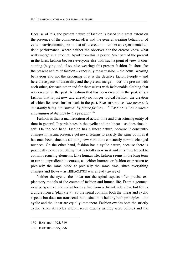Because of this, the present nature of fashion is based to a great extent on the presence of the commercial offer and the general wearing behaviour of certain environments, not in that of its creation – unlike an experimental artistic performance, where neither the observer nor the creator know what will emerge as a product. Apart from this, a person *feels* part of the present in the latest fashion because everyone else with such a point of view is consuming (buying and, if so, also wearing) this present fashion. In short, for the present nature of fashion – especially mass fashion – the actual wearing behaviour and not the procuring of it is the decisive factor. People – and here the aspects of theatrality and the present merge – 'act' the present with each other, for each other and for themselves with fashionable clothing that was created in the past. A fashion that has been created in the past kills a fashion that is just now and already no longer topical fashion, the creation of which lies even further back in the past. BARTHES notes: *"the present is constantly being 'consumed' by future fashion."*<sup>159</sup> Fashion is *"an amnesic substitution of the past by the present."*<sup>160</sup>

Fashion is thus a manifestation of actual time and a structuring entity of time in general. It participates in the cyclic and the linear – as does time itself. On the one hand, fashion has a linear nature, because it constantly changes in lasting presence yet never returns to exactly the same point as it has once been, since its adopting new variations constantly permits changed nuances. On the other hand, fashion has a cyclic nature, because there is practically never something that is totally new in it and it is thus forced to contain recurring elements. Like human life, fashion seems in the long term to run in unpredictable courses, as neither humans or fashion ever return to precisely the same place at precisely the same time, since everything changes and flows – as HERACLITUS was already aware of.

Neither the cyclic, the linear nor the spiral aspects offer precise explanatory models of the course of fashion and human life. From a geometrical perspective, the spiral forms a line from a distant side view, but forms a circle from a 'plan view'. So the spiral contains both the linear and cyclic aspects but does not transcend them, since it is held by both principles – the cyclic and the linear are equally immanent. Fashion evades both the strictly cyclic (since its styles seldom recur exactly as they were before) and the

1

<sup>159</sup> BARTHES 1995, 349

<sup>160</sup> BARTHES 1995, 296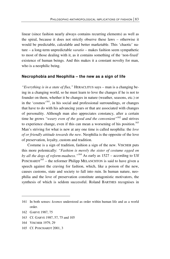linear (since fashion nearly always contains recurring elements) as well as the spiral, because it does not strictly observe these laws – otherwise it would be predictable, calculable and better marketable. This 'chaotic' nature – a long-term unpredictable *varatio* – makes fashion seem sympathetic to most of those dealing with it, as it contains something of the 'non-fixed' existence of human beings. And this makes it a constant novelty for man, who is a neophilic being.

#### **Necrophobia and Neophilia – the new as a sign of life**

*"Everything is in a state of flux,"* HERACLITUS says – man is a changing being in a changing world, so he must learn to love the changes if he is not to founder on them, whether it be changes in nature (weather, seasons, etc.) or in the 'cosmos'161, in his social and professional surroundings, or changes that have to do with his advancing years or that are associated with changes of personality. Although man also appreciates constancy, after a certain time he grows *"weary even of the good and the convenient*"<sup>162</sup> and strives to experience change, even if this can mean a worsening of his position.<sup>163</sup> Man's striving for what is new at any one time is called neophilia: the *love of or friendly attitude towards the new*. Neophilia is the opposite of the love of preservation, loyalty, custom and tradition.

Costume is a sign of tradition, fashion a sign of the new. VISCHER puts this more polemically: *"Fashion is merely the sister of costume egged on by all the dogs of reform-madness."*164 As early as 1527 – according to Ulf  $\text{PostHARDT}^{165}$  – the reformer Philipp MELANCHTON is said to have given a speech against the craving for fashion, which, like a poison of the new, causes customs, state and society to fall into ruin. In human nature, neophilia and the love of preservation constitute antagonistic motivators, the synthesis of which is seldom successful. Roland BARTHES recognises in

- 163 Cf. GARVE 1987, 57, 75 and 105
- 164 VISCHER 1979, 29
- 165 Cf. POSCHARDT 2001, 3

<sup>161</sup> In both senses: *kosmos* understood as order within human life and as a world order.

<sup>162</sup> GARVE 1987, 75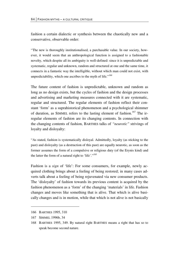fashion a certain dialectic or synthesis between the chaotically new and a conservative, observable order:

"The new is thoroughly institutionalised, a purchasable value. In our society, however, it would seem that an anthropological function is assigned to a fashionable novelty, which despite all its ambiguity is well-defined: since it is unpredictable and systematic, regular and unknown, random and structured at one and the same time, it connects in a fantastic way the intelligible, without which man could not exist, with unpredictability, which one ascribes to the myth of life."*<sup>166</sup>*

The future content of fashion is unpredictable, unknown and random as long as no design exists, but the cycles of fashion and the design processes and advertising and marketing measures connected with it are systematic, regular and structured. The regular elements of fashion reflect their constant 'form' as a suprahistorical phenomenon and a psychological shimmer of duration, as SIMMEL refers to the lasting element of fashion.<sup>167</sup> The irregular elements of fashion are its changing contents. In connection with the changing contents of fashion, BARTHES talks of *"neurotic"* strivings of loyalty and disloyalty:

"As stated, fashion is systematically disloyal. Admittedly, loyalty (as sticking to the past) and disloyalty (as a destruction of this past) are equally neurotic, as soon as the former assumes the form of a compulsive or religious duty (of the Erynis kind) and the latter the form of a natural right to 'life'."*<sup>168</sup>*

Fashion is a *sign* of 'life': For some consumers, for example, newly acquired clothing brings about a feeling of being restored; in many cases adverts talk about a feeling of being rejuvenated via new consumer products. The 'disloyalty' of fashion towards its previous content is acquired by the fashion phenomenon as a 'form' of the changing 'materials' in life. Fashion changes and moves like something that is alive. That which is alive basically changes and is in motion, while that which is not alive is not basically

<u>.</u>

<sup>166</sup> BARTHES 1995, 310

<sup>167</sup> SIMMEL 1996b, 34

<sup>168</sup> BARTHES 1995, 349. By natural right BARTHES means a right that has so to speak become second nature.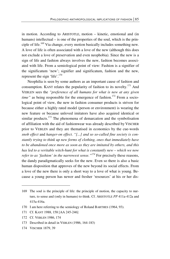in motion. According to ARISTOTLE, motion – kinetic, emotional and (in humans) intellectual – is one of the properties of the soul, which is the principle of life.169 Via change, every motion basically includes something new. A love of life is often associated with a love of the new (although this does not exclude a love of preservation and even neophobia). Since the new is a sign of life and fashion always involves the new, fashion becomes associated with life. From a semiological point of view: Fashion is a signifier of the significatum 'new'; signifier and significatum, fashion and the new, represent the sign 'life'.<sup>170</sup>

Neophilia is seen by some authors as an important cause of fashion and consumption. KANT relates the popularity of fashion to its novelty.<sup>171</sup> And VEBLEN sees the *"preference of all humans for what is new at any given time*" as being responsible for the emergence of fashion.<sup>172</sup> From a sociological point of view, the new in fashion consumer products is striven for because either a highly rated model (person or environment) is wearing the new feature or because unloved imitators have also acquired identical or similar products.<sup>173</sup> The phenomena of demarcation and the symbolisation of affiliation with the aid of fashionwear was already described by VISCHER prior to VEBLEN and they are thematised in economics by the cue-words *snob effect* and *hanger-on effect*. *"[...] and so so-called fine society is constantly trying to think up new forms of clothing, ones that immediately have to be abandoned once more as soon as they are imitated by others, and this has led to a veritable witch-hunt for what is constantly new – which we now refer to as 'fashion' in the narrowest sense.*"<sup>174</sup> For precisely these reasons, the dandy paradigmatically seeks for the new. Even so there is also a basic human disposition that approves of the new beyond its social effects. From a love of the new there is only a short way to a love of what is young. Because a young person has newer and fresher 'resources' at his or her dis-

<sup>169</sup> The soul is the principle of life: the principle of motion, the capacity to nurture, to sense and (only in humans) to think. Cf. ARISTOTLE *PP* 411a-412a and 415a-416a.

<sup>170</sup> I am here referring to the semiology of Roland BARTHES (1964, 93).

<sup>171</sup> Cf. KANT 1988, 158 [AA 245-246]

<sup>172</sup> Cf. VEBLEN 1986, 174

<sup>173</sup> Described in detail in VEBLEN (1986, 164-183)

<sup>174</sup> VISCHER 1879, 39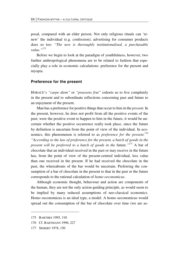posal, compared with an elder person. Not only religious rituals can 'renew' the individual (e.g. confession); advertising for consumer products does so too: *"The new is thoroughly institutionalised, a purchasable value."175*

Before we begin to look at the paradigm of youthfulness, however, two further anthropological phenomena are to be related to fashion that especially play a role in economic calculations: preference for the present and myopia.

#### **Preference for the present**

HORACE's *"carpe diem"* or *"praesens frui"* exhorts us to live completely in the present and to subordinate reflections concerning past and future to an enjoyment of the present.

Man has a preference for positive things that occur to him in the *present*. In the present, however, he does not profit from all the positive events of the past; were the positive event to happen to him in the future, it would be uncertain whether the positive occurrence really took place, since the future by definition is uncertain from the point of view of the individual. In economics, this phenomenon is referred to as *preference for the present*. 176 *"According to the law of preference for the present, a batch of goods in the present will be preferred to a batch of goods in the future."<sup>177</sup> A bar of* chocolate that an individual received in the past or may receive in the future has, from the point of view of the present-centred individual, less value than one received in the present. If he had received the chocolate in the past, the whereabouts of the bar would be uncertain. Preferring the consumption of a bar of chocolate in the present to that in the past or the future corresponds to the rational calculation of *homo oeconomicus*.

Although economic thought, behaviour and action are components of the human, they are not the only action-guiding principle, as would seem to be implied by many reduced assumptions of neo-classical economics. Homo oeconomicus is an ideal type, a model. A homo oeconomicus would spread out the consumption of the bar of chocolate over time (we are as-

-

<sup>175</sup> BARTHES 1995, 310

<sup>176</sup> Cf. BARTMANN 1996, 227

<sup>177</sup> SIEBERT 1978, 150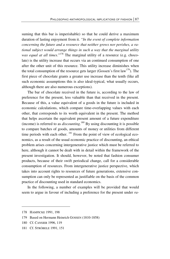suming that this bar is imperishable) so that he could derive a maximum duration of lasting enjoyment from it. *"In the event of complete information concerning the future and a resource that neither grows nor perishes, a rational subject would arrange things in such a way that the marginal utility was equal at all times.*"<sup>178</sup> The marginal utility of a resource (e.g. chocolate) is the utility increase that occurs via an continued consumption of one after the other unit of this resource. This utility increase diminishes when the total consumption of the resource gets larger (Gossen's first law<sup>179</sup>). The first piece of chocolate grants a greater use increase than the tenth (like all such economic assumptions this is also ideal-typical, what usually occurs, although there are also numerous exceptions).

The bar of chocolate received in the future is, according to the law of preference for the present, less valuable than that received in the present. Because of this, a value equivalent of a goods in the future is included in economic calculations, which compare time-overlapping values with each other, that corresponds to its worth equivalent in the present. The method that helps ascertain the equivalent present amount of a future expenditure (income) is referred to as *discounting*. 180 By using discounting it is possible to compare batches of goods, amounts of money or utilities from different time periods with each other.  $^{181}$  From the point of view of ecological economics, as a result of the usual economic practice of discounting, an ethical problem arises concerning intergenerative justice which must be referred to here, although it cannot be dealt with in detail within the framework of the present investigation. It should, however, be noted that fashion consumer products, because of their swift periodical change, call for a considerable consumption of resources. From intergenerative justice perspective, which takes into account rights to resources of future generations, extensive consumption can only be represented as justifiable on the basis of the common practice of discounting used in standard economics.

In the following, a number of examples will be provided that would seem to argue in favour of including a preference for the present under *ra-*

<sup>178</sup> HAMPICKE 1991, 198

<sup>179</sup> Based on Hermann Heinrich GOSSEN (1810-1858)

<sup>180</sup> Cf. CANSIER 1996, 119

<sup>181</sup> Cf. STRÖBELE 1991, 151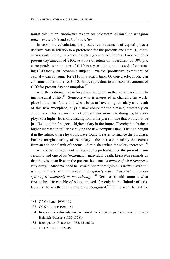*tional* calculation: *productive investment of capital, diminishing marginal utility, uncertainty* and *risk of mortality*.

In economic calculation, the productive investment of capital plays a decisive role in relation to a preference for the present: one Euro (€) *today* corresponds in the *future* to one  $\epsilon$  plus (compound) interest. For example, a present-day amount of  $\epsilon$ 100, at a rate of return on investment of 10% p.a. corresponds to an amount of  $E110$  in a year's time, i.e. instead of consuming  $€100$  today, an 'economic subject' – via the 'productive investment' of capital – can consume for  $E110$  in a year's time. Or conversely: If one can consume in the future for  $E110$ , this is equivalent to a discounted amount of €100 for present-day consumption.<sup>182</sup>

A further rational reason for preferring goods in the present is diminishing marginal utility.<sup>183</sup> Someone who is interested in changing his workplace in the near future and who wishes to have a higher salary as a result of this new workplace, buys a new computer for himself, preferably on credit, when his old one cannot be used any more. By doing so, he redeploys to a higher level of consumption in the present, one that would not be justified until he first gets a higher salary in the future. Thereby he obtains a higher increase in utility by buying the new computer than if he had bought it in the future, where he would have found it easier to finance the purchase. For the marginal utility of the salary – the increase in utility that comes from an additional unit of income – diminishes when the salary increases.<sup>184</sup>

An *existential* argument in favour of a preference for the present is uncertainty and one of its 'extremata': individual death. EPICURUS reminds us that the wise man lives in the present, he is not *"a master of what tomorrow may bring"*. Since we need to *"remember that the future is neither ours nor wholly not ours: so that we cannot completely expect it as existing nor despair of it completely as not existing."185* Death as an ultimatum is what first makes life capable of being enjoyed, for only in the finitude of existence is the worth of this existence recognised.<sup>186</sup> If life were to last for

<u>.</u>

<sup>182</sup> Cf. CANSIER 1996, 119

<sup>183</sup> Cf. STRÖBELE 1991, 151

<sup>184</sup> In economics this situation is termed *the Gossen's first law* (after Hermann Heinrich GOSSEN (1810-1858)).

<sup>185</sup> Both quotes: EPICURUS 1985, 45 and 83

<sup>186</sup> Cf. EPICURUS 1985, 45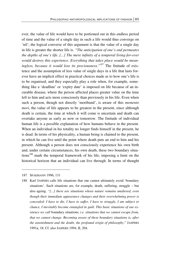ever, the value of life would have to be portioned out in this endless period of time and the value of a single day in such a life would thus converge on 'nil'; the logical converse of this argument is that the value of a single day in life is greater the shorter life is. *"The anticipation of one's end permeates the depths of one's life. [...] The mere infinity of a temporal living-for-ever would destroy this experience. Everything that takes place would be meaningless, because it would lose its preciousness."187* The finitude of existence and the assumption of less value of single days in a life that lasts forever have an implicit effect in practical choices made as to how one's life is to be organised, and they especially play a role when, for example, something like a 'deadline' or 'expiry date' is imposed on life because of an incurable disease, where the person affected places greater value on the time left to him and acts more consciously than previously in his life. Even when such a person, though not directly 'moribund', is aware of this *memento mori*, the value of life appears to be greatest in the present, since although death is certain, the time at which it will come is uncertain and death can overtake anyone as early as now or tomorrow. The finitude of individual human life is a possible explanation of how humans behave in the present. When an individual in his totality no longer finds himself in the present, he is dead. In terms of his physicality, a human being is chained to the present, in which he can live until the point where death puts an end to him and his present. Although a person does not consciously experience his own birth and, under certain circumstances, his own death, these two boundary situations<sup>188</sup> mark the temporal framework of his life, imposing a limit on the historical horizon that an individual can live through. In terms of thought

187 SPAEMANN 1996, 131

 $\overline{a}$ 

188 Karl JASPERS calls life situations that one cannot ultimately avoid 'boundary situations'. Such situations are, for example, death, suffering, struggle – but also ageing. *"[...] there are situations whose nature remains unaltered, even though their immediate appearance changes and their overwhelming power is concealed: I have to die, I have to suffer, I have to struggle, I am subject to chance, I inevitably become entangled in guilt. This basic situations of our existence we call* boundary situations*, i.e. situations that we cannot escape from, that we cannot change. Becoming aware of these boundary situations is, after the astonishment and the doubt, the profound origin of philosophy*." JASPERS 1991a, 18; Cf. also JASPERS 1994, II, 204.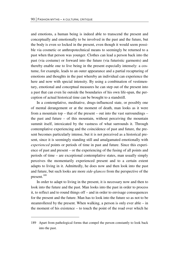and emotions, a human being is indeed able to transcend the present and conceptually and emotionally to be involved in the past and the future, but the body is even so locked in the present, even though it would seem possible via cosmetic or anthropotechnical means to seemingly be returned to a past when that person was younger. Clothes can lead a person back into the past (via costume) or forward into the future (via futuristic garments) and thereby enable one to live being in the present especially intensely: a costume, for example, leads to an outer appearance and a partial recapturing of emotions and thoughts in the past whereby an individual can experience the here and now with special intensity. By using a combination of vestimentary, emotional and conceptual measures he can step out of the present into a past that can even lie outside the boundaries of his own life-span, the perception of actual historical time can be brought to a standstill.

In a contemplative, meditative, drugs-influenced state, or possibly one of mental derangement or at the moment of death, man looks as it were from a mountain top – that of the present – out into the vast surroundings – the past and future  $-$  of this mountain, without perceiving the mountain summit itself, intoxicated by the vastness of what surrounds it. Through contemplative experiencing and the coincidence of past and future, the present becomes particularly intense, but it is not perceived as a historical present, since it is seemingly standing still and amalgamated emotionally with *experienced* points or periods of time in past and future. Since this experience of past and present – or the experiencing of the fusing of all points and periods of time – are exceptional contemplative states, man usually simply perceives the momentarily experienced present and to a certain extent adapts to living in it. Admittedly, he does now and then look into the past and future, but such looks are more *side-glances* from the perspective of the present.189

In order to adapt to living in the present, it is necessary now and then to look into the future and the past. Man looks into the past in order to process it, to reflect and to round things off – and in order to envisage consequences for the present and the future. Man has to look into the future so as not to be steamrollered by the present. When walking, a person is only ever able – in the moment of his existence – to touch the point of the road over which he

1

<sup>189</sup> Apart from pathological forms that compel the person constantly to look back into the past.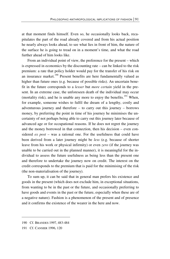at that moment finds himself. Even so, he occasionally looks back, recapitulates the part of the road already covered and from his actual position he nearly always looks ahead, to see what lies in front of him, the nature of the surface he is going to tread on in a moment's time, and what the road further ahead of him looks like.

From an individual point of view, the preference for the present – which is expressed in economics by the discounting rate – can be linked to the risk premium: a rate that policy holder would pay for the transfer of his risk on an insurance market.<sup>190</sup> Present benefits are here fundamentally valued as higher than future ones (e.g. because of possible risks). An uncertain benefit in the future corresponds to a *lesser* but *more certain* yield in the present. In an extreme case, the unforeseen death of the individual may occur (mortality risk), and he is unable any more to enjoy the benefits.<sup>191</sup> When, for example, someone wishes to fulfil the dream of a lengthy, costly and adventurous journey and therefore – to carry out this journey – borrows money, by preferring the point in time of his journey he minimises the uncertainty of not perhaps being able to carry out this journey later because of advanced age or for occupational reasons. If he does not regret the journey and the money borrowed in that connection, then his decision – even considered *ex post* – was a rational one. For the usefulness that could have been derived from a later journey might be *less* (e.g. because of shorter leave from his work or physical infirmity) or even *zero* (if the journey was unable to be carried out in the planned manner), it is meaningful for the individual to assess the future usefulness as being less than the present one and therefore to undertake the journey now on credit. The interest on the credit corresponds to the premium that is paid for the minimising of the risk (the non-materialisation of the journey).

To sum up, it can be said that in general man prefers his existence and goods in the present (which does not exclude him, in exceptional situations, from wanting to be in the past or the future, and occasionally preferring to have goods and events in the past or the future, especially when these are of a negative nature). Fashion is a phenomenon of the present and of presence and it confirms the existence of the wearer in the here and now.

<sup>190</sup> Cf. BRANDES 1997, 483-484

<sup>191</sup> Cf. CANSIER 1996, 120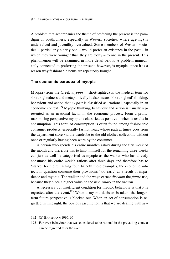A problem that accompanies the theme of preferring the present is the paradigm of youthfulness, especially in Western societies, where age(ing) is undervalued and juvenility overvalued. Some members of Western societies – particularly elderly one – would prefer an existence in the past – in which they were younger than they are today – to one in the present. This phenomenon will be examined in more detail below. A problem immediately connected to preferring the present, however, is myopia, since it is a reason why fashionable items are repeatedly bought.

#### **The economic paradox of myopia**

Myopia (from the Greek *myopos* = short-sighted) is the medical term for short-sightedness and metaphorically it also means 'short-sighted' thinking, behaviour and action that *ex post* is classified as irrational, especially in an economic context.<sup>192</sup> Myopic thinking, behaviour and action is usually represented as an irrational factor in the economic process. From a profitmaximising perspective myopia is classified as positive – when it results in consumption. This form of consumption is often found among fashionable consumer products, especially fashionwear, whose path at times goes from the department store via the wardrobe to the old clothes collection, without once or regularly having been worn by the consumer.

A person who spends his entire month's salary during the first week of the month and therefore has to limit himself for the remaining three weeks can just as well be categorised as myopic as the walker who has already consumed his entire week's rations after three days and therefore has to 'starve' for the remaining four. In both these examples, the economic subjects in question consume their provisions 'too early' as a result of impatience and myopia. The walker and the wage earner *discount* the *future* use, because they place a higher value on the *momentary* in the *present*.

A necessary but insufficient condition for myopic behaviour is that it is regretted after the event.<sup>193</sup> When a myopic decision is taken, the longerterm future perspective is blocked out. When an act of consumption is regretted in hindsight, the obvious assumption is that we are dealing with *my-*

-

<sup>192</sup> Cf. BARTMANN 1996, 66

<sup>193</sup> For even behaviour that was considered to be rational in the prevailing context can be regretted after the event.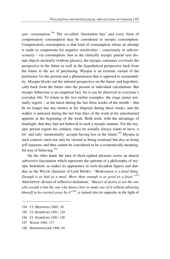*opic consumption*. 194 The so-called 'frustration buy' and every form of compensatory consumption may be considered as myopic consumption. Compensatory consumption is that kind of consumption where an attempt is made to compensate for negative sensitivities – consciously or subconsciously – via consumption. Just as the clinically myopic patient sees distant objects unclearly (without glasses), the myopic consumer *overlooks* the perspective in the future as well as the hypothetical perspective back from the future to the act of purchasing. Myopia is an extreme variant of the preference for the present and a phenomenon that is opposed to sustainability. Myopia blocks out the rational perspective on the future and hypothetically back from the future onto the present in individual calculations. But myopic behaviour is an empirical fact, for it can be observed in everyone's everyday life. To return to the two earlier examples: the wage earner normally regrets – at the latest during the last three weeks of the month – that he no longer has any money at his disposal during these weeks, and the walker is annoyed during the last four days of the week at his unrestrained appetite at the beginning of the week. Both wish, with the advantage of hindsight, that they had not behaved in such a myopic manner. For the myopic person regrets his conduct, since he actually always wants to have 'a lot' and only 'momentarily' accepts having less in the future.<sup>195</sup> Myopia in such contexts must not only be viewed as being irrational but also as being self-injurious and thus cannot be considered to be a economically meaningful way of behaving.<sup>196</sup>

On the other hand, the idea of short-sighted pleasure exerts an almost subversive fascination which represents the epitome of a philosophy of myopic hedonism, as makes its appearance in such decadent figures and dandies as the WILDE character of Lord HENRY: *"Moderation is a fatal thing. Enough is as bad as a meal. More than enough is as good as a feast."197* ARISTIPPOS' dictum of reflective hedonism, *"Master of desire is not the one who avoids it but the one who knows how to make use of it without allowing*  himself to be carried away by it<sup>198</sup>, is turned into its opposite in the light of

- 195 Cf. HAMPICKE 1991, 129
- 196 Cf. HAMPICKE 1991, 128

 $\overline{a}$ 

198 HOSSENFELDER 1996, 50

<sup>194</sup> Cf. MEINHOLD 2001, 30

<sup>197</sup> WILDE 1985, 177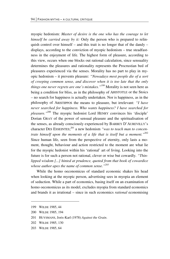myopic hedonism: *Master of desire is the one who has the courage to let himself be carried away by it:* Only the person who is prepared to relinquish control over himself – and this trait is no longer that of the dandy – displays, according to the conviction of myopic hedonism – true steadfastness in the enjoyment of life. The highest form of pleasure, according to this view, occurs when one blocks out rational calculation, since sensuality determines the pleasures and rationality represents the Procrustian bed of pleasures experienced via the senses. Morality has no part to play in myopic hedonism – it prevents pleasure: *"Nowadays most people die of a sort of creeping common sense, and discover when it is too late that the only things one never regrets are one's mistakes."<sup>199</sup>* Morality is not seen here as being a condition for bliss, as in the philosophy of ARISTOTLE or the Stoics – no search for happiness is actually undertaken. Nor is happiness, as in the philosophy of ARISTIPPOS the means to pleasure, but irrelevant: *"I have never searched for happiness. Who wants happiness? I have searched for pleasure."*200 The myopic hedonist Lord HENRY convinces his 'disciple' Dorian GRAY of the power of sensual pleasure and the spiritualisation of the senses, as already consciously experienced by BARBEY D'AUREVILLY's character DES ESSEINTES; 201 a new hedonism *"was to teach man to concentrate himself upon the moments of a life that is itself but a moment."*<sup>202</sup> Since human life, seen from the perspective of eternity, only lasts a moment, thought, behaviour and action restricted to the moment are what lie for the myopic hedonist within his 'rational' art of living. Looking into the future is for such a person not rational, clever or wise but cowardly. *"Thinlipped wisdom [...] hinted at prudence, quoted from that book of cowardice whose author apes the name of common sense."203*

While the homo oeconomicus of standard economic shakes his head when looking at the myopic person, advertising sees in myopia an element of seduction. While a part of economics, basing itself on an examination of homo oeconomicus as its model, excludes myopia from standard economics and brands it as irrational – since in such economics *rational* economising

**.** 

<sup>199</sup> WILDE 1985, 44

<sup>200</sup> WILDE 1985, 194

<sup>201</sup> HUYSMANS, Joris-Karl (1978) *Against the Grain*.

<sup>202</sup> WILDE 1985, 130

<sup>203</sup> WILDE 1985, 64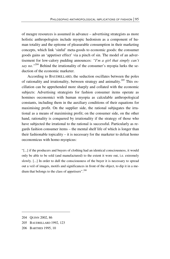of meagre resources is assumed in advance – advertising strategists as more holistic anthropologists include myopic hedonism as a component of human totality and the epitome of pleasurable consumption in their marketing concepts, which link 'sinful' meta-goods to economic goods: the consumer goods gains an 'appetiser effect' via a pinch of sin. The model of an advertisement for low-calory pudding announces: *"I'm a girl that simply can't say no.*"<sup>204</sup> Behind the irrationality of the consumer's myopia lurks the seduction of the economic marketer.

According to BAUDRILLARD, the seduction oscillates between the poles of rationality and irrationality, between strategy and animality.<sup>205</sup> This oscillation can be apprehended more sharply and collated with the economic subjects: Advertising strategists for fashion consumer items operate as homines oeconomici with human myopia as calculable anthropological constants, including them in the auxiliary conditions of their equations for maximising profit. On the supplier side, the rational subjugates the irrational as a means of maximising profit; on the consumer side, on the other hand, rationality is conquered by irrationality if the strategy of those who have subjected the irrational to the rational is successful. Particularly as regards fashion consumer items – the mental shelf life of which is longer than their fashionable topicality – it is necessary for the marketer to defeat homo oeconomicus with homo myopicus:

"[...] if the producers and buyers of clothing had an identical consciousness, it would only be able to be sold (and manufactured) to the extent it wore out, i.e. extremely slowly. [...] In order to dull the consciousness of the buyer it is necessary to spread out a veil of images, motifs and significances in front of the object, to dip it in a medium that belongs to the class of appetisers".*<sup>206</sup>*

- 205 BAUDRILLARD 1992, 123
- 206 BARTHES 1995, 10

<sup>204</sup> QUINN 2002, 86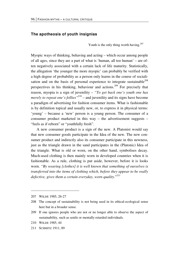#### **The apotheosis of youth insignias**

Youth is the only thing worth having.<sup>207</sup>

Myopic ways of thinking, behaving and acting – which occur among people of all ages, since they are a part of what is 'human, all too human' – are often negatively associated with a certain lack of life maturity. Statistically, the allegation 'the younger the more myopic' can probably be verified with a high degree of probability as a person only learns in the course of socialisation and on the basis of personal experience to integrate sustainable<sup>208</sup> perspectives in his thinking, behaviour and actions.209 For precisely that reason, myopia is a sign of juvenility – *"To get back one's youth one has merely to repeat one's follies*<sup>210</sup> – and juvenility and its signs have become a paradigm of advertising for fashion consumer items. What is fashionable is by definition topical and usually new, or, to express it in physical terms: 'young' – because a 'new' person is a young person. The consumer of a consumer product marketed in this way – the advertisement suggests – "feels as if reborn" or "youthfully fresh".

A new consumer product is a sign of the new. A Platonist would say that new consumer goods participate in the Idea of the new. The new consumer product and indirectly also its consumer participate in this newness, just as the triangle drawn in the sand participates in the (Platonic) Idea of the triangle. What is old or worn, on the other hand, symbolises decay. Much-used clothing is then mainly worn in developed countries when it is fashionable. As a rule, clothing is put aside, however, before it is looks worn. *"By wearing [clothes] it is well known that something of ourselves is transferred into the items of clothing which, before they appear to be really defective, gives them a certain everyday, worn quality.*" 211

<u>.</u>

<sup>207</sup> WILDE 1985, 26-27

<sup>208</sup> The concept of sustainability is not being used in its ethical-ecological sense here but in a broader sense.

<sup>209</sup> If one ignores people who are not or no longer able to observe the aspect of sustainability, such as senile or mentally retarded individuals.

<sup>210</sup> WILDE 1985, 44

<sup>211</sup> SCHMITZ 1911, 89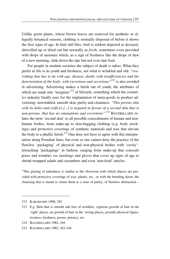Unlike green plants, whose brown leaves are removed for aesthetic or allegedly botanical reasons, clothing is normally disposed of before it shows the first signs of age. In fruit still lifes, fruit is seldom depicted as decayed, shrivelled up or dried out but normally as *fresh*, sometimes even provided with drops of moisture which, as a sign of freshness like the drops of dew of a new morning, slide down the ripe but not over-ripe fruit.

For people in modern societies the subject of death is taboo. What they prefer in life is its youth and freshness, not what is wrinkled and old: *"everything that has to do with age, disease, death, with insufficiencies and the deterioration of the body, with excretions and secretions"*212 is also avoided in advertising. Advertising makes a fetish out of youth, the attributes of which are made into 'insignias'<sup>213</sup> of lifestyle, something which the cosmetics industry finally uses for the implantation of meta-goods in product advertising: unwrinkled, smooth skin, purity and cleanness. *"This porous skin with its holes and orifices [...] is negated in favour of a second skin that is non-porous, that has no emanations and excretions".*214 BAUDRILLARD relates the term 'second skin' to all possible concealments of human and nonhuman bodies, from make-up to skin-hugging clothing (e.g. body stockings) and protective coverings of synthetic materials and wax that elevate the body to a phallic fetish. $^{215}$  One does not have to agree with this interpretation along Freudian lines, but even so one cannot deny the practice of the flawless 'packaging' of physical and non-physical bodies with 'cavity' retouching 'packagings' in fashion, ranging from make-up that conceals pores and wrinkles via stockings and gloves that cover up signs of age to shrink-wrapped salads and cucumbers and even 'non-food' articles.

"This glazing of nakedness is similar to the obsession with which objects are provided with protective coverings of wax, plastic, etc., or with the brushing down, the cleansing that is meant to return them to a state of purity, of flawless abstraction –

<sup>212</sup> KARAMASIN 1998, 292

<sup>213</sup> E.g. Skin that is smooth and free of wrinkles, vigorous growth of hair in the 'right' places, no growth of hair in the 'wrong places, juvenile physical figurativeness, freshness, power, potency, etc.

<sup>214</sup> BAUDRILLARD 1982, 164

<sup>215</sup> BAUDRILLARD 1982, 163-164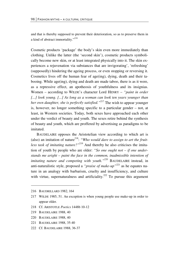and that is thereby supposed to prevent their deterioration, so as to preserve them in a kind of abstract immortality."*<sup>216</sup>*

Cosmetic products 'package' the body's skin even more immediately than clothing. Unlike the latter (the 'second skin'), cosmetic products symbolically become new skin, or at least integrated physically into it. The skin experiences a rejuvenation via substances that are invigorating', 'refreshing' (supposedly) hindering the ageing process, or even stopping or reversing it. Cosmetics lives off the human fear of age(ing), dying, death and their tabooing. While age(ing), dying and death are made taboo, there is as it were, as a repressive effect, an apotheosis of youthfulness and its insignias. Women – according to WILDE's character Lord HENRY – *"paint in order [...] look young. [...] As long as a woman can look ten years younger than her own daughter, she is perfectly satisfied."*217 The wish to appear younger is, however, no longer something specific to a particular gender – not, at least, in Western societies. Today, both sexes have approached each other under the verdict of beauty and youth. The sexes retire behind the synthesis of beauty and youth, which are proffered by advertising as paradigms to be imitated.

BAUDELAIRE opposes the Aristotelian view according to which art is (also) an imitation of nature<sup>218</sup>: "Who would dare to assign to art the fruit*less task of imitating nature?"*219 And thereby he also criticises the imitation of youth by people who are older: *"So one ought not – if one understands me aright – paint the face in the common, inadmissible intention of imitating nature and competing with youth."220* BAUDELAIRE instead, in anti-naturalistic style, proposed a *"praise of make-up*"<sup>221</sup> as he equates nature in an analogy with barbarism, cruelty and insufficiency, and culture with virtue, supernaturalness and artificiality.<sup>222</sup> To pursue this argument

**.** 

- 220 BAUDELAIRE 1988, 40
- 221 BAUDELAIRE 1988, 35-40
- 222 Cf. BAUDELAIRE 1988, 36-37

<sup>216</sup> BAUDRILLARD 1982, 164

<sup>217</sup> WILDE 1985, 51. An exception is when young people use make-up in order to appear older.

<sup>218</sup> Cf. ARISTOTLE *Poetics* 1448b 10-12

<sup>219</sup> BAUDELAIRE 1988, 40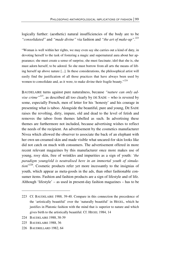# logically further: (aesthetic) natural insufficiencies of the body are to be *"consolidated"* and *"made divine"* via fashion and *"the art of make-up"*. 223

"Woman is well within her rights, we may even say she carries out a kind of duty, in devoting herself to the task of fostering a magic and supernatural aura about her appearance; she must create a sense of surprise, she must fascinate; idol that she is, she must adorn herself, to be adored. So she must borrow from all arts the means of lifting herself up above nature [...]. In these considerations, the philosophical artist will easily find the justification of all those practices that have always been used by women to consolidate and, as it were, to make divine their fragile beauty."<sup>224</sup>

BAUDELAIRE turns against pure naturalness, because *"nature can only advise crime"<sup>225</sup>*, as described all too clearly by DE SADE – who is revered by some, especially French, men of letter for his 'honesty' and his courage in presenting what is taboo. Alongside the beautiful, pure and young, DE SADE raises the revolting, dirty, impure, old and dead to the level of fetish and removes the taboo from themes labelled as such. In advertising these themes are furthermore not included, because advertising wishes to reflect the needs of the recipient. An advertisement by the cosmetics manufacturer Nivea which allowed the observer to associate the back of an elephant with her own un-creamed skin and made visible what uncared-for skin looks like did not catch on much with consumers. The advertisement offered in more recent relevant magazines by this manufacturer once more makes use of young, rosy skin, free of wrinkles and impurities as a sign of youth: *'the paradigm young/old is neutralised here in an immortal youth of simulation*" 226. Cosmetic products refer yet more incessantly to the insignias of youth, which appear as meta-goods in the ads, than other fashionable consumer items. Fashion and fashion products are a sign of lifestyle and of life. Although 'lifestyle' – as used in present-day fashion magazines – has to be

<sup>223</sup> Cf. BAUDELAIRE 1988, 39-40. Compare in this connection the precedence of the 'artistically beautiful' over the 'naturally beautiful' in HEGEL, which he justifies in Platonic fashion with the mind that is superior to nature and which gives birth to the artistically beautiful. Cf. HEGEL 1984, 14

<sup>224</sup> BAUDELAIRE 1988, 38-39

<sup>225</sup> BAUDELAIRE 1988, 36

<sup>226</sup> BAUDRILLARD 1982, 64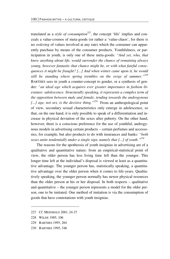translated as a *style of consumption*<sup>227</sup>, the concept 'life' implies and conceals a value-cosmos of meta-goods (or rather a 'value-chaos', for there is no *ordering* of values involved at any rate) which the consumer can apparently purchase by means of the consumer products. Youthfulness, or participation in youth, is only one of these meta-goods: *"And yet, who, that knew anything about life, would surrender the chance of remaining always young, however fantastic that chance might be, or with what fateful consequences it might be fraught? [...] And when winter came upon it, he would still be standing where spring trembles on the verge of summer."228*  BARTHES sees in youth a counter-concept to gender, or a synthesis of gender: *"an ideal age which acquires ever greater importance in fashion literature: adolescence. Structurally speaking, it represents a complex term of the opposition between male and female, tending towards the androgynous [...] age, not sex, is the decisive thing."229* From an anthropological point of view, secondary sexual characteristics only emerge in adolescence, so that, on the one hand, it is only possible to speak of a differentiation and increase in physical deviation of the sexes after puberty. On the other hand, however, there is a conscious preference for the use of youthful, androgynous models in advertising certain products – certain perfumes and accessories, for example, but also products to do with insurances and banks: *"both sexes unite tendentially under a single sign, namely that [...] of youth."230*

The reasons for the apotheosis of youth insignias in advertising are of a qualitative and quantitative nature: from an empirical-statistical point of view, the older person has less living time left than the younger. This longer time left at the individual's disposal is viewed at least as a quantitative advantage. The younger person has, statistically speaking, a quantitative advantage over the older person when it comes to life-years. Qualitatively speaking, the younger person normally has newer physical resources than the older person at his or her disposal. In both respects – qualitative and quantitative – the younger person represents a model for the older person, one to be imitated. One method of imitation is via the consumption of goods that have connotations with youth insignias.

228 WILDE 1985, 106

<u>.</u>

- 229 BARTHES 1995, 264
- 230 BARTHES 1995, 346

<sup>227</sup> Cf. MEINHOLD 2001, 24-27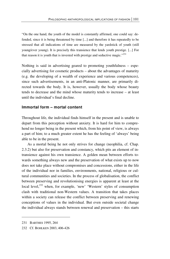"On the one hand, the youth of the model is constantly affirmed, one could say: defended, since it is being threatened by time [...] and therefore it has repeatedly to be stressed that all indications of time are measured by the yardstick of youth (still young/ever young). It is precisely this transience that lends youth prestige. [...] For that reason it is youth that is invested with prestige and seductive magic." $^{231}$ 

Nothing is said in advertising geared to promoting youthfulness – especially advertising for cosmetic products – about the advantages of maturity (e.g. the developing of a wealth of experience and various competences), since such advertisements, in an anti-Platonic manner, are primarily directed towards the body. It is, however, usually the body whose beauty tends to decrease and the mind whose maturity tends to increase – at least until the individual's final decline.

### **Immortal form – mortal content**

Throughout life, the individual finds himself in the present and is unable to depart from this perception without anxiety. It is hard for him to comprehend no longer being in the present which, from his point of view, is always a part of him; to a much greater extent he has the feeling of 'always' being able to be in the present.

As a mortal being he not only strives for change (neophilia, cf. Chap. 2.3.2) but also for preservation and constancy, which pits an element of intransience against his own transience. A golden mean between efforts towards something always new and the preservation of what exists up to now does not take place without compromises and concessions, either in the life of the individual nor in families, environments, national, religious or cultural communities and societies. In the process of globalisation, the conflict between preserving and revolutionising energies is apparent at least at the local level,<sup>232</sup> when, for example, 'new' 'Western' styles of consumption clash with traditional non-Western values. A transition that takes places within a society can release the conflict between preserving and renewing conceptions of values in the individual. But even outside societal change the individual always stands between renewal and preservation – this starts

 $\overline{\phantom{0}}$ 

<sup>231</sup> BARTHES 1995, 264

<sup>232</sup> Cf. BOHLKEN 2003, 406-426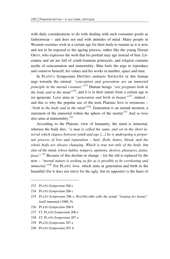with daily considerations to do with dealing with such consumer goods as fashionwear – and does not end with attitudes of mind. Many people in Western societies wish at a certain age for their body to remain as it is now and not to be exposed to the ageing process, rather like the young Dorian GRAY, who expresses the wish that his portrait may age instead of him. Literature and art are full of youth-fountain portrayals, and religion contains myths of reincarnation and immortality. Man feels the urge to reproduce and conserve himself, his values and his works in number, space and time.

In PLATO's Symposium DIOTIMA instructs SOCRATES in this human urge towards the eternal: *"conception and generation are an immortal principle in the mortal creature."233* Human beings *"are pregnant both in the body and in the mind"234*, and it is in their nature from a certain age to (re-)generate. Love aims at *"generation and birth in beauty"235*, indeed – and this is why the popular use of the term Platonic love is erroneous – *"both in the body and in the mind"*<sup>236</sup>. Generation is an eternal moment, a statement of the immortal within the sphere of the mortal.<sup>237</sup> And so love also aims at immortality.<sup>238</sup>

According to the Platonic view of humanity, the mind is immortal, whereas the body dies. *"a man is called the same, and yet in the short interval which elapses between youth and age [...] he is undergoing a perpetual process of loss and reparation – hair, flesh, bones, blood, and the whole body are always changing. Which is true not only of the body, but also of the mind, whose habits, tempers, opinions, desires, pleasures, pains, fears".239* Because of this decline or change – for the old is replaced by the new – *"mortal nature is seeking as far as is possible to be everlasting and immortal.*"<sup>240</sup> For PLATO, love, which aims at generation and birth in the beautiful (for it does not strive for the ugly, but its opposite) is the basis of

**.** 

- 236 PLATO *Symposium* 206 b
- 237 Cf. PLATO *Symposium* 206 e
- 238 Cf. PLATO *Symposium* 207 a
- 239 PLATO *Symposium* 207 e
- 240 PLATO *Symposium* 207 d

<sup>233</sup> PLATO *Symposium* 206 c

<sup>234</sup> PLATO *Symposium* 206 c

<sup>235</sup> PLATO *Symposium* 206 e. BAUDELAIRE calls the actual *"longing for beauty"* itself immortal (1988, 9).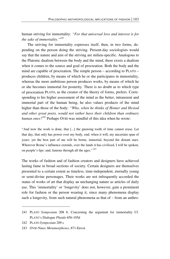human striving for immortality: *"For that universal love and interest is for the sake of immortality."241*

The striving for immortality expresses itself, then, in two forms, depending on the person doing the striving. Present-day sociologists would say that the nature and aim of the striving are milieu-specific. Analogous to the Platonic dualism between the body and the mind, there exists a dualism when it comes to the source and goal of procreation. Both the body and the mind are capable of procreation. The simple person – according to PLATO – produces children, by means of which he or she participates in immortality, whereas the more ambitious person produces works, by means of which he or she becomes immortal for posterity. There is no doubt as to which type of procreation PLATO, as the creator of the theory of forms, prefers. Corresponding to his higher assessment of the mind as the better, intransient and immortal part of the human being, he also values products of the mind higher than those of the body: *"Who, when he thinks of Homer and Hesiod and other great poets, would not rather have their children than ordinary human ones?242* Perhaps OVID was mindful of this idea when he wrote:

"And now the work is done, that [...] the gnawing tooth of time cannot erase. Let that day, that only has power over my body, end, when it will, my uncertain span of years: yet the best part of me will be borne, immortal, beyond the distant stars. Wherever Rome's influence extends, over the lands it has civilised, I will be spoken, on people's lips: and, famous through all the ages."<sup>243</sup>

The works of fashion and of fashion creators and designers have achieved lasting fame in broad sections of society. Certain designers are themselves presented to a certain extent as timeless, time-independent, eternally young or semi-divine personages. Their works are not infrequently accorded the status of works of art that display an unchanging nature as articles of daily use. This 'immortality' or 'longevity' does not, however, gain a prominent role for fashion or the person wearing it, since many phenomena display such a longevity, from such natural phenomena as that of – from an anthro-

<sup>241</sup> PLATO *Symposium* 208 b. Concerning the argument for immortality Cf. PLATO's Dialogue *Phaido* 65b-105d

<sup>242</sup> PLATO *Symposium* 209 c

<sup>243</sup> OVID Naso: *Metamorphoses*, 871-Envoi.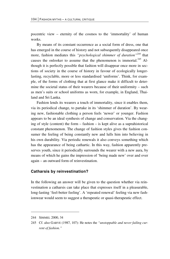pocentric view – eternity of the cosmos to the 'immortality' of human works.

By means of its constant occurrence as a social form of dress, one that has emerged in the course of history and not subsequently disappeared once more, fashion mediates this *"psychological shimmer of duration"244* that causes the onlooker to assume that the phenomenon is immortal.<sup>245</sup> Although it is perfectly possible that fashion will disappear once more in sections of society in the course of history in favour of ecologically longerlasting, recyclable, more or less standardised 'uniforms'. Think, for example, of the forms of clothing that at first glance make it difficult to determine the societal status of their wearers because of their uniformity – such as men's suits or school uniforms as worn, for example, in England, Thailand and Sri Lanka.

Fashion lends its wearers a touch of immortality, since it enables them, via its periodical change, to partake in its 'shimmer of duration'. By wearing new, fashionable clothing a person feels 'newer' or younger. Fashion appears to be an ideal synthesis of change and conservation. Via the changing of style (content) the form – fashion – is kept alive as a suprahistorical constant phenomenon. The change of fashion styles gives the fashion consumer the feeling of being constantly new and lulls him into believing in his own durability. Via periodic renewals it also conveys something which has the appearance of being cathartic. In this way, fashion apparently preserves youth, since it periodically surrounds the wearer with a new aura, by means of which he gains the impression of 'being made new' over and over again – an outward form of reinvestination.

## **Catharsis by reinvestination?**

In the following an answer will be given to the question whether via reinvestination a catharsis can take place that expresses itself in a pleasurable, long-lasting 'feel-better feeling'. A 'repeated renewal' feeling via new fashionwear would seem to suggest a therapeutic or quasi-therapeutic effect.

<u>.</u>

<sup>244</sup> SIMMEL 2000, 34

<sup>245</sup> Cf. also GARVE (1987, 107): He notes the *"unstoppable and never failing current of fashion."*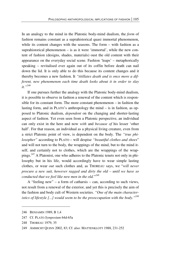In an analogy to the mind in the Platonic body-mind dualism, the *form* of fashion remains constant as a suprahistorical quasi immortal phenomenon, while its content changes with the seasons. The form – with fashion as a suprahistorical phenomenon – is as it were 'immortal', while the new content of fashion (designs, shades, materials) oust the old content with their appearance on the everyday social scene. Fashion 'leaps' – metaphorically speaking – revitalised ever again out of its coffin before death can nail down the lid. It is only able to do this because its content changes and it thereby becomes a new fashion. It *"titillates death and is once more a different, new phenomenon each time death looks about it in order to slay it."<sup>246</sup>*

If one pursues further the analogy with the Platonic body-mind dualism, it is possible to observe in fashion a renewal of the content which is responsible for its constant form. The more constant phenomenon – in fashion the lasting form, and in PLATO's anthropology the mind – is in fashion, as opposed to Platonic dualism, *dependent* on the changing and shorter-lasting aspect of fashion. Yet even seen from a Platonic perspective, an individual can only exist in the here and now *with* and *because of* his lesser 'other half'. For that reason, an individual as a physical living creature, even from a strict Platonic point of view, is dependent on the body. The *"true philosopher"* according to PLATO – will despise *"beautiful clothes and shoes*" and will not turn to the body, the wrappings of the mind, but to the mind itself, and certainly not to clothes, which are the wrappings of the wrappings.247 A Platonist, one who adheres to the Platonic tenets not only in philosophy but in his life, would accordingly have to wear simple lasting clothes, or wear *out* such clothes and, as THOREAU says, we "*will never procure a new suit, however ragged and dirty the old – until we have so conducted that we feel like new men in the old.*" *248*

A "feeling new" – a form of catharsis – can, according to such views, not result from a renewal of the exterior, and yet this is precisely the aim of the fashion and body cult of Western societies. *"One of the main characteristics of lifestyle [...] would seem to be the preoccupation with the body.*<sup>"249</sup>

-

<sup>246</sup> BENJAMIN 1989, B 1,4

<sup>247</sup> Cf. PLATO *Symposium* 64d-65a

<sup>248</sup> THOREAU 1979, 35

<sup>249</sup> AMMICHT QUINN 2002, 83; Cf. also: MATTENKLOTT 1988, 231-252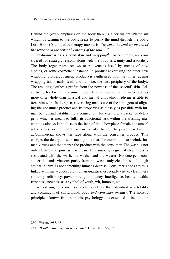Behind the (over-)emphasis on the body there is a certain anti-Platonism which, by turning to the body, seeks to purify the mind through the body. Lord HENRY's allopathic therapy maxim is: *"to cure the soul by means of the senses and the senses by means of the soul."*250

Fashionwear as a second skin and wrapping<sup>251</sup>, or cosmetics, are considered for strategic reasons along with the body as a unity and a totality. The body regenerates, renews or rejuvenates itself by means of new clothes, or some cosmetic substance. In product advertising the outer new wrapping (clothes, cosmetic product) is synthesised with the 'inner' ageing wrapping (skin, nails, teeth and hair, i.e. the first periphery of the body). The resulting synthesis profits from the newness of the 'second' skin. Advertising for fashion consumer products thus represents the individual as more of a whole than physical and mental allopathic medicine is able to treat him with. In doing so, advertising makes use of the stratagem of aligning the consumer product and its properties as closely as possible with human beings and establishing a connection. For example, a packet of detergent, which is meant to fulfil its functional task within the washing machine, is always kept close to the face of the 'showpiece female consumer' – the actress or the model used in the advertising. The person used in the ad/commercial shows her face along with the consumer product. This charges the detergent with meta-goods that, for example, also include human virtues and that merge the product with the consumer. The wash is not only clean but as pure as it is clean. This amazing degree of cleanliness is associated with the wash, the washer and the wearer. No detergent consumer demands virtuous purity from his wash, only cleanliness, although ethical 'purity' is not something humans despise. Consumer goods are thus linked with meta-goods, e.g. human qualities, especially virtue: cleanliness as purity, reliability, power, strength, potency, intelligence, beauty, health, freshness, newness as a symbol of youth, wit, humour, etc.

Advertising for consumer products defines the individual as a totality and continuum of spirit, mind, body *and consumer product*. The holistic principle – known from humanist psychology – is extended to include the

-

<sup>250</sup> WILDE 1985, 181

<sup>251</sup> *"Clothes are only our outer skin."* THOREAU 1979, 35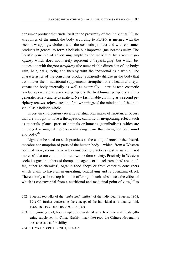consumer product that finds itself in the proximity of the individual.<sup>252</sup> The wrappings of the mind, the body according to PLATO, is merged with the second wrappings, clothes, with the cosmetic product and with consumer products in general to form a holistic but improved (meliorated) unity. The holistic principle of advertising amplifies the individual by a *second periphery* which does not merely represent a 'repackaging' but which becomes one with the *first periphery* (the outer visible dimension of the body: skin, hair, nails, teeth) and thereby with the individual as a whole. The characteristics of the consumer product apparently diffuse in the body that assimilates them: nutritional supplements strengthen one's health and rejuvenate the body internally as well as externally – new hi-tech cosmetic products penetrate as a second periphery the first human periphery and regenerate, renew and rejuvenate it. New fashionable clothing as a second periphery renews, rejuvenates the first wrappings of the mind and of the individual as a holistic whole.

In certain (indigenous) societies a ritual oral intake of substances occurs that are thought to have a therapeutic, cathartic or invigorating effect, such as minerals, plants, parts of animals or humans (cannibalism), which are employed as magical, potency-enhancing mans that strengthen both mind and body.<sup>253</sup>

Light can be shed on such practices as the eating of roots or the absurd, macabre consumption of parts of the human body – which, from a Western point of view, seems naive – by considering practices (just as naive, if not more so) that are common in our own modern society. Precisely in Western societies great numbers of therapeutic agents or 'quack remedies' are on offer, either at chemists', organic food shops or from esoterics consigners which claim to have an invigorating, beautifying and rejuvenating effect. There is only a short step from the offering of such substances, the effect of which is controversial from a nutritional and medicinal point of view, $254$  to

<sup>252</sup> SIMMEL too talks of the *"unity and totality"* of the individual (SIMMEL 1968, 191; Cf. further concerning the concept of the individual as a totality: ibid. 1968, 189-193, 202, 206-209, 212, 232).

<sup>253</sup> The ginseng root, for example, is considered an aphrodisiac and life-lengthening supplement in China: jênshên: man(like) root; the Chinese ideogram is the same as that for virility.

<sup>254</sup> Cf. WOLTERS/HAHN 2001, 367-375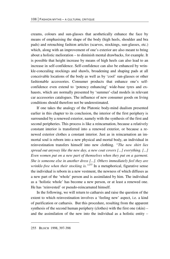creams, colours and sun-glasses that aesthetically enhance the face by means of emphasising the shape of the body (high heels, shoulder and bra pads) and retouching fashion articles (scarves, stockings, sun-glasses, etc.) which, along with an improvement of one's exterior are also meant to bring about a holistic melioration – to diminish mental drawbacks, for example. It is possible that height increase by means of high heels can also lead to an increase in self-confidence. Self-confidence can also be enhanced by wrinkle-concealing stockings and shawls, broadening and shaping pads at all conceivable locations of the body as well as by 'cool' sun-glasses or other fashionable accessories. Consumer products that enhance one's selfconfidence even extend to 'potency enhancing' wide-base tyres and exhausts, which are normally presented by 'summer'-clad models in relevant car accessories catalogues. The influence of new consumer goods on living conditions should therefore not be underestimated.

If one takes the analogy of the Platonic body-mind dualism presented earlier in this chapter to its conclusion, the interior of the first periphery is surrounded by a renewed exterior, namely with the synthesis of the first and second peripheries. This process is like a reincarnation, because a relatively constant interior is transferred into a renewed exterior, or because a renewed exterior clothes a constant interior. Just as in reincarnation an immortal soul is reborn into a new physical and mortal body, an individual in reinvestination transfers himself into new clothing. *"The new shirt lies spread out anyway like the new day, a new coat covers [...] everything. [...] Even women put on a new part of themselves when they put on a garment. She is someone else in another dress [...]. Others immediately feel they are wrinkle-free when their stocking is."255* In a metaphorical, figurative sense the individual is reborn in a new vestment, the newness of which diffuses as a new part of the 'whole' person and is assimilated by him. The individual as a 'holistic whole' has become a new person, or at least a renewed one. He has 'reinvested' or pseudo-reincarnated himself.

In the following, we will return to catharsis and raise the question of the extent to which reinvestination involves a 'feeling new' aspect, i.e. a kind of purification or catharsis. But this procedure, resulting from the apparent synthesis of the second human periphery (clothes) with the first one (skin) – and the assimilation of the new into the individual as a holistic entity –

<u>.</u>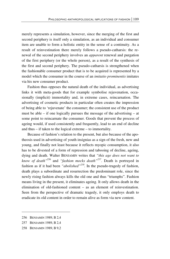merely represents a simulation, however, since the merging of the first and second periphery is itself only a simulation, as an individual and consumer item are unable to form a holistic entity in the sense of a continuity. As a result of reinvestination there merely follows a pseudo-catharsis: the renewal of the second periphery involves an *apparent* renewal and purgation of the first periphery (or the whole person), as a result of the synthesis of the first and second periphery. The pseudo-catharsis is strengthened when the fashionable consumer product that is to be acquired is represented by a model which the consumer in the course of an *imitatio prominentis* imitates via his new consumer product.

Fashion thus opposes the natural death of the individual, as advertising links it with meta-goods that for example symbolise rejuvenation, occasionally (implicit) immortality and, in extreme cases, reincarnation. The advertising of cosmetic products in particular often creates the impression of being able to 'rejuvenate' the consumer; the consistent use of the product must be able – if one logically pursues the message of the advertising – at some point to reincarnate the consumer. Goods that prevent the process of ageing would, if used consistently and frequently, lead to an end of decline and thus – if taken to the logical extreme – to immortality.

Because of fashion's relation to the present, but also because of the apotheosis used in advertising of youth insignias as a sign of the fresh, new and young, and finally not least because it reflects myopic consumption, it also has to be divested of a form of repression and tabooing of decline, ageing, dying and death. Walter BENJAMIN writes that *"this age does not want to know of death"*<sup>256</sup> and *"fashion mocks death"257*. Death is portrayed in fashion as if it had been *"abolished"258.* In the pseudo-tragedy of fashion, death plays a subordinate and resurrection the predominant role, since the newly rising fashion always kills the old one and thus "triumphs". Fashion means living in the present, it eliminates ageing. It only allows death in the elimination of old-fashioned content – as an element of reinvestination. Seen from the perspective of dramatic tragedy, it only employs death to eradicate its old content in order to remain alive as form via new content.

<sup>256</sup> BENJAMIN 1989, B 2,4

<sup>257</sup> BENJAMIN 1989, B 2,4

<sup>258</sup> BENJAMIN 1989, B 9,2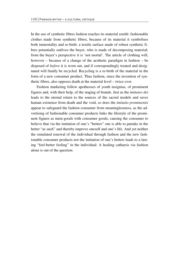In the use of synthetic fibres fashion reaches its material zenith: fashionable clothes made from synthetic fibres, because of its material it symbolises both immortality and re-birth: a textile surface made of robust synthetic fibres potentially outlives the buyer, who is made of decomposing material; from the buyer's perspective it is 'not mortal'. The article of clothing will, however – because of a change of the aesthetic paradigm in fashion – be disposed of *before* it is worn out, and if correspondingly treated and designated will finally be recycled. Recycling is a re-birth of the material in the form of a new consumer product. Thus fashion, since the invention of synthetic fibres, also opposes death at the material level – twice over.

Fashion marketing follow apotheoses of youth insignias, of prominent figures and, with their help, of the staging of brands. Just as the *imitateo dei* leads to the eternal return to the sources of the sacred models and saves human existence from death and the void, so does the *imitatio prominentis* appear to safeguard the fashion consumer from meaninglessness, as the advertising of fashionable consumer products links the lifestyle of the prominent figures as meta-goods with consumer goods, causing the consumer to believe that via the imitation of one's "betters" one is able to partake in the better "as such" and thereby improve oneself and one's life. And yet neither the simulated renewal of the individual through fashion and the new fashionable consumer products nor the imitation of one's betters leads to a lasting "feel-better feeling" in the individual: A healing catharsis via fashion alone is out of the question.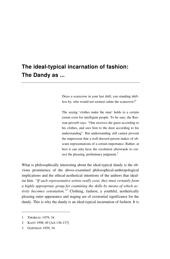# **The ideal-typical incarnation of fashion: The Dandy as ...**

Dress a scarecrow in your last shift, you standing shiftless by, who would not soonest salute the scarecrow?<sup>1</sup>

The saying 'clothes make the man' holds to a certain extent even for intelligent people. To be sure, the Russian proverb says: "One receives the guest according to his clothes, and sees him to the door according to his understanding". But understanding still cannot prevent the impression that a well-dressed person makes of obscure representations of a certain importance. Rather, at best it can only have the resolution afterwards to correct the pleasing, preliminary judgment.<sup>2</sup>

What is philosophically interesting about the ideal-typical dandy is the obvious prominence of the above-examined philosophical-anthropological implications and the ethical-aesthetical intentions of the authors that idealise him. *"If such representative artists really exist, they must certainly form a highly appropriate group for examining the skills by means of which activity becomes ostentation."3* Clothing, fashion, a youthful, aesthetically pleasing outer appearance and staging are of existential significance for the dandy. This is why the dandy is an ideal-typical incarnation of fashion. It is

 $\overline{a}$ 

2 KANT 1998, 49 [AA 136-137]

<sup>1</sup> THOREAU 1979, 34

<sup>3</sup> GOFFMAN 1959, 34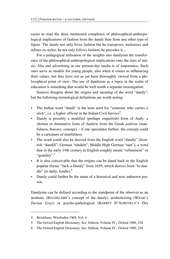easier to read the three mentioned complexes of philosophical-anthropological implications of fashion from the dandy than from any other type of figure. The dandy not only loves fashion but he transposes, meliorises and refines its styles; he not only *follows* fashion, he precedes it...

For a pedagogical utilisation of the insights into dandyism the transference of the philosophical-anthropological implications onto the stars of music, film and advertising in our present-day media is of importance. Such stars serve as models for young people, also when it comes to influencing their values, but they have not as yet been thoroughly viewed from a philosophical point of view. The use of dandyism as a topos in the realm of education is something that would be well worth a separate investigation.

Sources disagree about the origins and meaning of the word "dandy", but the following etymological definitions are worth noting:

- The Indian word "dandi" is the term used for "someone who carries a stick", i.e. a higher official in the Indian Civil Service<sup>4</sup>.
- Dandy is possibly a modified (perhaps coquettish) form of Andy: a shorten or diminutive form of Andrew from the Greek *andreia* (manfulness, bravery, courage) – if one speculates further, the concept could be a caricature of manfulness.
- The word could also be derived from the English word "dandle" (Scottish "dandill", German "tändeln", Middle High German "tant"), a word that in the early 19th century in English roughly meant "refinement" or "gentility".<sup>5</sup>
- It is also conceivable that the origins can be dated back to the English popular rhyme "Jack-a-Dandy" from 1659, which derives from "to dandle" (to dally, fondle). $<sup>6</sup>$ </sup>
- Dandy could further be the name of a historical and now unknown person.

Dandyism can be defined according to the standpoint of the observer as an aesthetic (BAUDELAIRE's concept of the dandy), aestheticising (WILDE's *Dorian Gray*) or psycho-pathological (BARBEY D'AUREVILLY's Des

1

<sup>4</sup> Brockhaus, Wiesbaden 1968, Vol. 4

<sup>5</sup> The Oxford English Dictionary. Sec. Edition, Volume IV., Oxford 1989, 238

<sup>6</sup> The Oxford English Dictionary. Sec. Edition, Volume IV., Oxford 1989, 238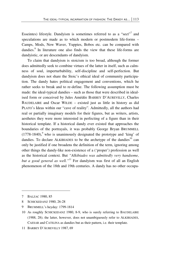Esseintes) lifestyle. Dandyism is sometimes referred to as a "sect"<sup>7</sup> and speculations are made as to which modern or postmodern life-forms – Camps, Mods, New Waver, Yuppies, Bobos etc. can be compared with dandies.<sup>8</sup> In literature one also finds the view that these life-forms are dandyistic, or are descendants of dandyism.

To claim that dandyism is stoicism is too broad, although the former does admittedly seek to combine virtues of the latter in itself, such as calmness of soul, imperturbability, self-discipline and self-perfection. But dandyism does not share the Stoic's ethical ideal of community participation. The dandy hates political engagement and conventions, which he rather seeks to break and to re-define. The following assumption must be made: the ideal-typical dandies – such as those that were described in idealised form or conceived by Jules Amédée BARBEY D'AUREVILLY, Charles BAUDELAIRE and Oscar WILDE – existed just as little in history as did PLATO's Ideas within our "cave of reality". Admittedly, all the authors had real or partially imaginary models for their figures, but as writers, artists, aesthetes they were more interested in perfecting of a figure than in their historical template. If a historical dandy ever existed that approaches the boundaries of the portrayals, it was probably George Bryan BRUMMELL  $(1778-1840)$ ,<sup>9</sup> who is unanimously designated the prototype and 'king' of dandies. To declare ALKIBIADES to be the archetype of the dandies<sup>10</sup> can only be justified if one broadens the definition of the term, ignoring among other things the dandy-like non-existence of a ('proper') profession as well as the historical context. But *"Alkibiades was admittedly very handsome, but a good general as well."*11 For dandyism was first of all an English phenomenon of the 18th and 19th centuries. A dandy has no other occupa-

<sup>7</sup> BALZAC 1980, 85

<sup>8</sup> SCHICKEDANZ 1980, 26-28

<sup>9</sup> BRUMMELL's heyday: 1799-1814

<sup>10</sup> As roughly SCHICKEDANZ 1980, 8-9, who is surely referring to BAUDELAIRE (1988, 28); the latter, however, does not unambiguously refer to ALKIBIADES, CAESAR and CATILINA as dandies but as their pattern, i.e. their template.

<sup>11</sup> BARBEY D'AUREVILLY 1987, 69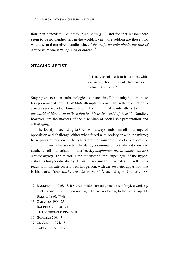tion than dandyism, *"a dandy does nothing"12,* and for that reason there seem to be no dandies left in the world. Even more seldom are those who would term themselves dandies since *"the majority only obtain the title of dandyism through the opinion of others."13*

## **STAGING ARTIST**

A Dandy should seek to be sublime without interruption; he should live and sleep in front of a mirror  $14$ 

Staging exists as an anthropological constant in all humanity in a more or less pronounced form. GOFFMAN attempts to prove that self-presentation is a necessary aspect of human life.15 The individual wants others to *"think the world of him, or to believe that he thinks the world of them"16*. Dandies, however, are the masters of the discipline of social self-presentation and self-staging.

The Dandy – according to CAMUS – always finds himself in a stage of opposition and challenge, either when faced with society or with the mirror; he requires an audience; the others are that mirror.<sup>17</sup> Society is his mirror and the mirror is his society. The dandy's commandment when it comes to aesthetic self-dramatisation must be: *My neighbours are to admire me as I admire myself*. The mirror is the touchstone, the 'super ego' of the hypercritical, idiosyncratic dandy. If his mirror image intoxicates himself, he is ready to intoxicate society with his person, with the aesthetic apparition that is his work. *"Our works are like mirrors"18*, according to CARLYLE. Or

13 CARASSUS 1990, 25

-

- 14 BAUDELAIRE 1946, 41
- 15 Cf. DAHRENDORF 1969, VIII
- 16 GOFFMAN 2001, 7
- 17 Cf. CAMUS 1974, 45
- 18 CARLYLE 1991, 223

<sup>12</sup> BAUDELAIRE 1946, 48. BALZAC divides humanity into three lifestyles: working, thinking and those who do nothing. The dandies belong to the last group. Cf. BALZAC 1990, 47-48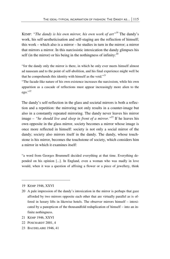KEMP: *"The dandy is his own mirror, his own work of art"19* The dandy's work, his self-aestheticisation and self-staging are the reflection of himself; this work – which also is a mirror – he studies in turn in the mirror; a mirror that mirrors a mirror. In this narcissistic intoxication the dandy glimpses his self (in the mirror) or his being in the nothingness of infinity:  $^{20}$ 

"for the dandy only the mirror is there, in which he only ever meets himself almost ad nauseam and to the point of self-abolition, and his final experience might well be that he comprehends this identity with himself as the void."*<sup>21</sup>*

"The facade-like nature of his own existence increases the narcissism, while his own apparition as a cascade of reflections must appear increasingly more alien to the ego."*<sup>22</sup>*

The dandy's self-reflection in the glass and societal mirrors is both a reflection and a repetition: the mirroring not only results in a counter-image but also in a constantly repeated mirroring. The dandy never leaves his mirror image – *"he should live and sleep in front of a mirror."*<sup>23</sup> If he leaves his own opposite in the glass mirror, society becomes a mirror whose image is once more reflected in himself: society is not only a social mirror of the dandy; society also mirrors itself in the dandy. The dandy, whose touchstone is his mirror, becomes the touchstone of society, which considers him a mirror in which it examines itself:

"a word from Georges Brummell decided everything at that time. Everything depended on his opinion [...]. In England, even a woman who was madly in love would, when it was a question of affixing a flower or a piece of jewellery, think

- 21 KEMP 1946, XXVI
- 22 POSCHARDT 2001, 4
- 23 BAUDELAIRE 1946, 41

<sup>19</sup> KEMP 1946, XXVI

<sup>20</sup> A pale impression of the dandy's intoxication in the mirror is perhaps that gaze afforded by two mirrors opposite each other that are virtually parallel as is offered in luxury lifts in likewise hotels. The observer mirrors himself – intoxicated by a panopticon of the thousandfold reduplication of himself – into an infinite nothingness.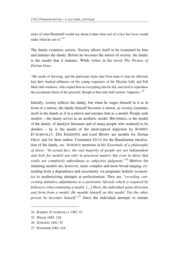more of what Brummell would say about it than what sort of a face her lover would make when he saw it."<sup>24</sup>

The dandy examines society. Society allows itself to be examined by him and imitates the dandy. Before he becomes the mirror of society, the dandy is the model that it imitates. Wilde writes in his novel *The Picture of Dorian Gray*:

"His mode of dressing, and the particular styles that from time to time he affected, had their marked influence on the young exquisites of the Mayfair balls and Pall Mall club windows, who copied him in everything that he did, and tried to reproduce the accidental charm of his graceful, though to him only half-serious, fopperies."<sup>25</sup>

Initially, society reflects the dandy, but when he stages himself in it as in front of a mirror, the dandy himself becomes a mirror, as society examines itself in the dandy as if in a mirror and imitates him as a model. People seek models – the dandy serves as an aesthetic model. BRUMMELL is the model of the dandy, of dandyist literature and of many people who want(ed) to be dandies – he is the model of the ideal-typical depiction by BARBEY D'AUREVILLY. DES ESSEINTES and Lord HENRY are models for Dorian GRAY and for their author, Constantin GUYS for the Baudelarian idealisation of the dandy, etc. SCHURTZ mentions in his *Essentials of a philosophy of dress*: *"In actual fact, the vast majority of people are not independent and look for models not only in practical matters but even in those that really are completely subordinate to subjective judgment."26* Motives for imitating models are, however, more complex and more broad-ranging, extending from a dependence and uncertainty via pragmatic holistic economics to aestheticising attempts at perfectionism: They are *"revealing concerning imitative adjustments to a particular lifestyle which is required by followers when emulating a model. [...] Here, the individual gains direction and form from a model. He moulds himself on this model. Via the other person he becomes himself."27* Since the individual attempts to imitate

<u>.</u>

<sup>24</sup> BARBEY D'AUREVILLY 1987, 67

<sup>25</sup> WILDE 1985, 129

<sup>26</sup> SCHURTZ 1891, 93

<sup>27</sup> PLESSNER 1982, 416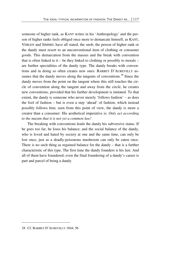someone of higher rank, as KANT writes in his 'Anthropology' and the person of higher ranks feels obliged once more to demarcate himself, as KANT, VEBLEN and SIMMEL have all stated, the snob, the person of higher rank or the dandy must resort to an unconventional item of clothing or consumer goods. This demarcation from the masses and the break with convention that is often linked to it – be they linked to clothing or possibly to morals – are further specialities of the dandy type. The dandy breaks with conventions and in doing so often creates new ones: BARBEY D'AUREVILLY assumes that the dandy moves along the tangents of conventions.<sup>28</sup> Since the dandy moves from the point on the tangent where this still touches the circle of convention along the tangent and away from the circle, he creates new conventions, provided that his further development is imitated. To that extent, the dandy is someone who never merely 'follows fashion' – as does the fool of fashion – but is even a step 'ahead' of fashion, which instead possibly follows him; seen from this point of view, the dandy is more a creator than a consumer: His aesthetical imperative is: *Only act according to the maxim that it is not yet a common law!* 

The breaking with conventions lends the dandy his subversive status. If he goes too far, he loses his balance; and the social balance of the dandy, who is loved and hated by society at one and the same time, can only be lost once, just as a deadly-poisonous mushroom can only be eaten once. There is no such thing as regained balance for the dandy – that is a further characteristic of this type. The first time the dandy founders is his last. And all of them have foundered; even the final foundering of a dandy's career is part and parcel of being a dandy.

<sup>28</sup> Cf. BARBEY D'AUREVILLY 1844, 56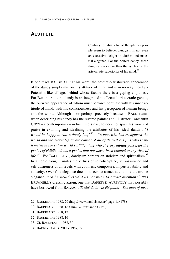### **AESTHETE**

Contrary to what a lot of thoughtless people seem to believe, dandyism is not even an excessive delight in clothes and material elegance. For the perfect dandy, these things are no more than the symbol of the aristocratic superiority of his mind.<sup>29</sup>

If one takes BAUDELAIRE at his word, the aesthetic-aristocratic appearance of the dandy simply mirrors his attitude of mind and is in no way merely a Potemkin-like village, behind whose facade there is a gaping emptiness. For BAUDELAIRE the dandy is an integrated intellectual aristocratic genius, the outward appearance of whom must perforce correlate with his inner attitude of mind, with his consciousness and his perception of human beings and the world. Although – or perhaps precisely because – BAUDELAIRE when describing his dandy has the revered painter and illustrator Constantin GUYS – a contemporary – in his mind's eye, he does not spare his words of praise in extolling and idealising the attributes of his 'ideal dandy': *"I would be happy to call a dandy*  $\left[ \ldots \right]$ *<sup>30</sup> – "a man who has recognised the world and the secret legitimate causes of all of its customs [...] who is interested in the entire world [...]"31, "[...] who at every minute possesses the genius of childhood, i.e. a genius that has never been blunted to any view of life."<sup>32</sup>* For BAUDELAIRE, dandyism borders on stoicism and spiritualism.<sup>33</sup> In a noble form, it unites the virtues of self-discipline, self-assurance and self-awareness at all levels with coolness, composure, imperturbability and audacity. Over-fine elegance does not seek to attract attention via extreme elegance. *"To be well-dressed does not mean to attract attention"34* was BRUMMELL's dressing axiom, one that BARBEY D'AUREVILLY may possibly have borrowed from BALZAC's *Traité de la vie élégante*: *"The man of taste* 

-

<sup>29</sup> BAUDELAIRE 1988, 29 (http://www.dandyism.net/?page\_id=178)

<sup>30</sup> BAUDELAIRE 1988, 16 ('him' = Constantin GUYS)

<sup>31</sup> BAUDELAIRE 1988, 13

<sup>32</sup> BAUDELAIRE 1988, 16

<sup>33</sup> Cf. BAUDELAIRE 1988, 30

<sup>34</sup> BARBEY D´AUREVILLY 1987, 72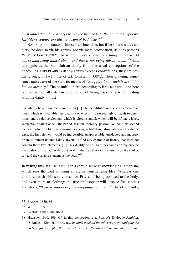*must understand how always to reduce his needs to the point of simplicity. [...] Many colours are always a sign of bad taste."35*

BAUDELAIRE's dandy is himself unshockable, but if he should shock society, he does so via his genius, not via mere provocation, as does perhaps WILDE's Lord HENRY, for whom *"there is only one thing in the world worse than being talked about, and that is not being talked about."36* This distinguishes the Baudelairian dandy from the usual conceptions of the dandy. If BAUDERLAIRE's dandy-genius exceeds conventions, they are aesthetic ones, in fact those of art: Constantin GUYS, when drawing, sometimes makes use of the stylistic means of *"exaggeration, which is useful for human memory."* The beautiful in art, according to BAUDELAIRE – and here one could logically also include the art of living, especially when dealing with the dandy – must

"inevitably have a double composition [...] The beautiful consists of an eternal element, which is invariable, the quantity of which it is exceedingly difficult to determine, and a relative element, which is circumstantial, which will be, if one wishes, sequential or all at once – the period, fashion, morality, passion. Without this second element, which is like the amusing covering – titillating, stimulating – of a divine cake, the first element would be indigestible, unappreciable, unadapted and inappropriate to human nature. I defy anyone to find any example of beauty that does not contain these two elements. [...] This duality of art is an inevitable consequence of the duality of man. Consider, if you will, the part that exists eternally as the soul of art, and the variable element as the body."<sup>37</sup>

In writing this, BAUDELAIRE is in a certain sense acknowledging Platonism, which sees the soul as being an eternal, unchanging Idea. Whereas one could reproach philosophy based on PLATO of being opposed to the body, and even more to clothing: the true philosopher will despise fine clothes and shoes, "*those wrappings of the wrappings of mind".*38 The ideal dandy,

<sup>35</sup> BALZAC 1830, 84

<sup>36</sup> WILDE 1985, 8

<sup>37</sup> BAUDELAIRE 1988, 10-11

<sup>38</sup> HANSON 1990, 109; Cf. in this connection, e.g. PLATO'S Dialogue *Phaidon*: (Sokrates – Simmias) "*And will he think much of the other ways of indulging the body – for example, the acquisition of costly raiment, or sandals, or other*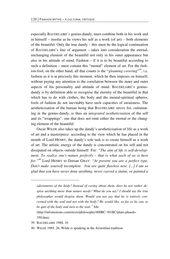especially BAUDELAIRE's genius-dandy, must combine both in his work and in himself – insofar as he views his self as a work (of art) – both elements of the beautiful. Only the true dandy – this must be the logical continuation of BAUDELAIRE's line of argument – takes into consideration the eternal, unchanging element of the beautiful not only in his outer appearance but also in his attitude of mind. Fashion – if it is to be beautiful according to such a definition – must contain this "mental" element of art. For the fashion-fool, on the other hand, all that counts is the "*gleaming covering*" *<sup>39</sup>*, i.e. fashion as it is at precisely this moment, which he then imposes on himself, without paying any attention to the correlation between the inner and outer aspects of his personality and attitude of mind. BAUDELAIRE's geniusdandy is by definition able to recognise the eternity of the beautiful in that which has to do with clothes, the body and the mental-spiritual spheres; fools of fashion do not inevitably have such capacities of awareness. The aestheticisation of the human being that BAUDELAIRE strove for, culminating in the genius-dandy, is thus an *integrated aestheticisation* of the self and its "wrappings", one that does not omit either the eternal or the changing element of the beautiful.

Oscar WILDE also takes up the dandy's aestheticisation of life as a work of art and a masterpiece: according to the view which he has placed in the mouth of Lord HENRY, the dandy's sole task is to create himself as a work of art. The artistic energy of the dandy is concentrated on his self and not dissipated on objects outside himself: For: *"The aim of life is self-development. To realize one's nature perfectly – that is what each of us is here for."40* Lord HENRY to Dorian GRAY: *"At present you are a perfect type. Don't make yourself incomplete. You are quite flawless now. [...] I am so glad that you have never done anything, never carved a statue, or painted a* 

39 BAUDELAIRE 1988, 10

**.** 

*adornments of the body? Instead of caring about them, does he not rather despise anything more than nature needs? What do you say? I should say the true philosopher would despise them. Would you not say that he is entirely concerned with the soul and not with the body? He would like, as far as he can, to be quit of the body and turn to the soul."* 64e

 <sup>(</sup>http://infomotions.com/etexts/philosophy/400BC-301BC/plato-phaedo-350.htm)

<sup>40</sup> WILDE 1985, 26; Wilde is speaking in the Aristotlian tradition.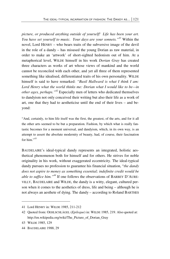*picture, or produced anything outside of yourself! Life has been your art. You have set yourself to music. Your days are your sonnets."<sup>41</sup>* Within the novel, Lord HENRY – who bears traits of the subversive image of the devil in the role of a dandy – has misused the young Dorian as raw material, in order to make an 'artwork' of short-sighted hedonism out of him. At a metaphorical level, WILDE himself in his work *Dorian Gray* has created three characters as works of art whose views of mankind and the world cannot be reconciled with each other, and yet all three of them represented something like idealised, differentiated traits of his own personality. WILDE himself is said to have remarked: *"Basil Hallward is what I think I am: Lord Henry what the world thinks me: Dorian what I would like to be—in other ages, perhaps."42* Especially men of letters who dedicated themselves to dandyism not only conceived their writing but also their life as a work of art, one that they had to aestheticise until the end of their lives – and beyond:

"And, certainly, to him life itself was the first, the greatest, of the arts, and for it all the other arts seemed to be but a preparation. Fashion, by which what is really fantastic becomes for a moment universal, and dandyism, which, in its own way, is an attempt to assert the absolute modernity of beauty, had, of course, their fascination for him."<sup>43</sup>

BAUDELAIRE's ideal-typical dandy represents an integrated, holistic aesthetical phenomenon both for himself and for others. He strives for noble originality in his work, without exaggerated eccentricity. The ideal-typical dandy pursues no profession to guarantee his financial situation, "*the dandy does not aspire to money as something essential; indefinite credit would be able to suffice him."44* If one follows the observations of BARBEY D'AURE-VILLY, BAUDELAIRE and WILDE, the dandy is a witty, elegant, cultured person when it comes to the aesthetics of dress, life and being – although he is not always an aesthete of dying. The dandy – according to Roland BARTHES

<sup>41</sup> Lord HENRY in: WILDE 1985, 211-212

<sup>42</sup> Quoted from: OEHLSCHLÄGEL (*Epilogue*) in: WILDE 1985, 219. Also quoted at: http://en.wikipedia.org/wiki/The\_Picture\_of\_Dorian\_Gray

<sup>43</sup> WILDE 1985, 129

<sup>44</sup> BAUDELAIRE 1988, 29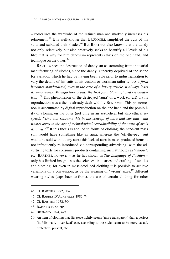– radicalises the wardrobe of the refined man and markedly increases his refinement.45 It is well-known that BRUMMELL simplified the cuts of his suits and subdued their shades.<sup>46</sup> But BARTHES also knows that the dandy not only selectively but also creatively seeks to beautify all levels of his life; that is why for him dandyism represents ethics on the one hand, and technique on the other. 47

BARTHES sees the destruction of dandyism as stemming from industrial manufacturing of clothes, since the dandy is thereby deprived of the scope for variation which he had by having been able prior to industrialisation to vary the details of his suits at his custom or workman tailor's: *"As a form becomes standardised, even in the case of a luxury article, it always loses its uniqueness. Manufacture is thus the first fatal blow inflicted on dandyism."<sup>48</sup>* This phenomenon of the destroyed 'aura' of a work (of art) via its reproduction was a theme already dealt with by BENJAMIN. This phenomenon is accentuated by digital reproduction on the one hand and the possibility of cloning on the other (not only in an aesthetical but also ethical respect): *"One can subsume this in the concept of aura and say that what wastes away in the age of technological reproducibility of the work of art is its aura.*"<sup>49</sup> If this thesis is applied to forms of clothing, the hand-cut mass suit would have something like an aura, whereas the 'off-the-peg' suit would be sold without any aura; this lack of aura in mass-produced items is not infrequently re-introduced via corresponding advertising, with the advertising texts for consumer products containing such attributes as 'unique', etc. BARTHES, however – as he has shown in *The Language of Fashion* – only has limited insight into the sciences, industries and crafting of textiles and clothing, for even in mass-produced clothing it is possible to achieve variations on a convention; as by the wearing of 'wrong' sizes,<sup>50</sup> different wearing styles (caps back-to-front), the use of certain clothing for other

1

- 47 Cf. BARTHES 1972, 304
- 48 BARTHES 1972, 305
- 49 BENJAMIN 1974, 477
- 50 An item of clothing that fits (too) tightly seems 'more transparent' than a perfect fit. Minimally 'oversized' can, according to the style, seem to be more casual, protective, present, etc.

<sup>45</sup> Cf. BARTHES 1972, 304

<sup>46</sup> Cf. BARBEY D'AUREVILLY 1987, 74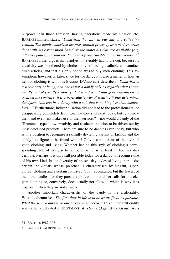purposes than those foreseen, having alterations made by a tailor, etc. BARTHES himself states: *"Dandyism, though, was basically a creative invention. The dandy conceived his presentation precisely as a modern artist does with his composition based on the materials that are available (e.g. adhesive paper), i.e. that the dandy was finally unable to buy his clothes."51* BARTHES further argues that dandyism inevitably had to die out, because its creativity was smothered by clothes only still being available as manufactured articles, and that his only option was to buy such clothing. This assumption, however, is false, since for the dandy it is also a matter of how an item of clothing is worn, as BARBEY D'AREVILLY describes: *"Dandyism is a whole way of being, and one is not a dandy only as regards what is outwardly and physically visible. [...] It is not a suit that goes walking on its own, on the contrary: it is a particularly way of wearing it that determines dandyism. One can be a dandy with a suit that is nothing less than meticulous."52* Furthermore, industrialisation did not lead to the professional tailor disappearing completely from towns – they still exist today, but few know them and even less makes use of their services? – nor would a dandy of the 'Brummel' type allow creativity and aesthetic intuition to be driven out by mass-produced products. There are sure to be dandies even today, but who is in a position to recognise a skilfully deviating variant of fashion and the dandy-like figure to be found within? Only a connoisseur of the style of good clothing and living. Whether behind this style of clothing a corresponding style of living is to be found or not is, at least *ad hoc*, not discernible. Perhaps it is only still possible today for a dandy to recognise one of his own kind. In the diversity of present-day styles of living there exist certain individuals whose presence is characterised by elegant, supercorrect clothing and a certain contrived 'cool' appearance, but the fewest of them are dandies, for they pursue a profession that either calls for this elegant clothing or, conversely, does usually not allow it, which is why it is displayed when they are not at work.

Another important characteristic of the dandy is the artificiality. WILDE's dictum is: *"The first duty in life is to be as artificial as possible. What the second duty is no one has yet discovered."* This cult of artificiality was earlier celebrated in HUYSMANS' *A rebours* (Against the Grain). As a

<sup>51</sup> BARTHES 1982, 306

<sup>52</sup> BARBEY D'AUREVILLY 1987, 48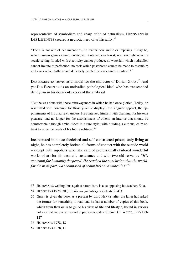representative of symbolism and sharp critic of naturalism, HUYSMANS in DES ESSEINTES created a neurotic hero of artificiality:<sup>53</sup>

"There is not one of her inventions, no matter how subtle or imposing it may be, which human genius cannot create; no Fontainebleau forest, no moonlight which a scenic setting flooded with electricity cannot produce; no waterfall which hydraulics cannot imitate to perfection; no rock which pasteboard cannot be made to resemble; no flower which taffetas and delicately painted papers cannot simulate."*<sup>54</sup>*

DES ESSEINTES serves as a model for the character of Dorian GRAY.<sup>55</sup> And yet DES ESSEINTES is an unrivalled pathological ideal who has transcended dandyism in his decadent excess of the artificial.

"But he was done with those extravagances in which he had once gloried. Today, he was filled with contempt for those juvenile displays, the singular apparel, the appointments of his bizarre chambers. He contented himself with planning, for his own pleasure, and no longer for the astonishment of others, an interior that should be comfortable although embellished in a rare style; with building a curious, calm retreat to serve the needs of his future solitude."*<sup>56</sup>*

Incarcerated in his aestheticised and self-constructed prison, only living at night, he has completely broken all forms of contact with the outside world – except with suppliers who take care of professionally tailored wonderful works of art for his aesthetic sustenance and with two old servants: *"His contempt for humanity deepened. He reached the conclusion that the world, for the most part, was composed of scoundrels and imbeciles."57*

**.** 

57 HUYSMANS 1978, 11

<sup>53</sup> HUYSMANS, writing thus against naturalism, is also opposing his teacher, Zola.

<sup>54</sup> HUYSMANS 1978, 30 (http://www.gutenberg.org/etext/12341)

<sup>55</sup> GRAY is given the book as a present by Lord HENRY, after the latter had asked the former for something to read and he has a number of copies of this book, which from then on is to guide his view of life and lifestyle, bound in various colours that are to correspond to particular states of mind. Cf. WILDE, 1985 123- 127

<sup>56</sup> HUYSMANS 1978, 18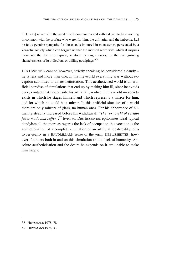"[He was] seized with the need of self-communion and with a desire to have nothing in common with the profane who were, for him, the utilitarian and the imbecile. [...] he felt a genuine sympathy for those souls immured in monasteries, persecuted by a vengeful society which can forgive neither the merited scorn with which it inspires them, nor the desire to expiate, to atone by long silences, for the ever growing shamelessness of its ridiculous or trifling gossipings."*<sup>58</sup>*

DES ESSEINTES cannot, however, strictly speaking be considered a dandy – he is less and more than one. In his life-world everything was without exception submitted to an aestheticisation. This aestheticised world is an artificial paradise of simulations that end up by making him ill, since he avoids every contact that lies outside his artificial paradise. In his world no society exists in which he stages himself and which represents a mirror for him, and for which he could be a mirror. In this artificial situation of a world there are only mirrors of glass, no human ones. For his abhorrence of humanity steadily increased before his withdrawal: *"The very sight of certain faces made him suffer".59* Even so, DES ESSEINTES epitomises ideal-typical dandyism all the more as regards the lack of occupation: his vocation is the aestheticisation of a complete simulation of an artificial ideal-reality, of a hyper-reality in a BAUDRILLARD sense of the term. DES ESSEINTES, however, founders both in and on this simulation and its lack of humanity. Absolute aestheticisation and the desire he expends on it are unable to make him happy.

<sup>58</sup> HUYSMANS 1978, 78

<sup>59</sup> HUYSMANS 1978, 33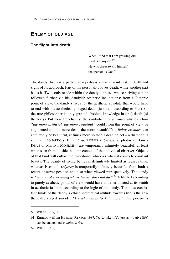### **ENEMY OF OLD AGE**

#### **The flight into death**

When I find that I am growing old, I will kill myself.<sup>60</sup> He who dares to kill himself, that person is God.<sup>61</sup>

The dandy displays a particular – perhaps schizoid – interest in death and signs of its approach. Part of his personality loves death, while another part hates it. Two souls reside within the dandy's breast, whose striving can be followed further via his dandyish-aesthetic inclinations: from a Platonic point of view, the dandy strives for the aesthetic absolute that would have to end with his aesthetically staged death, just as – according to PLATO – the true philosopher is only granted absolute knowledge in (the) death (of the body). Put more trenchantly, the symbolistic or anti-naturalistic dictum *"the more artificial, the more beautiful"* could from this point of view be augmented to "the more dead, the more beautiful": a *living creature* can admittedly be beautiful, at times more so than a dead object – a diamond, a sphinx, LEONARDO's *Mona Lisa*, HOMER's *Odysseus*, photos of James DEAN or Marilyn MONROE – are temporarily infinitely beautiful; at least when seen from outside the time context of the individual observer. Objects of that kind will outlast the 'moribund' observer when it comes to constant beauty. The beauty of living beings is definitively limited as regards time, whereas HOMER's *Odyssey* is temporarily-infinitely beautiful from both a recent observer position and also when viewed retrospectively. The dandy is *"jealous of everything whose beauty does not die".*<sup>62</sup> A life led according to purely aesthetic points of view would have to be terminated at its zenith in aesthetic fashion, according to the logic of the dandy. The most consistent finale of the dandy's ethical-aesthetical attitude towards life is the aesthetically staged suicide: *"He who dares to kill himself, that person is* 

<u>.</u>

<sup>60</sup> WILDE 1985, 30

<sup>61</sup> KIRILLOW (from HEYDEN-RYNSCH 1987, 7); 'to take life', just as 'to give life' can be understood as *imitatio dei*.

<sup>62</sup> WILDE 1985, 30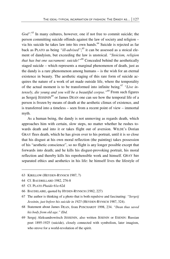*God".*<sup>63</sup> In many cultures, however, one if not free to commit suicide; the person committing suicide offends against the law of society and religion – via his suicide he takes law into his own hands.<sup>64</sup> Suicide is rejected as far back as PLATO as being *"ill-advised"*; 65 it can be assessed as a stoical element of dandyism, but exceeding the law is unstoical. *"Stoicism, religion that has but one sacrament: suicide!"66* Concealed behind the aesthetically staged suicide – which represents a marginal phenomenon of death, just as the dandy is a rare phenomenon among humans – is the wish for an eternal existence in beauty. The aesthetic staging of this rare form of suicide acquires the nature of a work of art made outside life, where the temporality of the actual moment is to be transformed into infinite being.<sup>67</sup> "Live in*tensely, die young and you will be a beautiful corpse."<sup>68</sup>* From such figures as Sergeij JESSININ<sup>69</sup> or James DEAN one can see how the temporal life of a person is frozen by means of death at the aesthetic climax of existence, and is transferred into a timeless – seen from a recent point of view – immortal myth.

As a human being, the dandy is not unmoving as regards death, which approaches him with certain, slow steps, no matter whether he rushes towards death and into it or takes flight out of aversion. WILDE's Dorian GRAY flees death, which he has given over to his portrait, until it is so close that his disgust at his own moral reflection (the painting) takes possession of his "aesthetic conscience", so no flight is any longer possible except that forwards into death; and he kills his disgust-provoking portrait, his moral reflection and thereby kills his reprehensible work and himself. GRAY has separated ethics and aesthetics in his life: he himself lives the lifestyle of

- 63 KIRILLOW (HEYDEN-RYNSCH 1987, 7)
- 64 Cf. BAUDRILLARD 1982, 276-8
- 65 Cf. PLATO *Phaido* 61e-62d

- 66 BAUDELAIRE, quoted by HYDEN-RYNSCH (1982, 227)
- 67 The author is thinking of a photo that is both repulsive and fascinating: *"Sergeij Jessinin, just before his suicide in 1925* (HEYDEN-RYNSCH 1987, 324).
- 68 Statement about James DEAN, from POSCHARDT 1998, 234. *"Dean thus saved his body from old age." Ebd.*
- 69 Sergej Aleksandrowitsch JESSENIN, also written JESENIN or ESENIN: Russian poet 1895-1925 (suicide), closely connected with symbolism, later imagism, who strove for a world-revolution of the spirit.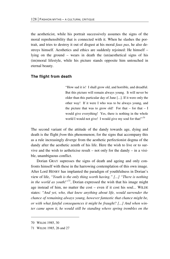the aestheticist, while his portrait successively assumes the signs of the moral reprehensibility that is connected with it. When he slashes the portrait, and tries to destroy it out of disgust at his moral *faux pas*, he also destroys himself. Aesthetics and ethics are suddenly rejoined: He himself – lying on the ground – wears in death the (un)aesthetical signs of his (im)moral lifestyle, while his picture stands opposite him untouched in eternal beauty.

#### **The flight from death**

"How sad it is! I shall grow old, and horrible, and dreadful. But this picture will remain always young. It will never be older than this particular day of June [...]. If it were only the other way! If it were I who was to be always young, and the picture that was to grow old! For that  $-$  for that  $-$  I would give everything! Yes, there is nothing in the whole world I would not give! I would give my soul for that!"*<sup>70</sup>*

The second variant of the attitude of the dandy towards age, dying and death is the flight *from* this phenomenon; for the signs that accompany this as a rule increasingly diverge from the aesthetic perfectionist dogma of the dandy after the aesthetic zenith of his life. Here the wish to live or to survive and the wish to aetheticise result – not only for the dandy – in a visible, unambiguous conflict.

Dorian GRAY supresses the signs of death and ageing and only confronts himself with these in the harrowing contemplation of this own image. After Lord HENRY has implanted the paradigm of youthfulness in Dorian's view of life, *"Youth is the only thing worth having." [...] "There is nothing in the world as youth!"71*, Dorian expressed the wish that his image might age instead of him, no matter the cost – even if it cost his soul... WILDE states: *"And yet, who, that knew anything about life, would surrender the chance of remaining always young, however fantastic that chance might be, or with what fateful consequences it might be fraught? [...] And when winter came upon it, he would still be standing where spring trembles on the* 

1

<sup>70</sup> WILDE 1985, 30

<sup>71</sup> WILDE 1985, 26 and 27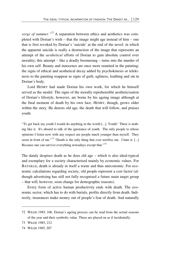*verge of summer.*"<sup>72</sup> A separation between ethics and aesthetics was completed with Dorian's wish – that the image might age instead of him – one that is first revoked by Dorian's 'suicide' at the end of the novel: in which the apparent suicide is really a destruction of the image that represents an attempt of the *aesthetical* efforts of Dorian to gain absolute control over morality; this attempt – like a deadly boomerang – turns into the murder of his own self. Beauty and innocence are once more reunited in the painting; the signs of ethical and aesthetical decay added by psychokinesis or telekinesis to the painting reappear as signs of guilt, ugliness, loathing and sin in Dorian's body.

Lord HENRY had made Dorian his own work, for which he himself served as the model. The signs of the morally reprehensible aestheticisation of Dorian's lifestyle, however, are borne by his ageing image although at the final moment of death by his own face. HENRY, though, grows older within the story. He detests old age, the death that will follow, and praises youth.

"To get back my youth I would do anything in the world [...]. Youth! There is nothing like it. It's absurd to talk of the ignorance of youth. The only people to whose opinions I listen now with any respect are people much younger than myself. They seem in front of me."*<sup>73</sup>* "Death is the only thing that ever terrifies me. I hate it. [...] Because one can survive everything nowadays except that."<sup>74</sup>

The dandy despises death as he does old age – which is also ideal-typical and exemplary for a society characterised mainly by economic values. For BATAILLE, death is already in itself a waste and thus uneconomic. For economic calculations regarding society, old people represent a cost factor (although advertising has still not fully recognised a future main target group – that will, however, soon change for demographic reasons).

Every form of active human productivity ends with death. The economic sector, which has to do with burials, profits directly from death. Indirectly, insurances make money out of people's fear of death. And naturally

<sup>72</sup> WILDE 1985, 106. Dorian's ageing process can be read from the actual seasons of the year and their symbolic value. These are played on as if incidentally.

<sup>73</sup> WILDE 1985, 212

<sup>74</sup> WILDE 1985, 207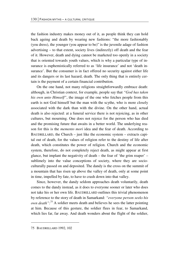the fashion industry makes money out of it, as people think they can hold back ageing and death by wearing new fashions: "the more fashionably (you dress), the younger (you appear to be)" is the juvenile adage of fashion advertising – to that extent, society lives (indirectly) off death and the fear of it. However, death and dying cannot be marketed too openly in a society that is oriented towards youth values, which is why a particular type of insurance is euphemistically referred to as 'life insurance' and not 'death insurance'. But the consumer is in fact offered no security against either life and its dangers or its last hazard, death. The only thing that is entirely certain is the payment of a certain financial contribution.

On the one hand, not many religions straightforwardly embrace death: although, in Christian context, for example, people say that *"God has taken his own unto Himself"*, the image of the one who fetches people from this earth is not God himself but the man with the scythe, who is more closely associated with the dark than with the divine. On the other hand, actual death is also rejected: at a funeral service there is not rejoicing, as in other cultures, but mourning. One does not rejoice for the person who has died and the promising future that awaits in a better world. The underlying reason for this is the *memento mori* idea and the fear of death. According to BAUDRILLARD, the Church – just like the economic system – extracts capital out of death, for the values of religion refer to the destiny of life after death, which constitutes the power of religion. Church and the economic system, therefore, do not completely reject death, as might appear at first glance, but implant the negativity of death – the fear of 'the grim reaper' – sublimely into the value conceptions of society, where they are socioculturally passed on and deposited. The dandy is the cross on the summit of a mountain that has risen up above the valley of death, only at some point in time, impelled by fate, to have to crash down into that valley.

Since, however, the dandy seldom approaches death voluntarily, death comes to the dandy instead, as it does to everyone sooner or later who does not take his or her own life. BAUDRILLARD outlines this trivial phenomenon by reference to the story of death in Samarkand: *"everyone person seeks his own death":*75 A soldier meets death and believes he sees the latter pointing at him. Because of this gesture, the soldier flees in fear, to Samarkand, which lies far, far away. And death wonders about the flight of the soldier,

<u>.</u>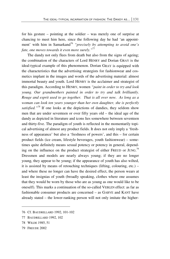for his gesture – pointing at the soldier – was merely one of surprise at chancing to meet him here, since the following day he had 'an appointment' with him in Samarkand<sup>76</sup> *"precisely by attempting to avoid one's fate, one moves towards it even more surely."*<sup>77</sup>

The dandy not only flees from death but also from the signs of ageing; the combination of the characters of Lord HENRY and Dorian GRAY is the ideal-typical example of this phenomenon. Dorian GRAY is equipped with the characteristics that the advertising strategists for fashionwear and cosmetics implant in the images and words of the advertising material: almost immortal beauty and youth. Lord HENRY is the acclaimer and strategist of this paradigm. According to HENRY, women *"paint in order to try and look young. Our grandmothers painted in order to try and talk brilliantly. Rouge and esprit used to go together. That is all over now. As long as a woman can look ten years younger than her own daughter, she is perfectly satisfied.*"<sup>78</sup> If one looks at the depictions of dandies, they seldom show men that are under seventeen or over fifty years old – the ideal age of the dandy as depicted in literature and icons lies somewhere between seventeen and thirty-five. The paradigm of youth is reflected in the momentarily topical advertising of almost any product fields. It does not only imply a 'freshness of appearance' but also a 'freshness of powers', and this – for certain product fields (ice cream, lifestyle beverages, youth fashionwear) – sometimes quite definitely means sexual potency or potency in general, depending on the influence on the product strategist of either FREUD or JUNG.<sup>79</sup> Dressmen and models are nearly always young; if they are no longer young, they appear to be young; if the appearance of youth has also wilted, it is assisted by means of retouching techniques (lifting, colouring, etc.) – and where these no longer can have the desired effect, the person wears at least the insignias of youth (broadly speaking, clothes where one assumes that they would be worn by those who are as young as one would like to be oneself). This marks a continuation of the so-called VEBLEN effect: as far as fashionable consumer products are concerned – as GARVE and KANT have already stated – the lower-ranking person will not only imitate the higher-

<sup>76</sup> Cf. BAUDRILLARD 1992, 101-102

<sup>77</sup> BAUDRILLARD 1992, 102

<sup>78</sup> WILDE 1985, 51

<sup>79</sup> FREUDE 2002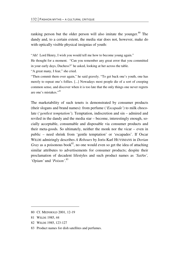ranking person but the older person will also imitate the younger.<sup>80</sup> The dandy and, to a certain extent, the media star does not, however, make do with optically visible physical insignias of youth:

"Ah! Lord Henry, I wish you would tell me how to become young again."

He thought for a moment. "Can you remember any great error that you committed in your early days, Duchess?" he asked, looking at her across the table. "A great many, I fear," she cried.

"Then commit them over again," he said gravely. "To get back one's youth, one has merely to repeat one's follies. [...] Nowadays most people die of a sort of creeping common sense, and discover when it is too late that the only things one never regrets are one's mistakes."*<sup>81</sup>*

The marketability of such tenets is demonstrated by consumer products (their slogans and brand names): from perfume (*'Escapade'*) to milk chocolate (*'gentlest temptation'*). Temptation, indiscretion and sin – admired and reviled in the dandy and the media star – become, interestingly enough, socially acceptable, consumable and disposable via consumer products and their meta-goods. So ultimately, neither the monk nor the vicar – even in public – need shrink from 'gentle temptation' or 'escapades'. If Oscar WILDE admiringly describes *A Rebours* by Joris-Karl HUYSMANS in *Dorian Gray* as a poisonous book<sup>82</sup>, no one would even so get the idea of attaching similar attributes to advertisements for consumer products; despite their proclamation of decadent lifestyles and such product names as *'SatAn', 'Opium'* und *'Poison'*. 83

<u>.</u>

82 WILDE 1985, 123-127

<sup>80</sup> Cf. MEINHOLD 2001, 12-19

<sup>81</sup> WILDE 1985, 44

<sup>83</sup> Product names for dish satellites and perfumes.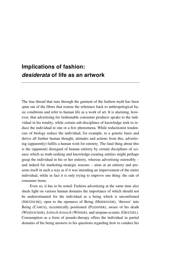# **Implications of fashion:**  *desiderata* **of life as an artwork**

The true thread that runs through the garment of the fashion myth has been spun out of the fibres that restore the reference back to anthropological basic conditions and refer to human life as a work of art. It is alarming, however, that advertising for fashionable consumer products speaks to the individual in his totality, while certain sub-disciplines of knowledge seek to reduce the individual to one or a few phenomena. While reductionist tendencies of biology reduce the individual, for example, to a genetic basis and derive all further human thought, attitudes and actions from this, advertising (apparently) fulfils a human wish for entirety. The fatal thing about this is the (apparent) disregard of human entirety by certain disciplines of science which as truth-seeking and knowledge-creating entities might perhaps grasp the individual in his or her entirety, whereas advertising ostensibly – and indeed for marketing-strategic reasons – aims at an entirety and presents itself in such a way as if it was intending an improvement of the entire individual, while in fact it is only trying to improve one thing: the sale of consumer items.

 Even so, it has to be noted: Fashion advertising at the same time also sheds light on various human domains the importance of which should not be underestimated for the individual as a being which is unconfirmed (NIETZSCHE), open to the openness of Being (HEIDEGGER), 'thrown' into Being (CAMUS), eccentrically positioned (PLESSNER), aware of his death (WEIZSÄCKER), *kritisch-krisisch* (WISSER), and utopian-ecstatic (GRÄTZEL). Consumption as a form of pseudo-therapy offers the individual in partial domains of his being answers to his questions regarding how to conduct his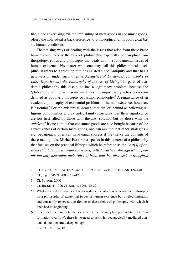life, since advertising, via the implanting of meta-goods in consumer goods, offers the individual a back-reference to philosophical-anthropological basic human conditions.

Thematising ways of dealing with the issues that arise from these basic human conditions is the task of philosophy, especially philosophical anthropology, ethics and philosophy that deals with the fundamental issues of human existence. No matter what one may call this philosophical discipline, it refers to a tradition that has existed since Antiquity and that has a new version under such titles as *Aesthetics of Existence*, <sup>1</sup> *Philosophy of*  Life,<sup>2</sup> Experiencing the Philosophy of the Art of Living<sup>3</sup>. In parts of academic philosophy this discipline has a legitimacy problem, because the 'philosophy of life' – in some instances not unjustifiably – has been condemned as popular philosophy or fashion philosophy.<sup>4</sup> A renaissance of an academic philosophy of existential problems of human existence, however, is essential.<sup>5</sup> For the existential *lacunae* that are left behind as believing religious communities and extended family structures lose their significance are not first filled by those with the *best* solution but by those with the *quickest*. 6 If one admits that consumer goods are also bought because of the attractiveness of certain meta-goods, one can assume that other strategies – e.g. pedagogical ones can have equal success if they serve the contents of these meta-goods. Michel FOUCAULT speaks in this context of a philosophy that focuses on the practical lifestyle which he refers to as the *"art[s] of existence"<sup>7</sup>* . *"By this is meant conscious, willed practices through which people not only determine their rules of behaviour but also seek to transform* 

3 Cf. SCHMID 2000

**.** 

- 4 Cf. RICKERT, 1920 Cf. SOLIES 1998, 12-22
- 5 What is called for here is not a one-sided concentration of academic philosophy on a philosophy of existential issues of human existence but a relegitimisation and constantly renewed questioning of these fields of philosophy with which it once had its beginning.
- 6 Since such *lacunae* in human existence are constantly being inundated in an 'information overflow', there is no need to ask why pedagogically mediated contents do not penetrate deep enough.
- 7 FOUCAULT 1984, 18

<sup>1</sup> Cf. FOUCAULT 1984, 18-21 and 313-319 as well as FRÜCHTL 1998, 124-148

<sup>2</sup> Cf., e.g. SIMMEL 2000, 209-425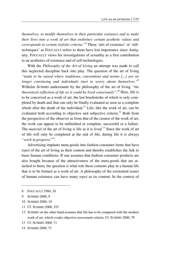*themselves, to modify themselves in their particular existence and to make their lives into a work of art that enshrines certain aesthetic values and corresponds to certain stylistic criteria."8* These 'arts of existence' or 'selftechniques' as FOUCAULT refers to them have lost importance since Antiquity. FOUCAULT views his investigations of sexuality as a first contribution to an aesthetics of existence and of self-technologies.

With the *Philosophy of the Art of Living* an attempt was made to call this neglected discipline back into play. The question of the art of living *"tends to be raised where traditions, conventions and norms [...] are no longer convincing and individuals start to worry about themselves."9* Wilhelm SCHMID understands by the philosophy of the art of living *"the theoretical reflection of life as it could be lived consciously".10* Here, life is to be conceived as a work of art, the last brushstroke of which is only completed by death and that can only be finally evaluated as seen as a complete whole after the death of the individual.<sup>11</sup> Life, like the work of art, can be evaluated both according to objective and subjective criteria.<sup>12</sup> Both from the perspective of the observer as from that of the creator of the work of art, the work can appear to be unfinished or complete, successful or a failure. The *material* of the art of living is life as it is lived.<sup>13</sup> Since the work of art of life will only be completed at the end of life, during life it is always *"work in progress"*14.

Advertising implants meta-goods into fashion consumer items that have *topoi* of the art of living as their content and thereby establishes the link to basic human conditions. If one assumes that fashion consumer products are also bought because of the attractiveness of the meta-goods that are attached to them, the question is what role these contents play in a human life that is to be formed as a work of art. A philosophy of the existential issues of human existence can have many *topoi* as its content. In the context of

-

<sup>8</sup> FOUCAULT 1984, 18

<sup>9</sup> SCHMID 2000, 9

<sup>10</sup> SCHMID 2000, 10

<sup>11</sup> Cf. SCHMID 2000, 353

<sup>12</sup> SCHMID on the other hand assumes that life has to be compared with the modern work of art, which evades objective assessment criteria. Cf. SCHMID 2000, 79

<sup>13</sup> Cf. SCHMID 2000, 71

<sup>14</sup> SCHMID 2000, 73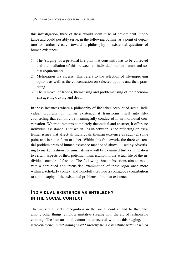this investigation, three of these would seem to be of pre-eminent importance and could possibly serve, in the following outline, as a point of departure for further research towards a philosophy of existential questions of human existence:

- 1. The 'staging' of a personal life-plan that constantly has to be corrected and the mediation of this between an individual human nature and social requirements.
- 2. Melioration via ascesis: This refers to the selection of life-improving options as well as the concentration on selected options and their practising.
- 3. The removal of taboos, thematising and problematising of the phenomena age(ing), dying and death.

In those instances where a philosophy of life takes account of actual individual problems of human existence, it transforms itself into lifecounselling that can only be meaningfully conducted in an individual conversation. Where it remains completely theoretical and abstract, it offers no individual assistance. That which lies in-between is the reflecting on existential issues that affect all individuals (human existence as such) at some point and in some form or other. Within this framework, the three existential problem areas of human existence mentioned above – used by advertising to market fashion consumer items – will be examined further in relation to certain aspects of their potential manifestation in the actual life of the individual outside of fashion. The following three subsections aim to motivate a continued and intensified examination of these *topoi* once more within a scholarly context and hopefully provide a contiguous contribution to a philosophy of the existential problems of human existence.

## **INDIVIDUAL EXISTENCE AS ENTELECHY IN THE SOCIAL CONTEXT**

The individual seeks recognition in the social context and to that end, among other things, employs imitative staging with the aid of fashionable clothing. The human mind cannot be conceived without this staging, this *mise-en-scène*. *"Performing would thereby be a comestible without which*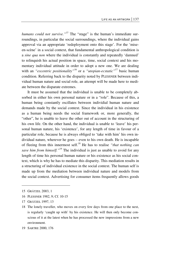*humans could not survive."15* The "stage" is the human's immediate surroundings, in particular the social surroundings, where the individual gains approval via an appropriate 'redeployment onto this stage'. For the 'miseen-scène' in a social context, that fundamental anthropological condition is a *sine qua non* where the individual is constantly and repeatedly 'damned' to relinquish his actual position in space, time, social context and his momentary individual attitude in order to adopt a new one. We are dealing with an *"excentric positionality*"<sup>16</sup> or a *"utopian-ecstatic*"<sup>17</sup> basic human condition. Referring back to the disparity noted by PLESSNER between individual human nature and social role, an attempt will be made here to mediate between the disparate extremes.

It must be assumed that the individual is unable to be completely absorbed in either his own personal nature or in a "role". Because of this, a human being constantly oscillates between individial human nature and demands made by the social context. Since the individual in his existence as a human being needs the social framework or, more generally, the "other", he is unable to leave the other out of account in the structuring of his own life. On the other hand, the individual is unable to 'leave' his personal human nature, his 'existence', for any length of time in favour of a particular role, because he is always obliged to 'take with him' his own individual nature, wherever he goes – even to his own death. He is incapable of fleeing from this innermost self.18 He has to realise *"that nothing can save him from himself."*19 The individual is just as unable to avoid for any length of time his personal human nature or his existence as his social context, which is why he has to mediate this disparity. This mediation results in a structuring of individual existence in the social context. The human self is made up from the mediation between individual nature and models from the social context. Advertising for consumer items frequently allows goods

- 16 PLESSNER 1982, 9; Cf. 10-15
- 17 GRÄTZEL 1997, 13

<sup>15</sup> GRÄTZEL 2003, 1

<sup>18</sup> The lonely traveller, who moves on every few days from one place to the next, is regularly 'caught up with' by his existence. He will then only become conscious of it at the latest when he has processed the new impressions from a new environment.

<sup>19</sup> SARTRE 2000, 176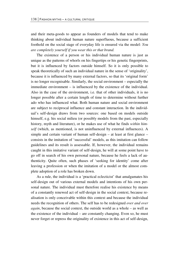and their meta-goods to appear as founders of models that tend to make thinking about individual human nature superfluous, because a sufficient foothold on the social stage of everyday life is ensured via the model: *You are completely yourself if you wear this or that brand.*

The existence of a person or his individual human nature is just as unique as the patterns of whorls on his fingertips or his genetic fingerprints, but it is influenced by factors outside himself. So it is only possible to speak theoretically of such an individual nature in the sense of 'originality', because it is influenced by many external factors, so that its 'original form' is no longer recognisable. Similarly, the social environment – especially the immediate environment – is influenced by the existence of the individual. Also in the case of the environment, i.e. that of other individuals, it is no longer possible after a certain length of time to determine without further ado who has influenced what. Both human nature and social environment are subject to reciprocal influence and constant interaction. In the individual's self-design draws from two sources: one based on models outside himself, e.g. his social milieu (or possibly models from the past, especially history, myth and literature), or he makes use of what he finds *within himself* (which, as mentioned, is not uninfluenced by external influences). A simple and certain variant of human self-design – at least at first glance – consists in the imitation of 'successful' models, as this imitation can follow guidelines and its result is assessable. If, however, the individual remains caught in this imitative variant of self-design, he will at some point have to go off in search of his own personal nature, because he feels a lack of authenticity. Quite often, such phases of 'seeking for identity' come after leaving a profession or when the imitation of a model or the almost complete adoption of a role has broken down.

As a rule, the individual is a 'practical eclecticist' that amalgamates his self-design out of various external models and intentions of his own personal nature. The individual must therefore realise his existence by means of a constantly renewed act of self-design in the social context, because realisation is only conceivable within this context and because the individual needs the recognition of others. The self has to be redesigned *over and over again*, because the social context, the outside world as a whole – as well as the existence of the individual – are constantly changing. Even so, he must never forget or repress the originality of existence in this act of self-design,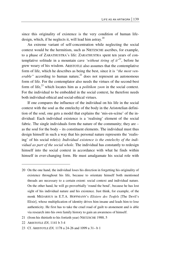since this originality of existence is the very condition of human lifedesign, which, if he neglects it, will lead him astray.<sup>20</sup>

An extreme variant of self-concentration while neglecting the social context would be the hermitism, such as NIETZSCHE ascribes, for example, to a phase of ZARATHUSTRA's life: ZARATHUSTRA spent ten years of contemplative solitude in a mountain cave *'without tiring of it*<sup> $21$ </sup>, before he grew weary of his wisdom. ARISTOTLE also assumes that the contemplative form of life, which he describes as being the best, since it is *"the most venerable"* according to human nature,<sup>22</sup> does not represent an autonomous form of life. For the contemplator also needs the virtues of the second-best form of life,23 which locates him as a *politikon zoon* in the social context. For the individual to be embedded in the social context, he therefore needs both individual-ethical and social-ethical virtues.

If one compares the influence of the individual on his life in the social context with the soul as the entelechy of the body in the Aristotelian definition of the soul, one gets a model that explains the 'mis-en-scène' of the individual: Each individual existence is a 'realising' element of the social fabric. The single individuals form the nature of the community; they are – as the soul for the body – its constituent elements. The individual must thus design himself in such a way that his personal nature represents the 'realising' of his social role(s): *Individual existence is the entelechy of the individual as part of the social whole*. The individual has constantly to redesign himself into the social context in accordance with what he finds within himself in ever-changing form. He must amalgamate his social role with

21 (from his thirtieth to his fortieth year) NIETZSCHE 1988, 5

-

<sup>20</sup> On the one hand, the individual loses his direction in forgetting his originality of existence throughout his life, because to orientate himself both mentioned threads are necessary to a certain extent: social context and individual nature. On the other hand, he will go proverbially 'round the bend', because he has lost sight of his individual nature and his existence. Just think, for example, of the monk MEDARSUS in E.T.A. HOFFMANN's *Elixiere des Teufels* [The Devil's Elixir], whose multiplication of identity drives him insane and leads him to lose authenticity. He first has to take the cruel road of guilt to atonement and is able via research into his own family history to gain an awareness of himself.

<sup>22</sup> ARISTOTLE *EN*, 1141 b 3-4

<sup>23</sup> Cf. ARISTOTLE *EN,* 1178 a 24-26 and 1099 a 31– b 1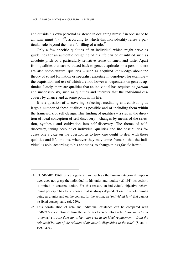1

and outside his own personal existence in designing himself in obeisance to an *'individual law'"<sup>24</sup>*, according to which this individuality raises a particular role beyond the mere fulfilling of a role.<sup>25</sup>

Only a few specific qualities of an individual which might serve as guidelines for an authentic designing of his life can be quantified such as absolute pitch or a particularly sensitive sense of smell and taste. Apart from qualities that can be traced back to genetic aptitudes in a person, there are also socio-cultural qualities – such as acquired knowledge about the theory of sound formation or specialist expertise in oenology, for example – the acquisition and use of which are not, however, dependent on genetic aptitudes. Lastly, there are qualities that an individual has acquired *en passant* and unconsciously, such as qualities and interests that the individual discovers by chance and at some point in his life.

It is a question of discovering, selecting, mediating and cultivating as large a number of these qualities as possible and of including them within the framework of self-design. This finding of qualities – a step in the direction of ideal conception of self-discovery – changes by means of the selection, synthesis and cultivation into self-discovery. The theme of selfdiscovery, taking account of individual qualities and life possibilities focuses one's gaze on the question as to how one ought to deal with these qualities and life-options, wherever they may come from, so that the individual is able, according to his aptitudes, to change things *for the better*.

<sup>24</sup> Cf. SIMMEL 1968. Since a general law, such as the human categorical imperative, does not grasp the individual in his unity and totality (cf. 191), its activity is limited in concrete action. For this reason, an individual, objective behavioural principle has to be chosen that is always dependent on the whole human being as a unity and on the context for the action, an *'individual law'* that cannot be fixed conceptually (cf. 229).

<sup>25</sup> This constellation of role and individual existence can be compared with SIMMEL's conception of how the actor has to enter into a role: *"how an actor is to conceive a role does not arise – not even as an ideal requirement – from the role itself but out of the relation of his artistic disposition to the role"* (SIMMEL 1997, 424).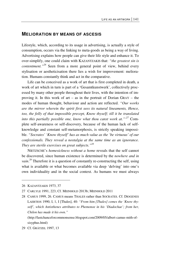#### **MELIORATION BY MEANS OF ASCESIS**

Lifestyle, which, according to its usage in advertising, is actually a style of consumption, occurs via the linking to meta-goods as being a way of living. Advertising explains how people can give their life style and enhance it. To over-simplify, one could claim with KAZANTZAKIS that: *"the greatest sin is contentment."26* Seen from a more general point of view, behind every stylisation or aestheticisation there lies a wish for improvement: melioration. Humans constantly think and act in the comparative.

Life can be conceived as a work of art that is first completed in death, a work of art which in turn is part of a 'Gesamtkunstwerk', collectively processed by many other people throughout their lives, with the intention of improving it. In this work of art – as in the portrait of Dorian GRAY – the modes of human thought, behaviour and action are reflected. *"Our works are the mirror wherein the spirit first sees its natural lineaments, Hence, too, the folly of that impossible precept, Know thyself; till it be translated into this partially possible one, know what thou canst work at."'27* Complete self-awareness or self-discovery, because of the human lack of selfknowledge and constant self-metamorphosis, is strictly speaking impossible. *"Socrates' 'Know thyself' has as much value as the 'be virtuous' of our confessionals. They reveal a nostalgia at the same time as an ignorance. They are sterile exercises on great subjects."28*

NIETZSCHE's *homesickness without a home* reveals that the self cannot be discovered, since human existence is determined by the *nowhere and in vain*.<sup>29</sup> Therefore it is a question of constantly re-constructing the self, using what is available or what becomes available via deep 'delving' into one's own individuality and in the social context. As humans we must always

 $\overline{a}$ 

(http://lastchanceforcommonsense.blogspot.com/2009/05/albert-camus-mith-ofsisyphus.html)

<sup>26</sup> KAZANTZAKIS 1973, 37

<sup>27</sup> CARLYLE 1991, 223; Cf. MEINHOLD 2013b; MEINHOLD 2011

<sup>28</sup> CAMUS 1999, 26. CAMUS means THALES rather than SOCRATES. Cf. DIOGENES LAERTIOS 1990, I, 1, I [Thales], 40: *"From him [Thales] comes the 'Know thyself', which Antisthenes attributes to Phemonoe in his 'Diadochae'; from her, Chilon has made it his own."* 

<sup>29</sup> Cf. GRÄTZEL 1997, 13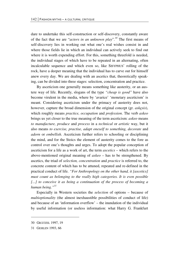dare to undertake this self-construction or self-discovery, constantly aware of the fact that we are "*actors in an unknown play*"*. <sup>30</sup>* The first means of self-discovery lies in working out what one's real wishes consist in and where those fields lie in which an individual can actively seek to find out where it is worth expending effort. For this, something threefold is needed, the individual stages of which have to be repeated in an alternating, often incalculable sequence and which even so, like SISYPHUS' rolling of the rock, have a deeper meaning that the individual has to carve out for himself anew every day. We are dealing with an ascetics that, theoretically speaking, can be divided into three stages: selection, concentration and practice.

By asceticism one generally means something like austerity, or an austere way of life. Recently, slogans of the type *"cheap is good"* have also become virulent in the media, where by 'avarice' 'monetary asceticism' is meant. Considering asceticism under the primacy of austerity does not, however, capture the broad dimension of the original concept (gr. *askesis*), which roughly means *practice, occupation* and *profession*. The verb *askeo* brings us yet closer to the true meaning of the term asceticism: *askeo* means *to manufacture, produce* and *process* in a *technical* or *artistic* way, but it also means *to exercise, practise, adapt oneself to something, decorate* and *adorn* or *embellish*. Asceticism further refers to schooling or disciplining the mind, and for the Stoics the element of austerity comes to the fore as control over one's thoughts and urges. To adopt the popular conception of asceticism for a life as a work of art, the term *ascetics* – which refers to the above-mentioned original meaning of *askeo* – has to be strengthened. By ascetics, the triad of *selection, concentration* and *practice* is referred to, the concrete content of which has to be attuned, repeated and re-defined in the practical conduct of life. *"For Anthropology on the other hand, it [ascetics] must count as belonging to the really high categories. It is even possible [...] to conceive it as being a continuation of the process of becoming a human being."31*

Especially in Western societies the *selection* of options – because of *multioptionality* (the almost inexhaustible possibilities of conduct of life) and because of an 'information overflow' – the inundation of the individual by useful information (or useless information: what Harry G. Frankfurt

1

<sup>30</sup> GRÄTZEL 1997, 19

<sup>31</sup> GEHLEN 1993, 66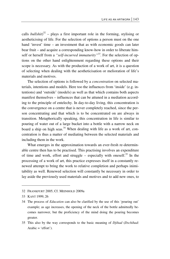calls *bullshit*)<sup>32</sup> – plays a first important role in the forming, stylising or aestheticising of life. For the selection of options a person must on the one hand 'invest' time – an investment that as with economic goods can later bear fruit – and acquire a corresponding know-how in order to liberate himself or herself from a "*self-incurred immaturity*"<sup>33</sup>. For the selection of options on the other hand enlightenment regarding these options and their scope is necessary. As with the production of a work of art, it is a question of selecting when dealing with the aestheticisation or melioration of life's materials and motives.

The selection of options is followed by a *concentration* on selected materials, intentions and models. Here too the influences from 'inside' (e.g. intentions) and 'outside' (models) as well as that which contains both aspects manifest themselves – influences that can be attuned in a mediation according to the principle of entelechy. In day-to-day living, this concentration is the convergence on a centre that is never completely reached, since the person concentrating and that which is to be concentrated on are always in transition. Metaphorically speaking, this concentration in life is similar to pouring of water out of a large bucket into a bottle with a narrow neck on board a ship on high seas.<sup>34</sup> When dealing with life as a work of art, concentration is thus a matter of mediating between the selected materials and including them in the work.

What emerges in the approximation towards an ever-fresh re-determinable centre then has to be practised. This practising involves an expenditure of time and work, effort and struggle – especially with oneself.<sup>35</sup> In the processing of a work of art, this practice expresses itself in a constantly renewed attempt to bring the work to relative completion and perhaps inimitability as well. Renewed selection will constantly be necessary in order to lay aside the previously used materials and motives and to add new ones, to

<sup>32</sup> FRANKFURT 2005; Cf. MEINHOLD 2009a

<sup>33</sup> KANT 1999, 26

<sup>34</sup> The process of *Education* can also be clarified by the use of this 'pouring out' example; as age increases, the opening of the neck of the bottle admittedly becomes narrower, but the proficiency of the mind doing the pouring becomes greater.

<sup>35</sup> This also by the way corresponds to the basic meaning of *Djihad* (*Dschihad*: Arabic  $=$  'effort').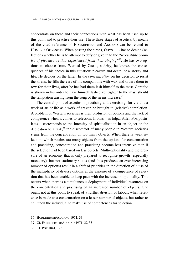concentrate on these and their connections with what has been used up to this point and to practise their use. These three stages of ascetics, by means of the cited reference of HORKHEIMER and ADORNO can be related to HOMER's ODYSSEUS. When passing the sirens, ODYSSEUS has to decide (selection) whether he is to attempt to defy or give in to the *"irresistible promise of pleasure as that experienced from their singing"36*. He has two options to choose from. Warned by CIRCE, a deity, he knows the consequences of his choice in this situation: pleasure and death, or austerity and life. He decides on the latter. In the *concentration* on his decision to resist the sirens, he fills the ears of his companions with wax and orders them to row for their lives, after he has had them lash himself to the mast. *Practice* is shown in his order to have himself lashed yet tighter to the mast should the temptation arising from the song of the sirens increase. $37$ 

The central point of ascetics is practising and exercising, for via this a work of art or life as a work of art can be brought to (relative) completion. A problem of Western societies is their profusion of options and the lack of competence when it comes to selection. If bliss – as Edgar Allen POE postulates – corresponds to the intensity of spiritualisation in an object or the dedication to a task, $38$  the discomfort of many people in Western societies stems from the concentration on too many objects. When there is weak selection, which retains too many objects from the options for concentration and practising, concentration and practising become less intensive than if the selection had been based on less objects. Multi-optionality and the pressure of an economy that is only prepared to recognise growth (especially monetary), but not stationary status (and thus produces an ever-increasing number of options) result in a shift of priorities in the direction of a use of the multiplicity of diverse options at the expense of a competence of selection that has been unable to keep pace with the increase in optionality. This occurs when there is a simultaneous deployment of individual resources on the concentration and practising of an increased number of objects. One ought not at this point to speak of a further division of labour, when reference is made to a concentration on a lesser number of objects, but rather to call upon the individual to make use of competences for selection.

<u>.</u>

<sup>36</sup> HORKHEIMER/ADORNO 1971, 33

<sup>37</sup> Cf. HORKHEIMER/ADORNO 1971, 32-35

<sup>38</sup> Cf. POE 1841, 175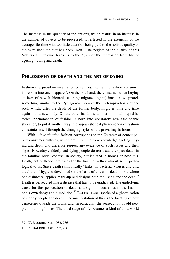The increase in the quantity of the options, which results in an increase in the number of objects to be processed, is reflected in the extension of the average life-time with too little attention being paid to the holistic quality of the extra life-time that has been 'won'. The neglect of the quality of this 'additional' life-time leads us to the *topos* of the repression from life of age(ing), dying and death.

#### **PHILOSOPHY OF DEATH AND THE ART OF DYING**

Fashion is a pseudo-reincarnation or *reinvestination*, the fashion consumer is 'reborn into one's apparel'. On the one hand, the consumer when buying an item of new fashionable clothing migrates (again) into a new apparel, something similar to the Pythagorean idea of the metempsychosis of the soul, which, after the death of the former body, migrates time and time again into a new body. On the other hand, the almost immortal, suprahistorical phenomenon of fashion is born into constantly new fashionable styles, or, to put it another way, the suprahistorical phenomenon of fashion constitutes itself through the changing styles of the prevailing fashions.

With *reinvestination* fashion corresponds to the *Zeitgeist* of contemporary consumer cultures, which are unwilling to acknowledge age(ing), dying and death and therefore repress any evidence of such issues and their signs. Nowadays, elderly and dying people do not usually expect death in the familiar social context, in society, but isolated in homes or hospitals. Death, but birth too, are cases for the hospital – they almost seem pathological to us. Since death symbolically "lurks" in bacteria, viruses and dirt, a culture of hygiene developed on the basis of a fear of death – one where one disinfects, applies make-up and designs both the living and the dead.<sup>39</sup> Death is persecuted like a disease that has to be eradicated. The underlying cause for this persecution of death and signs of death lies in the fear of one's own decay and dissolution.40 BAUDRILLARD speaks of a ghettoisation of elderly people and death. One manifestation of this is the locating of new cemeteries outside the towns and, in particular, the segregation of old people in nursing homes. The third stage of life becomes a kind of third world

 $\overline{\phantom{0}}$ 

<sup>39</sup> Cf. BAUDRILLARD 1982, 286

<sup>40</sup> Cf. BAUDRILLARD 1982, 286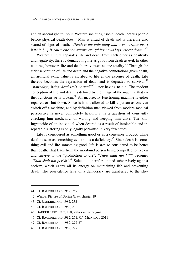and an asocial ghetto. So in Western societies, "social death" befalls people before physical death does.<sup> $41$ </sup> Man is afraid of death and is therefore also scared of signs of death. *"Death is the only thing that ever terrifies me. I hate it. [...] Because one can survive everything nowadays, except death."42*

Western culture separates life and death from each other as positivity and negativity, thereby demarcating life as good from death as evil. In other cultures, however, life and death are viewed as one totality.43 Through the strict separation of life and death and the negative connotations given death, an artificial extra value is ascribed to life at the expense of death. Life thereby becomes the repression of death and is degraded to survival; $44$ *"nowadays, being dead isn't normal"45* , nor having to die. The modern conception of life and death is defined by the image of the machine that either functions or is broken.<sup>46</sup> An incorrectly functioning machine is either repaired or shut down. Since is it not allowed to kill a person as one can switch off a machine, and by definition man viewed from modern medical perspective is never completely healthy, it is a question of constantly checking him medically, of waiting and keeping him alive. The killing/suicide of an individual when desired as a result of intolerable and irreparable suffering is only legally permitted in very few states.

Life is considered as something good or as a consumer product, while death is seen as something evil and as a deficiency.<sup>47</sup> Since death is something evil and life something good, life is *per se* considered to be better than death. That leads from the moribund person being compelled to live on and survive to the "prohibition to die". *"Thou shalt not kill"* becomes *"Thou shalt not perish".*48 Suicide is therefore aimed subversively against society, which exerts all its energy on maintaining life and preventing death. The equivalence laws of a democracy are transferred to the phe-

**.** 

- 44 Cf. BAUDRILLARD 1982, 200
- 45 BAUDRILLARD 1982, 198; italics in the original
- 46 Cf. BAUDRILLARD 1982, 251; Cf. MEINHOLD 2011
- 47 Cf. BAUDRILLARD 1982, 272-274
- 48 Cf. BAUDRILLARD 1982, 277

<sup>41</sup> Cf. BAUDRILLARD 1982, 257

<sup>42</sup> WILDE, Picture of Dorian Gray, chapter 19

<sup>43</sup> Cf. BAUDRILLARD 1982, 232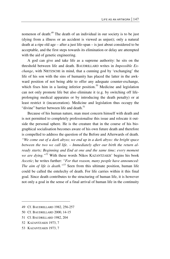nomenon of death:<sup>49</sup> The death of an individual in our society is to be just (dying from a illness or an accident is viewed as unjust); only a natural death at a ripe old age – after a just life-span – is just about considered to be acceptable, and the first steps towards its elimination or delay are attempted with the aid of genetic engineering.

A god can give and take life as a supreme authority: he sits on the threshold between life and death. BAUDRILLARD writes in *Impossible Exchange*, with NIETZSCHE in mind, that a cunning god by 'exchanging' the life of his son with the sins of humanity has placed the latter in the awkward position of not being able to offer any adequate counter-exchange, which fixes him in a lasting inferior position.<sup>50</sup> Medicine and legislation can not only promote life but also eliminate it (e.g. by switching off lifeprolonging medical apparatus or by introducing the death penalty) or at least restrict it (incarceration). Medicine and legislation thus occupy the "divine" barrier between life and death  $51$ 

Because of his human nature, man must concern himself with death and is not permitted to completely professionalise this issue and relocate it outside the personal sphere. He is the creature that in the course of his biographical socialisation becomes aware of his own future death and therefore is compelled to address the question of the Before and Afterwards of death. *"We come out of a dark abyss; we end up in a dark abyss: the bright space between the two we call life. – Immediately after our birth the return already starts; Beginning and End at one and the same time; every moment we are dying."<sup>52</sup>* With these words Nikos KAZANTZAKIS' begins his book *Ascetic*; he writes further: *"For that reason, many people have announced: The aim of life is death.*"<sup>53</sup> Seen from this ultimate position, human life could be called the entelechy of death. For life carries within it this final goal. Since death contributes to the structuring of human life, it is however not only a goal in the sense of a final arrival of human life in the continuity

- 51 Cf. BAUDRILLARD 1982, 204
- 52 KAZANTZAKIS 1973, 7

 $\overline{\phantom{0}}$ 

53 KAZANTZAKIS 1973, 7

<sup>49</sup> Cf. BAUDRILLARD 1982, 256-257

<sup>50</sup> Cf. BAUDRILLARD 2000, 14-15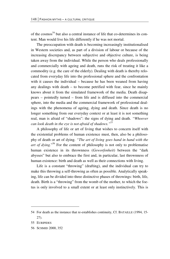of the cosmos<sup>54</sup> but also a central instance of life that co-determines its content. Man would live his life differently if he was not mortal.

The preoccupation with death is becoming increasingly institutionalised in Western societies and, as part of a division of labour or because of the increasing discrepancy between subjective and objective culture, is being taken away from the individual. While the person who deals professionally and commercially with ageing and death, runs the risk of treating it like a commodity (e.g. the care of the elderly). Dealing with death is thereby relocated from everyday life into the professional sphere and the confrontation with it causes the individual – because he has been weaned from having any dealings with death – to become petrified with fear, since he mainly knows about it from the simulated framework of the media. Death disappears – pointedly turned – from life and is diffused into the commercial sphere, into the media and the commercial framework of professional dealings with the phenomena of ageing, dying and death. Since death is no longer something from our everyday context or at least it is not something real, man is afraid of "shadows": the signs of dying and death. *"Whoever can look death in the eye is not afraid of shadows."55*

A philosophy of life or art of living that wishes to concern itself with the existential problems of human existence must, then, also be a philosophy of death or art of dying. *"The art of living goes hand in hand with the*  art of dying."<sup>56</sup> For the content of philosophy is not only to problematise human existence in its thrownness (*Geworfenheit*) between the "dark abysses" but also to embrace the first and, in particular, last thrownness of human existence: birth and death as well as their connections with living.

Life is a constant "throwing" (drafting), and the individual can try to make this throwing a self-throwing as often as possible. Analytically speaking, life can be divided into three distinctive phases of throwings: birth, life, death. Birth is a "throwing" from the womb of the mother, to which the foetus is only involved to a small extent or at least only instinctively. This is

-

<sup>54</sup> For death as the instance that re-establishes continuity, Cf. BATAILLE (1994, 15- 27).

<sup>55</sup> EURIPIDES

<sup>56</sup> SCHMID 2000, 352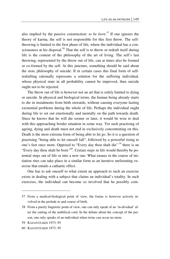also implied by the passive construction: *to be born*. 57 If one ignores the theory of karma, the self is not responsible for this first throw. The selfthrowing is limited to the first phase of life, where the individual has a consciousness at his disposal.<sup>58</sup> That the self is to throw or redraft itself during life is the content of the philosophy of the art of living. The self's last throwing, represented by the throw out of life, can at times also be formed or co-formed by the self. At this juncture, something should be said about the stoic philosophy of suicide: If in certain cases this final form of selfredrafting rationally represents a solution for the suffering individual, whose physical state in all probability cannot be improved, then suicide ought not to be rejected.

The throw out of life is however not an art that is solely limited to dying or suicide. In physical and biological terms, the human being already starts to die in instalments from birth onwards, without causing everyone lasting existential problems during the whole of life. Perhaps the individual ought during life to set out emotionally and mentally on the path towards death. Since he knows that he will die sooner or later, it would be wise to deal with this approaching border situation in some way. Yet such practising of ageing, dying and death must not end in exclusively concentrating on this. Death is the most extreme form of being able to let go. So it is a question of practising "being able to let oneself fall", followed by a powerful rising to one's feet once more. Opposed to "Every day thou shalt die"*<sup>59</sup>* there is an "Every day thou shalt be born*"60*. Certain steps in life would thereby be potential steps out of life or into a new one. What ensues in the course of initiation rites can take place in a similar form as an iterative meliorating exercise that entails a cathartic effect.

One has to ask oneself to what extent an approach to such an exercise exists in dealing with a subject that claims an individual's totality. In such exercises, the individual can become so involved that he possibly com-

 $\overline{a}$ 

<sup>57</sup> From a medical-biological point of view, the foetus is however actively involved in the prelude to and course of birth.

<sup>58</sup> From a purely linguistic point of view, one can only speak of an 'in-dividual' after the cutting of the umbilical cord. In the debate about the concept of the person, one only speaks of an individual when twins can occur no more.

<sup>59</sup> KAZANTZAKIS 1973, 95

<sup>60</sup> KAZANTZAKIS 1973, 95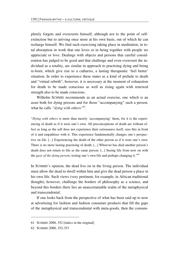pletely forgets and overexerts himself, although not to the point of selfextinction but to arriving once more at his own basis, out of which he can recharge himself. We find such exercising taking place in meditation, in total absorption in work that one loves or in being together with people we appreciate or love. Dealings with objects and persons that careful consideration has judged to be good and that challenge and even overexert the individual as a totality, are similar in approach to practising dying and being re-born, which give rise to a catharsis, a lasting therapeutic 'feel better' situation. In order to experience these states as a kind of prelude to death and "virtual rebirth", however, it is necessary at the moment of exhaustion for death to be made conscious as well as rising again with renewed strength also to be made conscious.

Wilhelm SCHMID recommends as an actual exercise, one which is an asset both for dying persons and for those "accompanying" such a person, what he calls "*dying with others*"<sup>61</sup>.

"*Dying with others* is more than merely 'accompanying' them, for it is the experiencing of death as if it were one's own. All preconceptions of death are without effect as long as the self does not experience their seriousness itself, sees this in front of it and empathises with it. This experience fundamentally changes one's perspective on life. [...] Experiencing the death of the other person as if it were one's own: There is no more lasting practising of death. [...] Whoever has died another person's death does not return to life as the same person. [...] Seeing life from now on with the *gaze of the dying person*, testing one's own life and perhaps changing it."62

In SCHMID's opinion, the dead live on in the living person. The individual must allow the dead to dwell within him and give the dead person a place in his own life. Such views (very pertinent, for example, in African traditional thought), however, challenge the borders of philosophy as a science, and beyond this borders there lies an unascertainable realm of the metaphysical and transcendental.

If one looks back from the perspective of what has been said up to now at advertising for fashion and fashion consumer products that fill the gaps of the metaphysical and transcendental with meta-goods, then the consum-

**.** 

<sup>61</sup> SCHMID 2000, 352 [italics in the original]

<sup>62</sup> SCHMID 2000, 352-353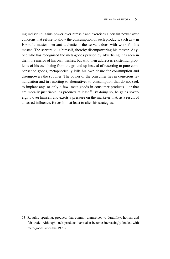ing individual gains power over himself and exercises a certain power over concerns that refuse to allow the consumption of such products, such as – in HEGEL's master—servant dialectic – the servant does with work for his master. The servant kills himself, thereby disempowering his master. Anyone who has recognised the meta-goods praised by advertising, has seen in them the mirror of his own wishes, but who then addresses existential problems of his own being from the ground up instead of resorting to pure compensation goods, metaphorically kills his own desire for consumption and disempowers the supplier. The power of the consumer lies in conscious renunciation and in resorting to alternatives to consumption that do not seek to implant any, or only a few, meta-goods in consumer products – or that are morally justifiable, as products at least. $63$  By doing so, he gains sovereignty over himself and exerts a pressure on the marketer that, as a result of amassed influence, forces him at least to alter his strategies.

 $\overline{a}$ 

<sup>63</sup> Roughly speaking, products that commit themselves to durability, holism and fair trade. Although such products have also become increasingly loaded with meta-goods since the 1990s.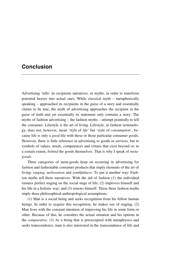# **Conclusion**

Advertising 'tells' its recipients narratives, or myths, in order to transform potential buyers into actual ones. While classical myth – metaphorically speaking – approached its recipients in the guise of a story and essentially claims to be true, the myth of advertising approaches the recipient in the guise of truth and yet essentially its statement only contains a story: The myths of fashion advertising – the fashion myths – attempt pointedly to tell the consumer: Lifestyle is the art of living. Lifestyle, in fashion terminology, does not, however, mean 'style of *life*' but 'style of *consumption*', because life is only a *good* life with these or those particular consumer goods. However, there is little reference in advertising to goods or services, but to symbols of values, needs, competences and virtues that exist beyond or, to a certain extent, *behind* the goods themselves. That is why I speak of *metagoods*.

Three categories of meta-goods keep on recurring in advertising for fashion and fashionable consumer products that imply elements of the art of living: *staging, melioration* and *youthfulness*. To put it another way: Fashion myths tell three narratives: With the aid of fashion (1) the individual ensures perfect staging on the social stage of life; (2) improves himself and his life in a holistic way; and (3) renews himself. These three fashion myths imply three philosophical-anthropological assumptions:

(1) Man is a social being and seeks recognition from his fellow human beings. In order to acquire this recognition, he makes use of staging. (2) Man lives with the constant intention of improving his life in some form or other. Because of this, he considers the actual situation and his options in the *comparative*. (3) As a being that is preoccupied with metaphysics and seeks transcendence, man is also interested in the transcendence of life and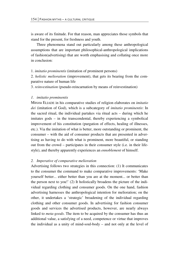is aware of its finitude. For that reason, man appreciates those symbols that stand for the present, for freshness and youth.

Three phenomena stand out particularly among these anthropological assumptions that are important philosophical-anthropological implications of fashion(advertising) that are worth emphasising and collating once more in conclusion:

1. *imitatio prominentis* (imitation of prominent persons)

2. *holistic melioration* (improvement), that gets its bearing from the comparative nature of human life

3. *reinvestination* (pseudo-reincarnation by means of reinvestination)

#### *1. imitatio prominentis*

Mircea ELIADE in his comparative studies of religion elaborates on *imitatio dei* (imitation of God), which is a subcategory of *imitatio prominentis*: In the sacred ritual, the individual partakes via ritual acts – during which he imitates gods – in the transcendental, thereby experiencing a symbolical improvement of his constitution (purgation of effects, healing of illnesses, etc.). Via the imitation of what is better, more outstanding or prominent, the consumer – with the aid of consumer products that are presented in advertising as having to do with what is prominent, more beautiful, or standing out from the crowd – participates in their consumer style (i.e. in their lifestyle), and thereby apparently experiences an *ennoblement* of himself.

#### *2. Imperative of comparative melioration*

Advertising follows two strategies in this connection: (1) It communicates to the consumer the command to make comparative improvements: 'Make yourself better... either better than you are at the moment... or better than the person next to you!' (2) It holistically broadens the picture of the individual regarding clothing and consumer goods. On the one hand, fashion advertising harnesses the anthropological intention for melioration; on the other, it undertakes a 'strategic' broadening of the individual regarding clothing and other consumer goods. In advertising for fashion consumer goods and services the advertised products, however, are nearly always linked to *meta-goods*. The item to be acquired by the consumer has thus an additional value, a satisfying of a need, competence or virtue that improves the individual as a unity of mind-soul-body – and not only at the level of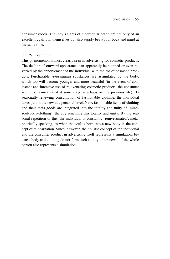consumer goods. The lady's tights of a particular brand are not only of an excellent quality in themselves but also supply beauty for body and mind at the same time.

### *3. Reinvestination*

This phenomenon is most clearly seen in advertising for cosmetic products. The decline of outward appearance can apparently be stopped or even reversed by the ennoblement of the individual with the aid of cosmetic products. Purchasable *rejuvenating* substances are assimilated by the body, which too will become younger and more beautiful (in the event of consistent and intensive use of rejuvenating cosmetic products, the consumer would be re-incarnated at some stage as a baby or in a previous life). By seasonally renewing consumption of fashionable clothing, the individual takes part in the new at a personal level. New, fashionable items of clothing and their meta-goods are integrated into the totality and unity of 'mindsoul-body-clothing', thereby renewing this totality and unity. By the seasonal repetition of this, the individual is constantly 'reinvestinated', metaphorically speaking, as when the soul is born into a new body in the concept of reincarnation. Since, however, the holistic concept of the individual and the consumer product in advertising itself represents a simulation, because body and clothing do not form such a unity, the renewal of the whole person also represents a simulation.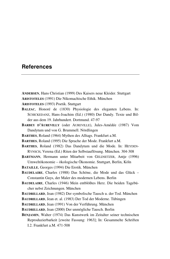## **References**

- **ANDERSEN**, Hans Christian (1999) Des Kaisers neue Kleider. Stuttgart
- **ARISTOTELES** (1991) Die Nikomachische Ethik. München

**ARISTOTELES** (1993) Poetik. Stuttgart

- **BALZAC**, Honoré de (1830) Physiologie des eleganten Lebens. In: SCHICKEDANZ, Hans-Joachim (Ed.) (1980) Der Dandy. Texte und Bilder aus dem 19. Jahrhundert. Dortmund. 47-97
- **BARBEY D'AUREVILLY** (oder AUREVILLE), Jules-Amédée (1987) Vom Dandytum und von G. Brummell. Nördlingen
- **BARTHES**, Roland (1964) Mythen des Alltags. Frankfurt a.M.
- **BARTHES**, Roland (1995) Die Sprache der Mode. Frankfurt a.M.
- **BARTHES**, Roland (1982) Das Dandytum und die Mode. In: HEYDEN-RYNSCH, Verena (Ed.) Riten der Selbstauflösung. München. 304-308
- **BARTMANN**, Hermann unter Mitarbeit von GELDSETZER, Antje (1996) Umweltökonomie – ökologische Ökonomie. Stuttgart, Berlin, Köln
- **BATAILLE**, Georges (1994) Die Erotik. München
- **BAUDELAIRE**, Charles (1988) Das Schöne, die Mode und das Glück Constantin Guys, der Maler des modernen Lebens. Berlin
- **BAUDELAIRE**, Charles (1946) Mein entblößtes Herz. Die beiden Tagebücher nebst Zeichnungen. München
- **BAUDRILLARD**, Jean (1982) Der symbolische Tausch u. der Tod. München
- **BAUDRILLARD**, Jean et. al. (1983) Der Tod der Moderne. Tübingen
- **BAUDRILLARD**, Jean (1991) Von der Verführung. München

**BAUDRILLARD**, Jean (2000) Der unmögliche Tausch. Berlin

**BENJAMIN**, Walter (1974) Das Kunstwerk im Zeitalter seiner technischen Reproduzierbarkeit [zweite Fassung: 1963]; In: Gesammelte Schriften I.2. Frankfurt a.M. 471-508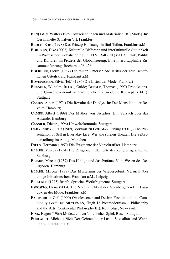- **BENJAMIN**, Walter (1989) Aufzeichnungen und Materialien: B. [Mode]. In: Gesammelte Schriften V.I. Frankfurt
- **BLOCH**, Ernst (1998) Das Prinzip Hoffnung. In fünf Teilen. Frankfurt a.M.
- **BOHLKEN**, Eike (2003) Kulturelle Differenz und interkulturelle Sittlichkeit im Prozess der Globalisierung. In: ELM, Ralf (Ed.) (2003) Ethik, Politik und Kulturen im Prozess der Globalisierung. Eine interdisziplinäre Zusammenführung. Bochum. 406-426
- **BOURDIEU**, Pierre (1987) Die feinen Unterschiede. Kritik der gesellschaftlichen Urteilskraft. Frankfurt a.M.
- **BOVENSCHEN**, Silvia (Ed.) (1986) Die Listen der Mode. Frankfurt
- **BRANDES**, Wilhelm; RECKE, Guido; BERGER, Thomas (1997) Produktionsund Umweltökonomik – Traditionelle und moderne Konzepte (Bd.1). Stuttgart
- **CAMUS**, Albert (1974) Die Revolte der Dandys. In: Der Mensch in der Revolte. Hamburg
- **CAMUS**, Albert (1999) Der Mythos von Sisyphos. Ein Versuch über das Absurde. Hamburg
- **CANSIER**, Dieter (1996) Umweltökonomie. Stuttgart
- **DAHRENDORF**, Ralf (1969) Vorwort zu GOFFMAN, Erving (2001) (The Presentation of Self in Everyday Life) Wir alle spielen Theater. Die Selbstdarstellung im Alltag. München
- **DIELS**, Hermann (1957) Die Fragmente der Vorsokratiker. Hamburg
- **ELIADE**, Mircea (1954) Die Religionen. Elemente der Religionsgeschichte. Salzburg
- **ELIADE**, Mircea (1957) Das Heilige und das Profane. Vom Wesen des Religiösen. Hamburg
- **ELIADE**, Mircea (1988) Das Mysterium der Wiedergeburt. Versuch über einige Initiationsriten. Frankfurt a.M., Leipzig
- **EPIKUROS** (1995) Briefe, Sprüche, Werkfragmente. Stuttgart
- **ESPOSITO**, Elena (2004) Die Verbindlichkeit des Vorübergehenden: Paradoxien der Mode. Frankfurt a.M.
- **FAURSCHOU**, Gail (1990) Obsolescence and Desire: Fashion and the Commodity Form. In: SILVERMAN, Hugh J.: Postmodernism – Philosophy and the Arts (Continental Philosophy III). Routledge, New-York
- **FINK**, Eugen (1969) Mode... ein verführerisches Spiel. Basel, Stuttgart
- **FOUCAULT**, Michel (1984) Der Gebrauch der Lüste. Sexualität und Wahrheit 2. Frankfurt a.M.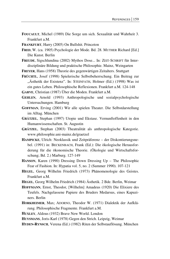- **FOUCAULT**, Michel (1989) Die Sorge um sich. Sexualität und Wahrheit 3. Frankfurt a.M.
- **FRANKFURT**, Harry (2005) On Bullshit. Princeton
- **FRED**, W. (ca. 1905) Psychologie der Mode. Bd. 28. MUTHER Richard [Ed.] Die Kunst. Berlin
- **FREUDE**, Sigschlundina (2002) Mythos Dose... In: ZEIT-SCHRIFT für Interdisziplinäre Bildung und praktische Philosophie. Mainz, Weingarten
- **FREYER**, Hans (1958) Theorie des gegenwärtigen Zeitalters. Stuttgart
- **FRÜCHTL**, Josef (1998) Spielerische Selbstbeherrschung. Ein Beitrag zur "Ästhetik der Existenz". In: STEINFATH, Holmer (Ed.) (1998) Was ist ein gutes Leben. Philosophische Reflexionen. Frankfurt a.M. 124-148
- **GARVE**, Christian (1987) Über die Moden. Frankfurt a.M.
- **GEHLEN**, Arnold (1993) Anthropologische und sozialpsychologische Untersuchungen. Hamburg
- **GOFFMAN**, Erving (2001) Wir alle spielen Theater. Die Selbstdarstellung im Alltag. München
- **GRÄTZEL**, Stephan (1997) Utopie und Ekstase. Vernunftoffenheit in den Humanwissenschaften. St. Augustin
- **GRÄTZEL**, Stephan (2003) Theatralität als anthropologische Kategorie. www.philosophie.uni-mainz.de/graetzel
- **HAMPICKE**, Ulrich: Neoklassik und Zeitpräferenz der Diskontierungsnebel. (1991) in: BECKENBACH, Frank (Ed.): Die ökologische Herausforderung für die ökonomische Theorie. (Ökologie und Wirtschaftsforschung; Bd. 2.) Marburg. 127-149
- **HANSON**, Karen (1990) Dressing Down Dressing Up The Philosophic Fear of Fashion. In: Hypatia vol. 5, no. 2 (Summer 1990). 107-121
- **HEGEL**, Georg Wilhelm Friedrich (1973) Phänomenologie des Geistes. Frankfurt a.M.
- **HEGEL**, Georg Wilhelm Friedrich (1984) Ästhetik. 2 Bde. Berlin, Weimar
- **HOFFMANN**, Ernst, Theodor, [Wilhelm] Amadeus (1920) Die Elixiere des Teufels. Nachgelassene Papiere des Bruders Medarsus, eines Kapuziners. Berlin
- **HORKHEIMER**, Max; ADORNO, Theodor W. (1971) Dialektik der Aufklärung. Philosophische Fragmente. Frankfurt a.M.
- **HUXLEY**, Aldous (1932) Brave New World. London
- **HUYSMANS**, Joris-Karl (1978) Gegen den Strich. Leipzig, Weimar
- **HYDEN-RYNSCH**, Verena (Ed.) (1982) Riten der Selbstauflösung. München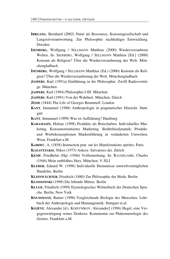- **IRRGANG**, Bernhard (2002) Natur als Ressource, Konsumgesellschaft und Langzeitverantwortung. Zur Philosophie nachhaltiger Entwicklung. Dresden
- **ISENBERG**, Wolfgang / SELLMANN Matthias (2000) Wiederverzauberte Welten. In: ISENBERG, Wolfgang / SELLMANN Matthias [Ed.] (2000) Konsum als Religion? Über die Wiederverzauberung der Welt. Mönchengladbach
- **ISENBERG**, Wolfgang / SELLMANN Matthias (Ed.) (2000) Konsum als Religion? Über die Wiederverzauberung der Welt. Mönchengladbach
- **JASPERS**, Karl (1991a) Einführung in die Philosophie. Zwölf Radiovorträge. München
- **JASPERS**, Karl (1994) Philosophie I-III. München
- **JASPERS**, Karl (1991) Von der Wahrheit. München, Zürich
- **JESSE** (1844) The Life of Georges Brummell. London
- **KANT**, Immanuel (1988) Anthropologie in pragmatischer Hinsicht. Stuttgart
- **KANT**, Immanuel (1999) Was ist Aufklärung? Hamburg
- **KARAMASIN**, Helene (1998) Produkte als Botschaften: Individuelles Marketing. Konsumorientiertes Marketing. Bedürfnisdynamik. Produktund Werbekonzeptionen Markenführung in veränderten Umwelten. Wien, Frankfurt a.M.
- **KARDEC**, A. (1858) Instruction prat. sur les Manifestations spirites. Paris
- **KAZANTZAKIS**, Nikos (1973) Askese. Salvatores dei. Zürich
- **KEMP**, Friedhelm (Hg) (1946) Vorbemerkung. In: BAUDELAIRE, Charles (1946) Mein entblößtes Herz. München. V-XLI
- **KLEBER**, Eduard W. (1996) Individuelle Hemmnisse umweltverträglichen Handelns. Berlin
- **KLEINWÄCHTER**, Friedrich (1880) Zur Philosophie der Mode. Berlin
- **KLOSSOWSKI** (1998) Die lebende Münze. Berlin
- **KLUGE**, Friedrich (1999) Etymologisches Wörterbuch der Deutschen Sprache. Berlin, New York
- **KNUSSMANN**, Rainer (1996) Vergleichende Biologie des Menschen. Lehrbuch der Anthropologie und Humangenetik. Stuttgart et.al.
- **KOJÈVE**, Alexandre [d.i. KOJEVNIKOV, Alexander] (1996) Hegel, eine Vergegenwärtigung seines Denkens: Kommentar zur Phänomenologie des Geistes. Frankfurt a.M.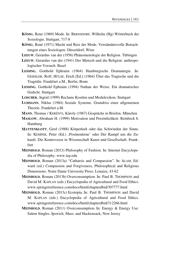- **KÖNIG**, Rene (1969) Mode. In: BERNSDORF, Wilhelm (Hg) Wörterbuch der Soziologie. Stuttgart, 717-8
- **KÖNIG**, René (1971) Macht und Reiz der Mode. Verständnisvolle Betrachtungen eines Soziologen. Düsseldorf, Wien

**LEEUW**, Gerardus van der (1956) Phänomenologie der Religion. Tübingen

- **LEEUW**, Gerardus van der (1941) Der Mensch und die Religion: anthropologischer Versuch. Basel
- **LESSING**, Gotthold Ephraim (1964) Hamburgische Dramaturgie. In: GEISSLER, Rolf; HÜLSE, Erich [Ed.] (1964) Über das Tragische und die Tragödie. Frankfurt a.M., Berlin, Bonn
- **LESSING**, Gotthold Ephraim (1994) Nathan der Weise. Ein dramatisches Gedicht. Stuttgart
- **LOSCHEK**, Ingrid (1999) Reclams Kostüm und Modelexikon. Stuttgart
- **LUHMANN**, Niklas (1984) Soziale Systeme. Grundriss einer allgemeinen Theorie. Frankfurt a.M.
- **MANN**, Thomas / KERÉNYI, Károly (1967) Gespräche in Briefen. München
- **MASLOW**, Abraham H. (1999) Motivation und Persönlichkeit. Reinbeck b. Hamburg

**MATTENKLOTT**, Gerd (1988) Körperkult oder das Schwinden der Sinne. In: KEMPER, Peter (Ed.) ,Postmoderne' oder Der Kampf um die Zukunft. Die Kontroverse in Wissenschaft Kunst und Gesellschaft. Frankfurt

**MEINHOLD**, Roman (2013) Philosophy of Fashion. In: Internet Encyclopedia of Philosophy. www.iep.edu

**MEINHOLD**, Roman (2013a) "Catharsis and Compassion". In: ALAM, Edward (ed.) Compassion and Forgiveness, Philosophical and Religious Dimensions. Notre Dame University Press: Louaize, 43-62

**MEINHOLD**, Roman (2013b) Overconsumption. In: Paul B. THOMPSON and David M. KAPLAN (eds.) Encyclopedia of Agricultural and Food Ethics. www.springerreference.com/docs/html/chapterdbid/307777.html

- **MEINHOLD**, Roman (2013c) Ecotopia. In: Paul B. THOMPSON and David M. KAPLAN (eds.) Encyclopedia of Agricultural and Food Ethics. www.springerreference.com/docs/html/chapterdbid/312266.html
- **MEINHOLD**, Roman (2011) Overconsumption. In: Energy & Energy Use: Salem Singles. Ipswich, Mass. and Hackensack, New Jersey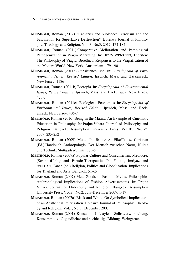- **MEINHOLD**, Roman (2012) "Catharsis and Violence: Terrorism and the Fascination for Superlative Destruction". Boleswa Journal of Philosophy, Theology and Religion. Vol. 3, No.3, 2012. 172-184
- **MEINHOLD**, Roman (2011) Comparative Melioration and Pathological Pathogenization in Viagra Marketing. In: BOTZ-BORNSTEIN, Thorsten: The Philosophy of Viagra. Bioethical Responses to the Viagrification of the Modern World. New York, Amsterdam. 179-190
- **MEINHOLD**, Roman (2011a) Subsistence Use. In: *Encyclopedia of Environmental Issues, Revised Edition*. Ipswich, Mass. and Hackensack, New Jersey. 1186
- **MEINHOLD**, Roman (2011b) Ecotopia. In: *Encyclopedia of Environmental Issues, Revised Edition*. Ipswich, Mass. and Hackensack, New Jersey. 420-1
- **MEINHOLD**, Roman (2011c) Ecological Economics. In: *Encyclopedia of Environmental Issues, Revised Edition*. Ipswich, Mass. and Hackensack, New Jersey. 406-7
- **MEINHOLD**, Roman (2010) Being in the Matrix: An Example of Cinematic Education in Philosophy. In: Prajna Vihara. Journal of Philosophy and Religion. Bangkok: Assumption University Press. Vol.10., No.1-2, 2009. 235-252
- **MEINHOLD**, Roman (2009) Mode. In: BOHLKEN, Eike/THIES, Christian (Ed.) Handbuch Anthropologie. Der Mensch zwischen Natur, Kultur und Technik. Stuttgart/Weimar. 383-6
- **MEINHOLD**, Roman (2009a) Popular Culture and Consumerism: Mediocre, (Schein-)Heilig and Pseudo-Therapeutic. In: YUSUF, Imtiyaz and ATILGAN, Canan (ed.) Religion, Politics and Globalization. Implications for Thailand and Asia. Bangkok. 51-65
- **MEINHOLD**, Roman (2007) Meta-Goods in Fashion Myths. Philosophic-Anthropological Implications of Fashion Advertisements. In: Prajna Vihara. Journal of Philosophy and Religion. Bangkok, Assumption University Press. Vol.8., No.2, July-December 2007. 1-17
- **MEINHOLD**, Roman (2007a) Black and White. On Symbolical Implications of an Aesthetical Polarization. Boleswa Journal of Philosophy, Theology and Religion. Vol.1, No.3., December 2007.
- **MEINHOLD**, Roman (2001) Konsum Lifestyle Selbstverwirklichung. Konsummotive Jugendlicher und nachhaltige Bildung. Weingarten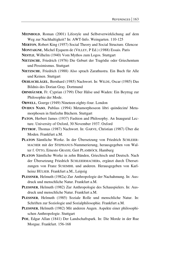**MEINHOLD**, Roman (2001) Lifestyle und Selbstverwirklichung auf dem Weg zur Nachhaltigkeit? In: AWT-Info. Weingarten. 110-125

**MERTON**, Robert King (1957) Social Theory and Social Structure. Glencoe

**MONTAIGNE**, Michel Eyquem de (VILLEY, P Ed.) (1988) Essais. Paris

**NESTLE**, Wilhelm (1940) Vom Mythos zum Logos. Stuttgart

- **NIETZSCHE**, Friedrich (1976) Die Geburt der Tragödie oder Griechentum und Pessimismus. Stuttgart
- **NIETZSCHE**, Friedrich (1988) Also sprach Zarathustra. Ein Buch für Alle und Keinen. Stuttgart
- **OEHLSCHLÄGEL**, Bernhard (1985) Nachwort. In: WILDE, Oscar (1985) Das Bildnis des Dorian Gray. Dortmund
- **OHNHÄUSER**, Fr. Cyprian (1799) Über Hälse und Waden: Ein Beytrag zur Philosophie der Mode.
- **ORWELL**, Goerge (1949) Nineteen eighty-four. London
- **OVIDUS NASO**, Publius (1994) Metamorphoseon libri quindecim/ Metamorphosen in fünfzehn Büchern. Stuttgart
- PATON, Herbert James (1937) Fashion and Philosophy. An Inaugural Lecture. University of Oxford, 30 November 1937. Oxford
- **PITTROF**, Thomas (1987) Nachwort. In: GARVE, Christian (1987) Über die Moden. Frankfurt a.M.
- **PLATON** Sämtliche Werke. In der Übersetzung von Friedrich SCHLEIER-MACHER mit der STEPHANUS-Nummerierung, herausgegeben von Walter f. OTTO, Ernesto GRASSI, Gert PLAMBÖCK. Hamburg
- **PLATON** Sämtliche Werke in zehn Bänden, Griechisch und Deutsch. Nach der Übersetzung Friedrich SCHLEIERMACHERs, ergänzt durch Übersetzungen von Franz SUSEMIHL und anderen. Herausgegeben von Karlheinz HÜLSER. Frankfurt a.M., Leipzig
- **PLESSNER**, Helmuth (1982a) Zur Anthropologie der Nachahmung. In: Ausdruck und menschliche Natur. Frankfurt a.M.
- **PLESSNER**, Helmuth (1982) Zur Anthropologie des Schauspielers. In: Ausdruck und menschliche Natur. Frankfurt a.M.
- **PLESSNER**, Helmuth (1985) Soziale Rolle und menschliche Natur. In: Schriften zur Soziologie und Sozialphilosophie. Frankfurt a.M.
- **PLESSNER**, Helmuth (1982) Mit anderen Augen. Aspekte einer philosophischen Anthropologie. Stuttgart
- **POE**, Edgar Allan (1841) Der Landschaftspark. In: Die Morde in der Rue Morgue. Frankfurt. 156-168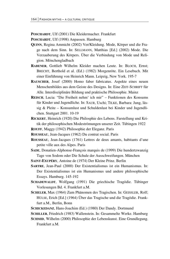**POSCHARDT**, Ulf (2001) Die Kleidermacher. Frankfurt

- **POSCHARDT**, Ulf (1998) Anpassen. Hamburg
- **QUINN**, Regina Ammicht (2002) Ver/Kleidung. Mode, Körper und die Frage nach dem Sinn. In: SELLMANN, Matthias [Ed.] (2002) Mode. Die Verzauberung des Körpers. Über die Verbindung von Mode und Religion. Mönchengladbach
- **RABENER**, Gottlieb Wilhelm Kleider machen Leute. In: BLOCH, Ernst; BRECHT, Berthold et al. (Ed.) (1982) Morgenröte. Ein Lesebuch. Mit einer Einführung von Heinrich Mann. Leipzig, New York. 195-7
- **RAUSCHER**, Josef (2000) Homo faber fabricatus. Aspekte eines neuen Menschenbildes aus dem Geiste des Designs. In: Eine ZEIT-SCHRIFT für Alle. Interdisziplinäre Bildung und praktische Philosophie. Mainz
- **REISCH**, Lucia: "Die Freiheit nehm' ich mir" Funktionen des Konsums für Kinder und Jugendliche. In: SAUR, Uschi; TILKE, Barbara: Jung, lässig & Pleite – Konsumlust und Schuldenlast bei Kinder und Jugendlichen. Stuttgart 2001. 10-19
- **RICKERT**, Heinrich (1920) Die Philosphie des Lebens. Farstellung und Kritik der philosophischen Modeströmungen unserer Zeit. Tübingen 1922
- **ROUFF**, Maggy (1942) Philosophie der Eleganz. Paris
- **ROUSSEAU**, Jean-Jacques (1962) Du contrat social. Paris
- **ROUSSEAU**, Jean-Jacques (1761) Lettres de deux amants, habitants d'une petite ville aux des Alpes. Paris
- **SADE**, Donatien-Alphonse-François marquis de (1999) Die hundertzwanzig Tage von Sodom oder Die Schule der Ausschweifungen. München
- **SAINT-EXUPÉRY**, Antoine de (1974) Der Kleine Prinz. Berlin
- **SARTRE**, Jean-Paul (2000) Der Existentialismus ist ein Humanismus. In: Der Existentialismus ist ein Humanismus und andere philosophische Essays. Hamburg. 145-192
- **SCHADEWALDT**, Wolfgang (1991) Die griechische Tragödie. Tübinger Vorlesungen Bd. 4. Frankfurt a.M.
- **SCHELER**, Max (1964) Zum Phänomen des Tragischen. In: GEISSLER, Rolf; HÜLSE, Erich [Ed.] (1964) Über das Tragische und die Tragödie. Frankfurt a.M., Berlin, Bonn
- **SCHICKEDANZ**, Hans-Joachim (Ed.) (1980) Der Dandy. Dortmund
- **SCHILLER**, Friedrich (1983) Wallenstein. In: Gesammelte Werke. Hamburg
- **SCHMID**, Wilhelm (2000) Philosophie der Lebenskunst. Eine Grundlegung. Frankfurt a.M.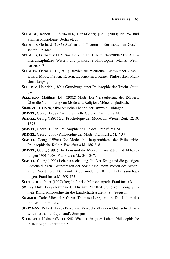- **SCHMIDT**, Robert F.; SCHAIBLE, Hans-Georg [Ed.] (2000) Neuro- und Sinnnesphysiologie. Berlin et. al.
- **SCHMIED**, Gerhard (1985) Sterben und Trauern in der modernen Gesellschaft. Opladen
- **SCHMIED.** Gerhard (2002) Soziale Zeit. In: Eine ZEIT-SCHRIFT für Alle Interdisziplinäres Wissen und praktische Philosophie. Mainz, Weingarten. 4-7
- **SCHMITZ**, Oscar U.H. (1911) Brevier für Weltleute. Essays über Gesellschaft, Mode, Frauen, Reisen, Lebenskunst, Kunst, Philosophie. München, Leipzig.
- **SCHURTZ**, Heinrich (1891) Grundzüge einer Philosophie der Tracht. Stuttgart
- **SELLMANN**, Matthias [Ed.] (2002) Mode. Die Verzauberung des Körpers. Über die Verbindung von Mode und Religion. Mönchengladbach.
- **SIEBERT**, H. (1978) Ökonomische Theorie der Umwelt. Tübingen
- **SIMMEL**, Georg (1968) Das individuelle Gesetz. Frankfurt a.M.
- **SIMMEL**, Georg (1895) Zur Psychologie der Mode. In: Wiener Zeit, 12.10. 1895
- **SIMMEL**, Georg (1996b) Philosophie des Geldes. Frankfurt a.M.
- **SIMMEL**, Georg (2000) Philosophie der Mode. Frankfurt a.M. 7-37
- **SIMMEL**, Georg (1996a) Die Mode. In: Hauptprobleme der Philosophie. Philosophische Kultur. Frankfurt a.M. 186-218
- **SIMMEL**, Georg (1997) Die Frau und die Mode. In: Aufsätze und Abhandlungen 1901-1908. Frankfurt a.M.. 344-347.
- **SIMMEL**, Georg (1999) Lebensanschauung. In: Der Krieg und die geistigen Entscheidungen. Grundfragen der Soziologie. Vom Wesen des historischen Verstehens. Der Konflikt der modernen Kultur. Lebensanschauungen. Frankfurt a.M. 209-425
- **SLOTERDIJK**, Peter (1999) Regeln für den Menschenpark. Frankfurt a.M.
- **SOLIES**, Dirk (1998) Natur in der Distanz. Zur Bedeutung von Georg Simmels Kulturphilosophie für die Landschaftsästhetik. St. Augustin
- **SOMMER**, Carlo Michael / **WIND**, Thomas (1988) Mode. Die Hüllen des Ich. Weinheim, Basel
- **SPAEMANN**, Robert (1996) Personen: Versuche über den Unterschied zwischen , etwas' und , jemand'. Stuttgart
- **STEINFATH**, Holmer (Ed.) (1998) Was ist ein gutes Leben. Philosophische Reflexionen. Frankfurt a.M.